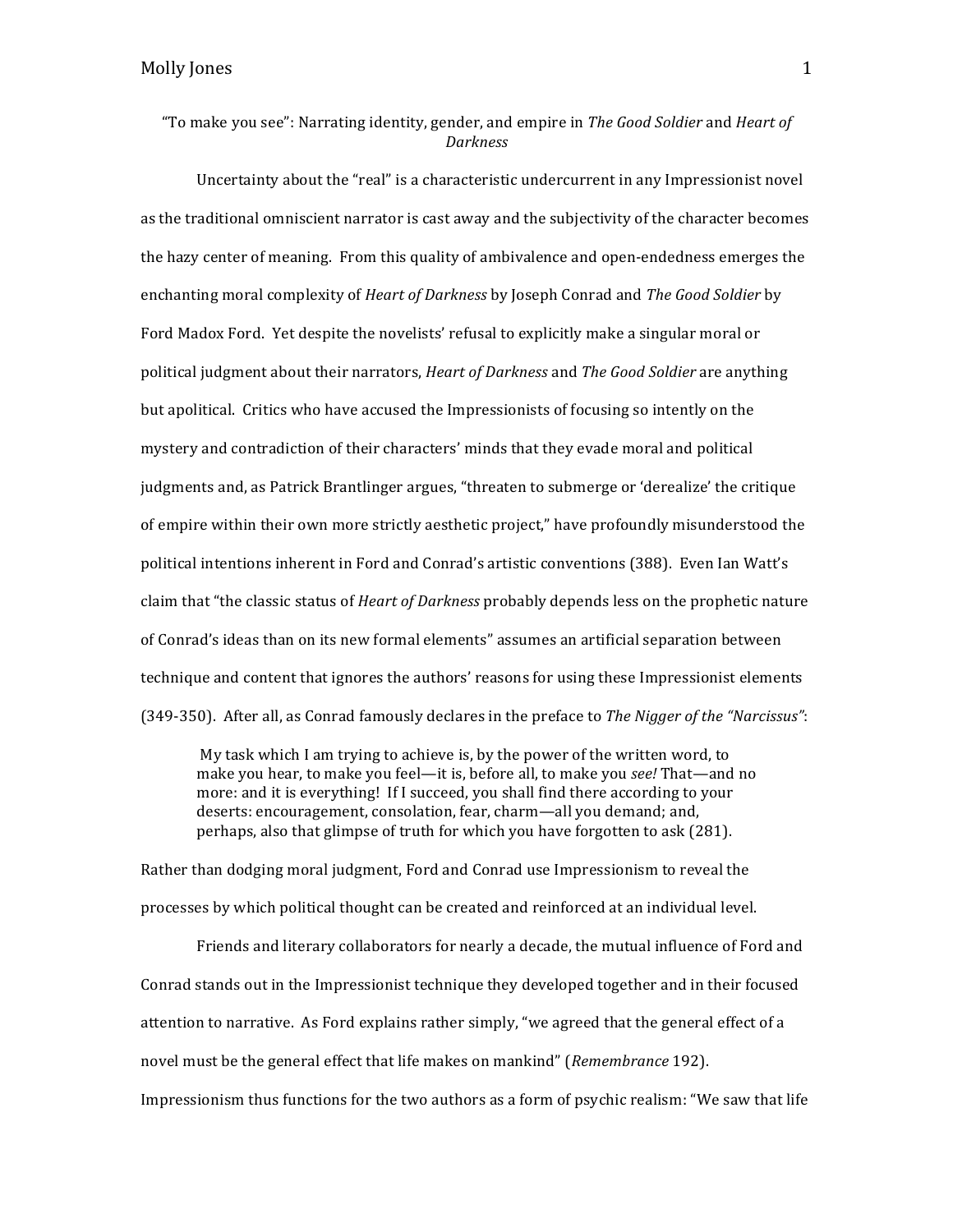Uncertainty about the "real" is a characteristic undercurrent in any Impressionist novel as the traditional omniscient narrator is cast away and the subjectivity of the character becomes the hazy center of meaning. From this quality of ambivalence and open-endedness emerges the enchanting moral complexity of *Heart of Darkness* by Joseph Conrad and *The Good Soldier* by Ford Madox Ford. Yet despite the novelists' refusal to explicitly make a singular moral or political judgment about their narrators, *Heart of Darkness* and *The Good Soldier* are anything but apolitical. Critics who have accused the Impressionists of focusing so intently on the mystery and contradiction of their characters' minds that they evade moral and political judgments and, as Patrick Brantlinger argues, "threaten to submerge or 'derealize' the critique of empire within their own more strictly aesthetic project," have profoundly misunderstood the political intentions inherent in Ford and Conrad's artistic conventions (388). Even Ian Watt's claim that "the classic status of *Heart of Darkness* probably depends less on the prophetic nature of Conrad's ideas than on its new formal elements" assumes an artificial separation between technique and content that ignores the authors' reasons for using these Impressionist elements (349-350). After all, as Conrad famously declares in the preface to *The Nigger of the "Narcissus"*:

My task which I am trying to achieve is, by the power of the written word, to make you hear, to make you feel—it is, before all, to make you *see!* That—and no more: and it is everything! If I succeed, you shall find there according to your deserts: encouragement, consolation, fear, charm—all you demand; and, perhaps, also that glimpse of truth for which you have forgotten to ask (281).

Rather than dodging moral judgment, Ford and Conrad use Impressionism to reveal the processes by which political thought can be created and reinforced at an individual level.

Friends and literary collaborators for nearly a decade, the mutual influence of Ford and Conrad stands out in the Impressionist technique they developed together and in their focused attention to narrative. As Ford explains rather simply, "we agreed that the general effect of a novel must be the general effect that life makes on mankind" (*Remembrance* 192). Impressionism thus functions for the two authors as a form of psychic realism: "We saw that life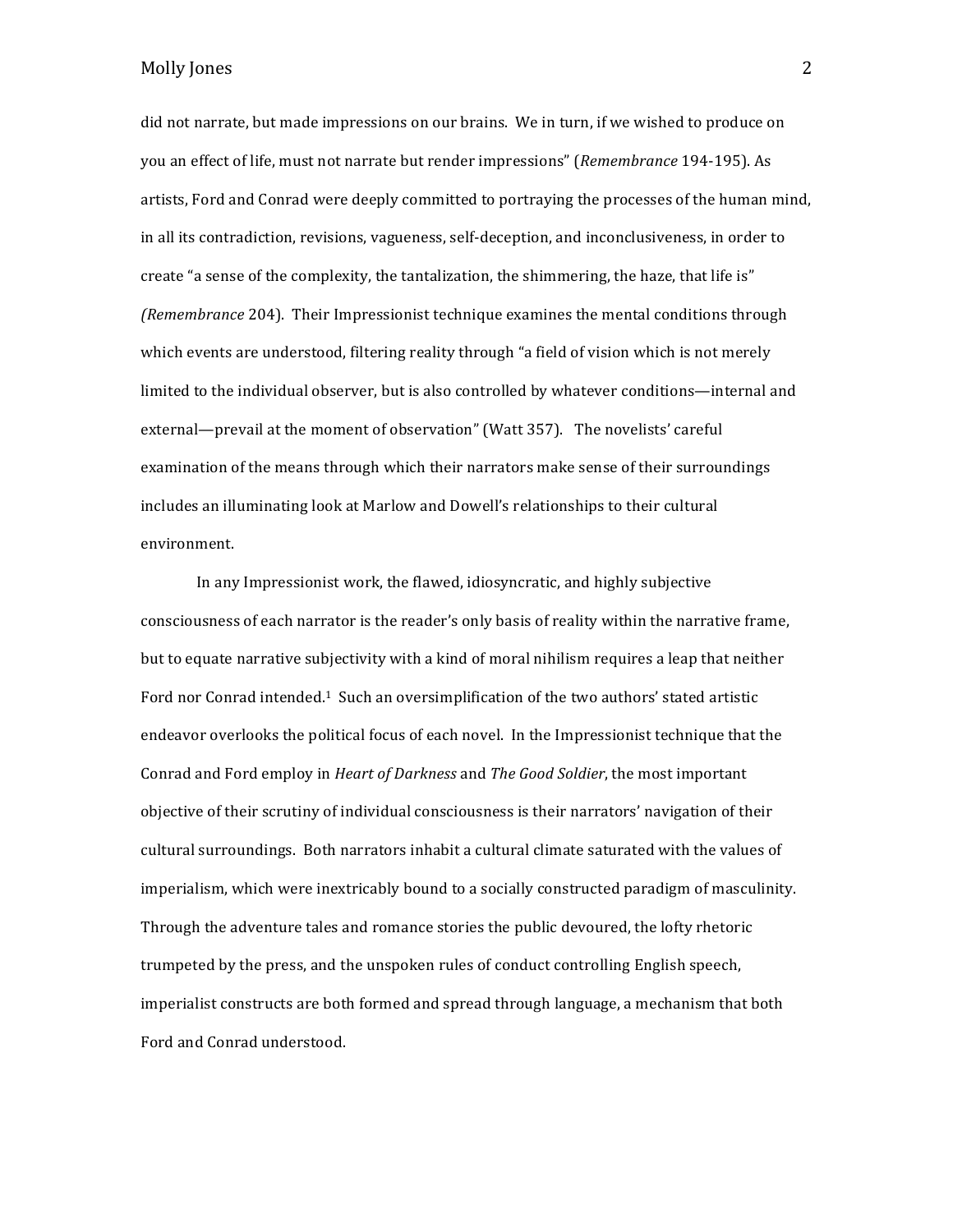did not narrate, but made impressions on our brains. We in turn, if we wished to produce on you an effect of life, must not narrate but render impressions" (*Remembrance* 194-195). As artists, Ford and Conrad were deeply committed to portraying the processes of the human mind, in all its contradiction, revisions, vagueness, self-deception, and inconclusiveness, in order to create "a sense of the complexity, the tantalization, the shimmering, the haze, that life is" *(Remembrance* 204). Their Impressionist technique examines the mental conditions through which events are understood, filtering reality through "a field of vision which is not merely limited to the individual observer, but is also controlled by whatever conditions—internal and external—prevail at the moment of observation" (Watt 357). The novelists' careful examination of the means through which their narrators make sense of their surroundings includes an illuminating look at Marlow and Dowell's relationships to their cultural environment. 

In any Impressionist work, the flawed, idiosyncratic, and highly subjective consciousness of each narrator is the reader's only basis of reality within the narrative frame, but to equate narrative subjectivity with a kind of moral nihilism requires a leap that neither Ford nor Conrad intended.<sup>1</sup> Such an oversimplification of the two authors' stated artistic endeavor overlooks the political focus of each novel. In the Impressionist technique that the Conrad and Ford employ in *Heart of Darkness* and *The Good Soldier*, the most important objective of their scrutiny of individual consciousness is their narrators' navigation of their cultural surroundings. Both narrators inhabit a cultural climate saturated with the values of imperialism, which were inextricably bound to a socially constructed paradigm of masculinity. Through the adventure tales and romance stories the public devoured, the lofty rhetoric trumpeted by the press, and the unspoken rules of conduct controlling English speech, imperialist constructs are both formed and spread through language, a mechanism that both Ford and Conrad understood.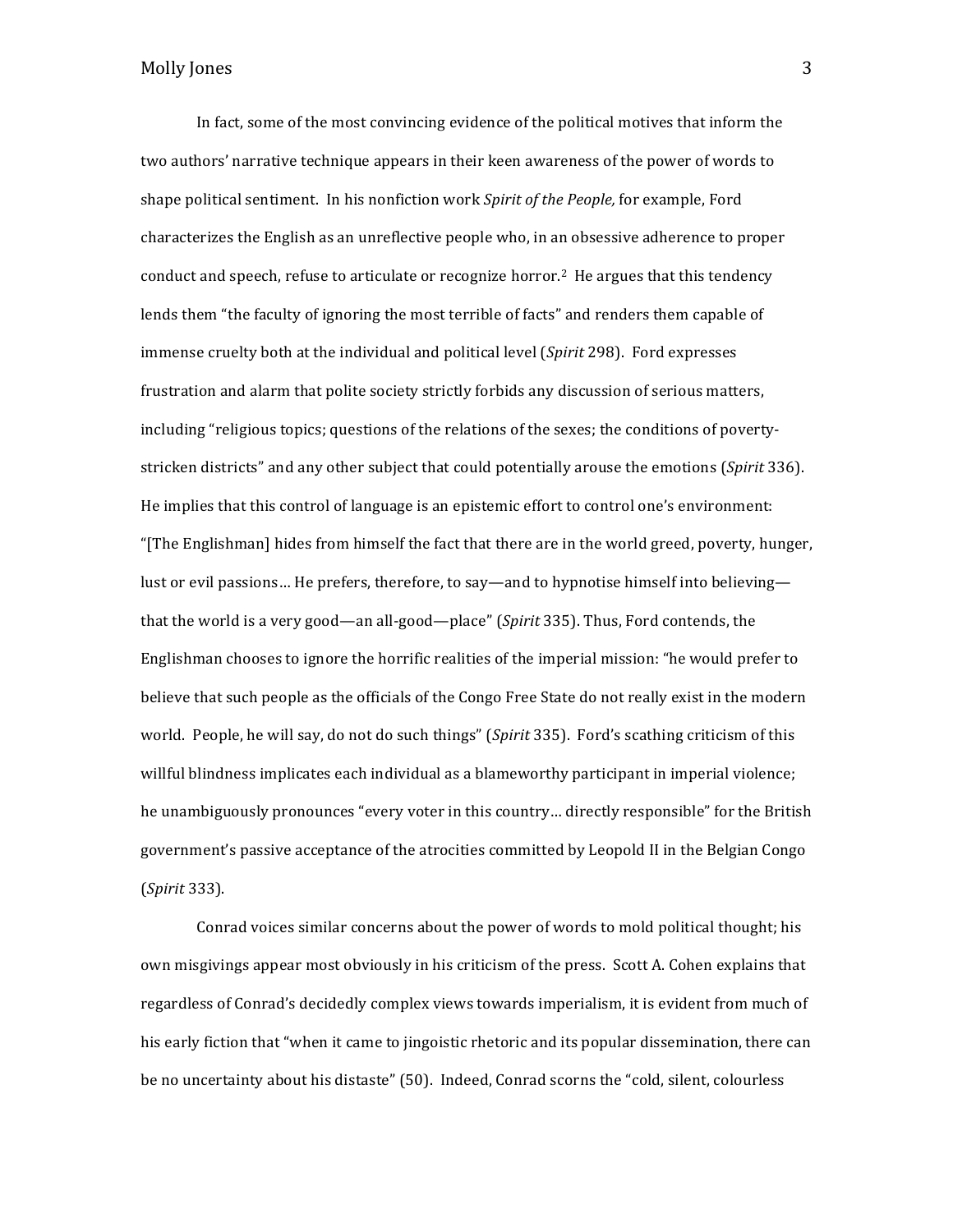In fact, some of the most convincing evidence of the political motives that inform the two authors' narrative technique appears in their keen awareness of the power of words to shape political sentiment. In his nonfiction work *Spirit of the People*, for example, Ford characterizes the English as an unreflective people who, in an obsessive adherence to proper conduct and speech, refuse to articulate or recognize horror.<sup>2</sup> He argues that this tendency lends them "the faculty of ignoring the most terrible of facts" and renders them capable of immense cruelty both at the individual and political level (*Spirit* 298). Ford expresses frustration and alarm that polite society strictly forbids any discussion of serious matters, including "religious topics; questions of the relations of the sexes; the conditions of povertystricken districts" and any other subject that could potentially arouse the emotions (*Spirit* 336). He implies that this control of language is an epistemic effort to control one's environment: "[The Englishman] hides from himself the fact that there are in the world greed, poverty, hunger, lust or evil passions... He prefers, therefore, to say—and to hypnotise himself into believing that the world is a very good—an all-good—place" (*Spirit* 335). Thus, Ford contends, the Englishman chooses to ignore the horrific realities of the imperial mission: "he would prefer to believe that such people as the officials of the Congo Free State do not really exist in the modern world. People, he will say, do not do such things" (*Spirit* 335). Ford's scathing criticism of this willful blindness implicates each individual as a blameworthy participant in imperial violence; he unambiguously pronounces "every voter in this country... directly responsible" for the British government's passive acceptance of the atrocities committed by Leopold II in the Belgian Congo (*Spirit* 333). 

Conrad voices similar concerns about the power of words to mold political thought; his own misgivings appear most obviously in his criticism of the press. Scott A. Cohen explains that regardless of Conrad's decidedly complex views towards imperialism, it is evident from much of his early fiction that "when it came to jingoistic rhetoric and its popular dissemination, there can be no uncertainty about his distaste" (50). Indeed, Conrad scorns the "cold, silent, colourless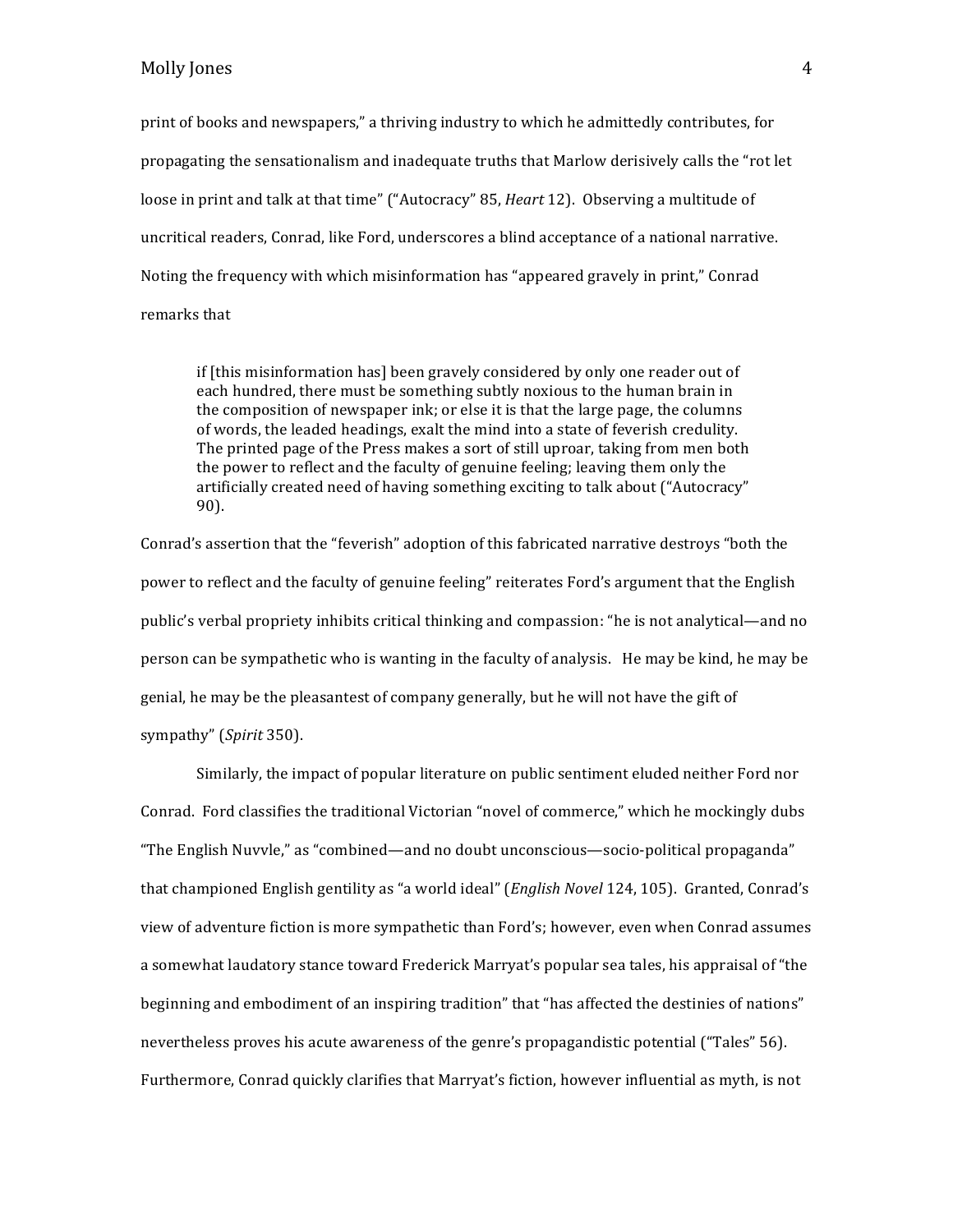print of books and newspapers," a thriving industry to which he admittedly contributes, for propagating the sensationalism and inadequate truths that Marlow derisively calls the "rot let loose in print and talk at that time" ("Autocracy" 85, *Heart* 12). Observing a multitude of uncritical readers, Conrad, like Ford, underscores a blind acceptance of a national narrative. Noting the frequency with which misinformation has "appeared gravely in print," Conrad remarks that

if [this misinformation has] been gravely considered by only one reader out of each hundred, there must be something subtly noxious to the human brain in the composition of newspaper ink; or else it is that the large page, the columns of words, the leaded headings, exalt the mind into a state of feverish credulity. The printed page of the Press makes a sort of still uproar, taking from men both the power to reflect and the faculty of genuine feeling; leaving them only the artificially created need of having something exciting to talk about ("Autocracy" 90). 

Conrad's assertion that the "feverish" adoption of this fabricated narrative destroys "both the power to reflect and the faculty of genuine feeling" reiterates Ford's argument that the English public's verbal propriety inhibits critical thinking and compassion: "he is not analytical—and no person can be sympathetic who is wanting in the faculty of analysis. He may be kind, he may be genial, he may be the pleasantest of company generally, but he will not have the gift of sympathy" (*Spirit* 350).

Similarly, the impact of popular literature on public sentiment eluded neither Ford nor Conrad. Ford classifies the traditional Victorian "novel of commerce," which he mockingly dubs "The English Nuvyle," as "combined—and no doubt unconscious—socio-political propaganda" that championed English gentility as "a world ideal" (*English Novel* 124, 105). Granted, Conrad's view of adventure fiction is more sympathetic than Ford's; however, even when Conrad assumes a somewhat laudatory stance toward Frederick Marryat's popular sea tales, his appraisal of "the beginning and embodiment of an inspiring tradition" that "has affected the destinies of nations" nevertheless proves his acute awareness of the genre's propagandistic potential ("Tales" 56). Furthermore, Conrad quickly clarifies that Marryat's fiction, however influential as myth, is not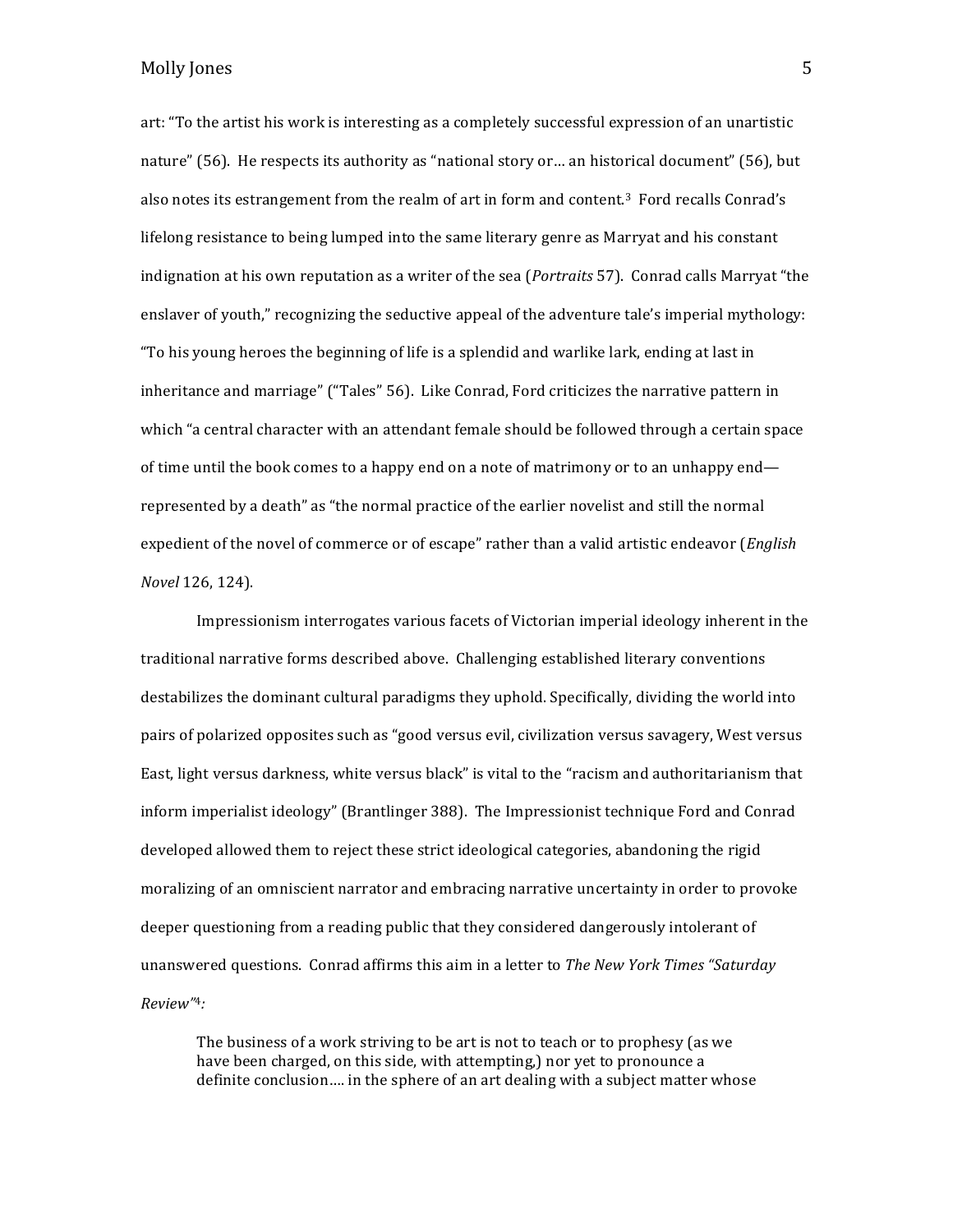art: "To the artist his work is interesting as a completely successful expression of an unartistic nature" (56). He respects its authority as "national story or ... an historical document" (56), but also notes its estrangement from the realm of art in form and content.<sup>3</sup> Ford recalls Conrad's lifelong resistance to being lumped into the same literary genre as Marryat and his constant indignation at his own reputation as a writer of the sea (*Portraits* 57). Conrad calls Marryat "the enslaver of youth," recognizing the seductive appeal of the adventure tale's imperial mythology: "To his young heroes the beginning of life is a splendid and warlike lark, ending at last in inheritance and marriage" ("Tales" 56). Like Conrad, Ford criticizes the narrative pattern in which "a central character with an attendant female should be followed through a certain space of time until the book comes to a happy end on a note of matrimony or to an unhappy end represented by a death" as "the normal practice of the earlier novelist and still the normal expedient of the novel of commerce or of escape" rather than a valid artistic endeavor (*English Novel* 126, 124). 

Impressionism interrogates various facets of Victorian imperial ideology inherent in the traditional narrative forms described above. Challenging established literary conventions destabilizes the dominant cultural paradigms they uphold. Specifically, dividing the world into pairs of polarized opposites such as "good versus evil, civilization versus savagery, West versus East, light versus darkness, white versus black" is vital to the "racism and authoritarianism that inform imperialist ideology" (Brantlinger 388). The Impressionist technique Ford and Conrad developed allowed them to reject these strict ideological categories, abandoning the rigid moralizing of an omniscient narrator and embracing narrative uncertainty in order to provoke deeper questioning from a reading public that they considered dangerously intolerant of unanswered questions. Conrad affirms this aim in a letter to *The New York Times "Saturday Review"*4*:* 

The business of a work striving to be art is not to teach or to prophesy (as we have been charged, on this side, with attempting,) nor yet to pronounce a definite conclusion.... in the sphere of an art dealing with a subject matter whose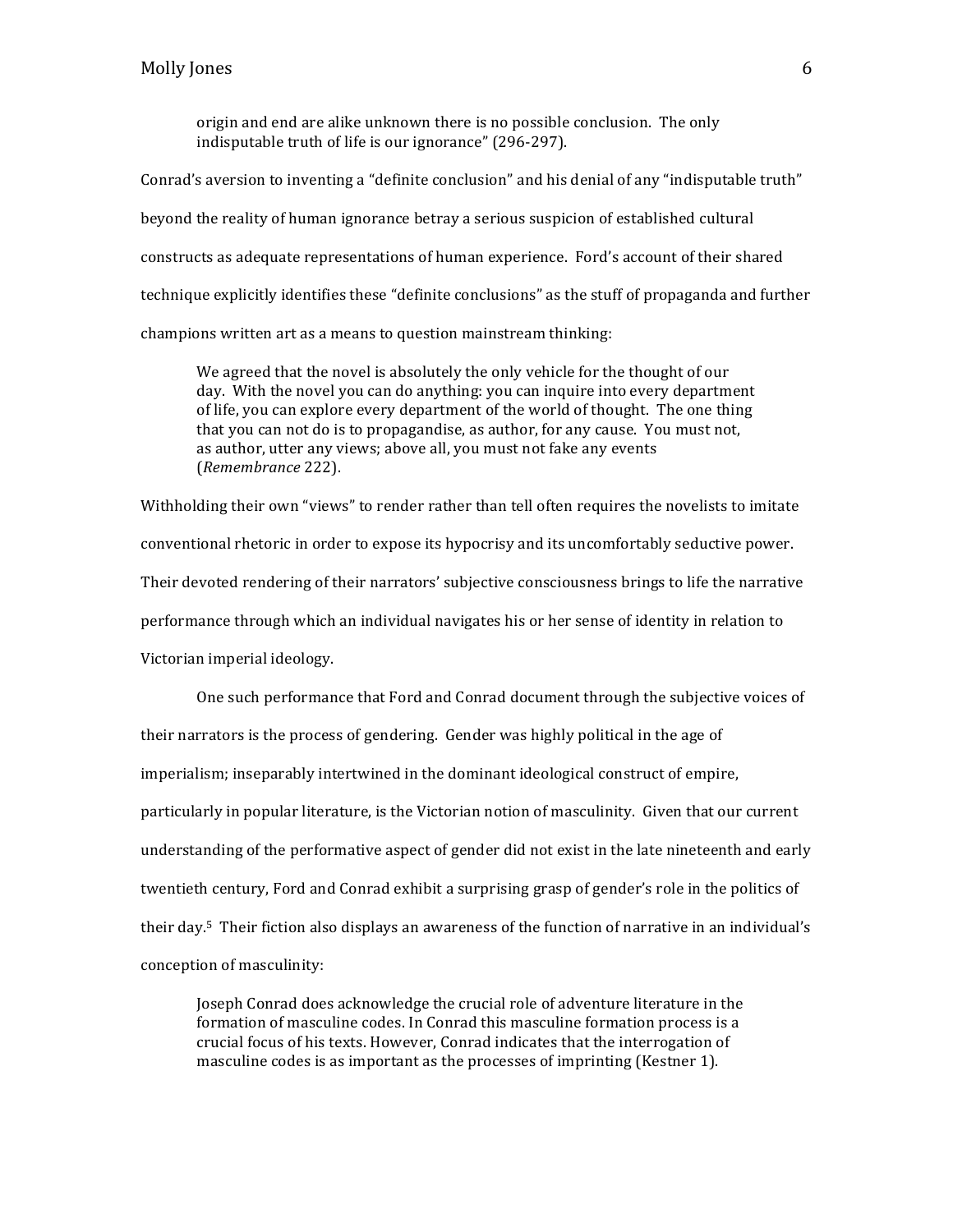origin and end are alike unknown there is no possible conclusion. The only indisputable truth of life is our ignorance" (296-297).

Conrad's aversion to inventing a "definite conclusion" and his denial of any "indisputable truth" beyond the reality of human ignorance betray a serious suspicion of established cultural constructs as adequate representations of human experience. Ford's account of their shared technique explicitly identifies these "definite conclusions" as the stuff of propaganda and further champions written art as a means to question mainstream thinking:

We agreed that the novel is absolutely the only vehicle for the thought of our day. With the novel you can do anything: you can inquire into every department of life, you can explore every department of the world of thought. The one thing that you can not do is to propagandise, as author, for any cause. You must not, as author, utter any views; above all, you must not fake any events (*Remembrance* 222). 

Withholding their own "views" to render rather than tell often requires the novelists to imitate conventional rhetoric in order to expose its hypocrisy and its uncomfortably seductive power. Their devoted rendering of their narrators' subjective consciousness brings to life the narrative performance through which an individual navigates his or her sense of identity in relation to Victorian imperial ideology.

One such performance that Ford and Conrad document through the subjective voices of their narrators is the process of gendering. Gender was highly political in the age of imperialism; inseparably intertwined in the dominant ideological construct of empire, particularly in popular literature, is the Victorian notion of masculinity. Given that our current understanding of the performative aspect of gender did not exist in the late nineteenth and early twentieth century, Ford and Conrad exhibit a surprising grasp of gender's role in the politics of their day.<sup>5</sup> Their fiction also displays an awareness of the function of narrative in an individual's conception of masculinity:

Joseph Conrad does acknowledge the crucial role of adventure literature in the formation of masculine codes. In Conrad this masculine formation process is a crucial focus of his texts. However, Conrad indicates that the interrogation of masculine codes is as important as the processes of imprinting (Kestner 1).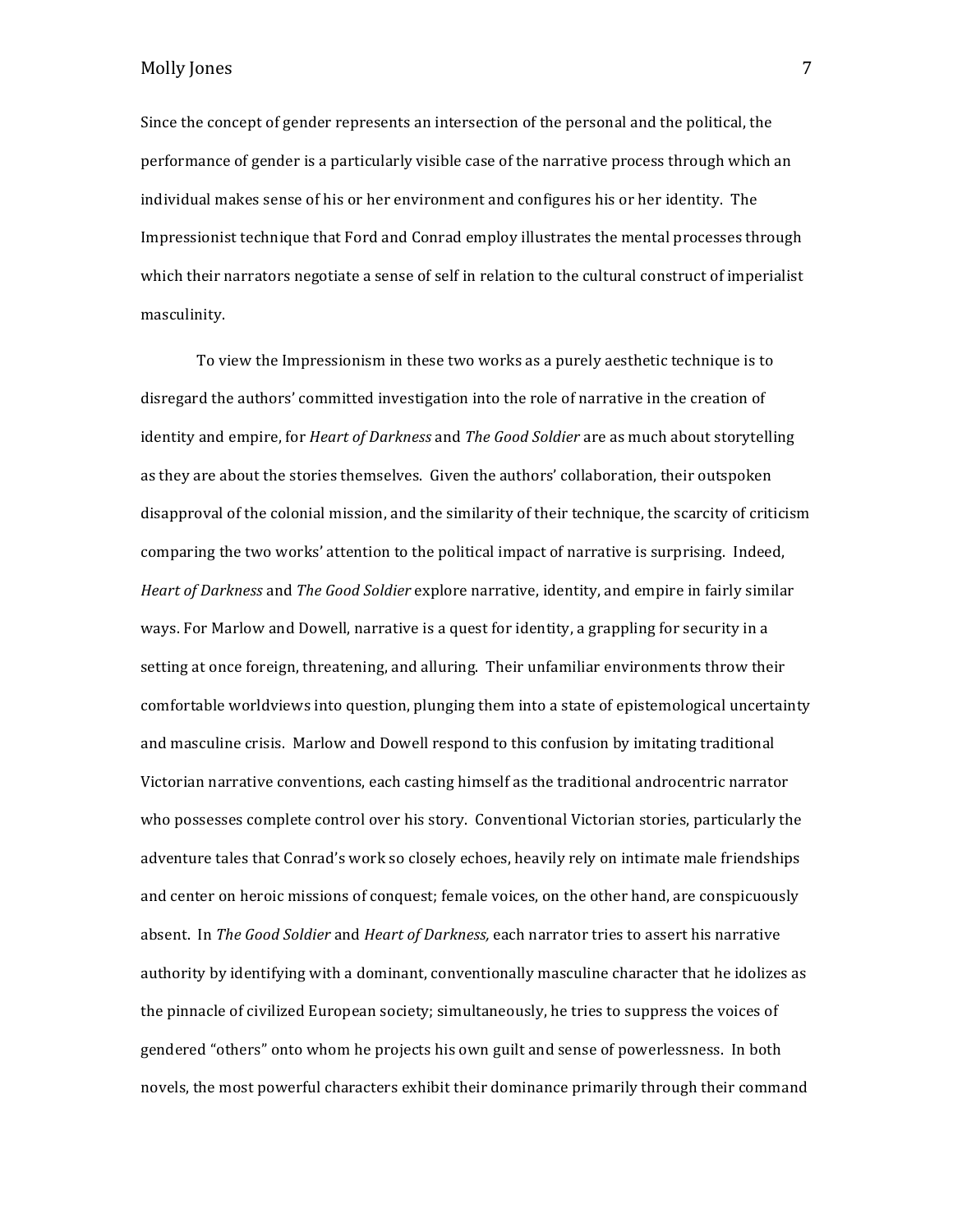Since the concept of gender represents an intersection of the personal and the political, the performance of gender is a particularly visible case of the narrative process through which an individual makes sense of his or her environment and configures his or her identity. The Impressionist technique that Ford and Conrad employ illustrates the mental processes through which their narrators negotiate a sense of self in relation to the cultural construct of imperialist masculinity.

To view the Impressionism in these two works as a purely aesthetic technique is to disregard the authors' committed investigation into the role of narrative in the creation of identity and empire, for *Heart of Darkness* and *The Good Soldier* are as much about storytelling as they are about the stories themselves. Given the authors' collaboration, their outspoken disapproval of the colonial mission, and the similarity of their technique, the scarcity of criticism comparing the two works' attention to the political impact of narrative is surprising. Indeed, *Heart of Darkness* and *The Good Soldier* explore narrative, identity, and empire in fairly similar ways. For Marlow and Dowell, narrative is a quest for identity, a grappling for security in a setting at once foreign, threatening, and alluring. Their unfamiliar environments throw their comfortable worldviews into question, plunging them into a state of epistemological uncertainty and masculine crisis. Marlow and Dowell respond to this confusion by imitating traditional Victorian narrative conventions, each casting himself as the traditional androcentric narrator who possesses complete control over his story. Conventional Victorian stories, particularly the adventure tales that Conrad's work so closely echoes, heavily rely on intimate male friendships and center on heroic missions of conquest; female voices, on the other hand, are conspicuously absent. In *The Good Soldier* and *Heart of Darkness*, each narrator tries to assert his narrative authority by identifying with a dominant, conventionally masculine character that he idolizes as the pinnacle of civilized European society; simultaneously, he tries to suppress the voices of gendered "others" onto whom he projects his own guilt and sense of powerlessness. In both novels, the most powerful characters exhibit their dominance primarily through their command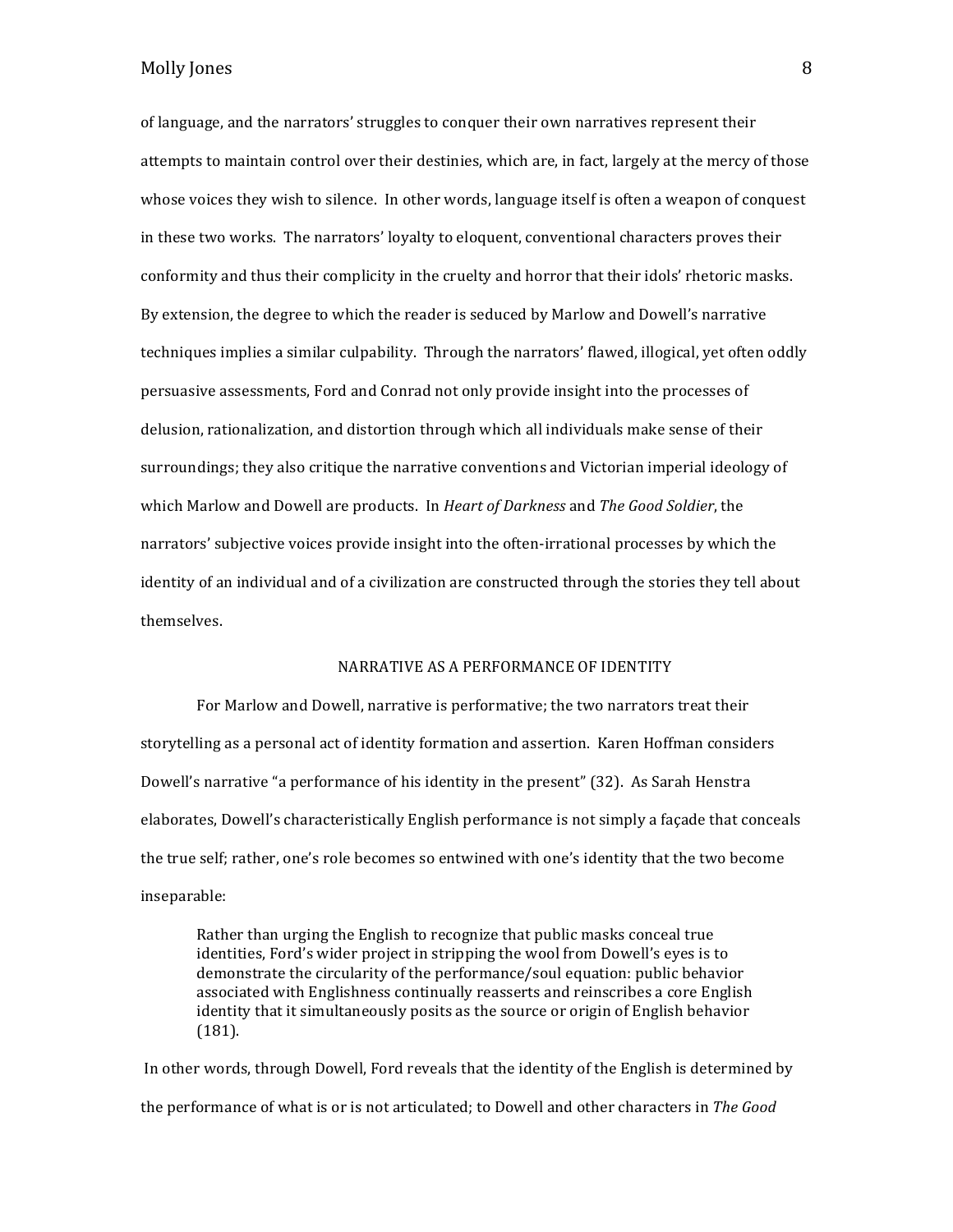of language, and the narrators' struggles to conquer their own narratives represent their attempts to maintain control over their destinies, which are, in fact, largely at the mercy of those whose voices they wish to silence. In other words, language itself is often a weapon of conquest in these two works. The narrators' loyalty to eloquent, conventional characters proves their conformity and thus their complicity in the cruelty and horror that their idols' rhetoric masks. By extension, the degree to which the reader is seduced by Marlow and Dowell's narrative techniques implies a similar culpability. Through the narrators' flawed, illogical, yet often oddly persuasive assessments, Ford and Conrad not only provide insight into the processes of delusion, rationalization, and distortion through which all individuals make sense of their surroundings; they also critique the narrative conventions and Victorian imperial ideology of which Marlow and Dowell are products. In *Heart of Darkness* and *The Good Soldier*, the narrators' subjective voices provide insight into the often-irrational processes by which the identity of an individual and of a civilization are constructed through the stories they tell about themselves.

#### NARRATIVE AS A PERFORMANCE OF IDENTITY

For Marlow and Dowell, narrative is performative; the two narrators treat their storytelling as a personal act of identity formation and assertion. Karen Hoffman considers Dowell's narrative "a performance of his identity in the present" (32). As Sarah Henstra elaborates, Dowell's characteristically English performance is not simply a façade that conceals the true self; rather, one's role becomes so entwined with one's identity that the two become inseparable: 

Rather than urging the English to recognize that public masks conceal true identities, Ford's wider project in stripping the wool from Dowell's eyes is to demonstrate the circularity of the performance/soul equation: public behavior associated with Englishness continually reasserts and reinscribes a core English identity that it simultaneously posits as the source or origin of English behavior (181). 

In other words, through Dowell, Ford reveals that the identity of the English is determined by the performance of what is or is not articulated; to Dowell and other characters in *The Good*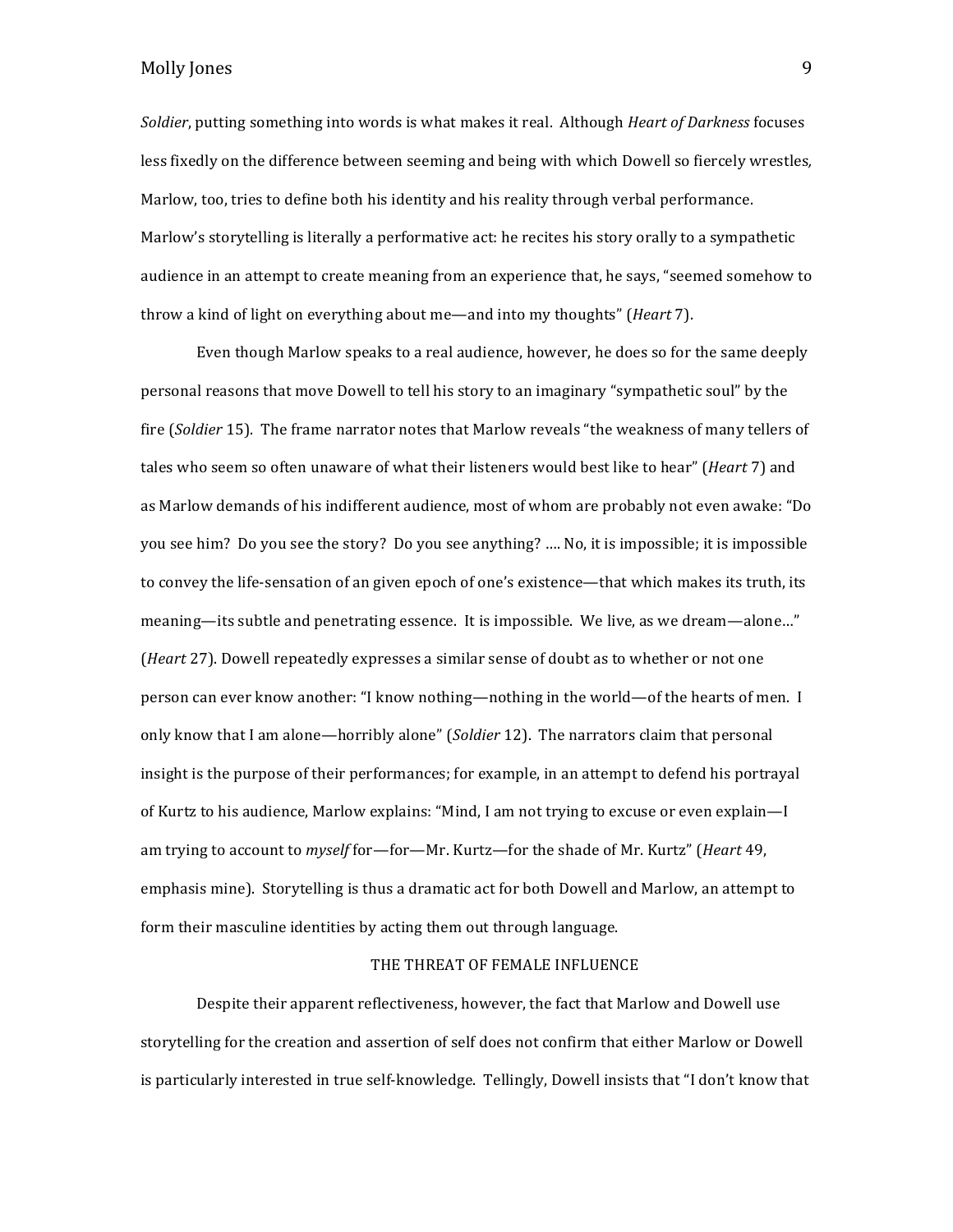*Soldier*, putting something into words is what makes it real. Although *Heart of Darkness* focuses less fixedly on the difference between seeming and being with which Dowell so fiercely wrestles, Marlow, too, tries to define both his identity and his reality through verbal performance. Marlow's storytelling is literally a performative act: he recites his story orally to a sympathetic audience in an attempt to create meaning from an experience that, he says, "seemed somehow to throw a kind of light on everything about me—and into my thoughts" (*Heart* 7).

Even though Marlow speaks to a real audience, however, he does so for the same deeply personal reasons that move Dowell to tell his story to an imaginary "sympathetic soul" by the fire (*Soldier* 15). The frame narrator notes that Marlow reveals "the weakness of many tellers of tales who seem so often unaware of what their listeners would best like to hear" (*Heart* 7) and as Marlow demands of his indifferent audience, most of whom are probably not even awake: "Do you see him? Do you see the story? Do you see anything? .... No, it is impossible; it is impossible to convey the life-sensation of an given epoch of one's existence—that which makes its truth, its meaning—its subtle and penetrating essence. It is impossible. We live, as we dream—alone..." (*Heart* 27). Dowell repeatedly expresses a similar sense of doubt as to whether or not one person can ever know another: "I know nothing—nothing in the world—of the hearts of men. I only know that I am alone—horribly alone" (*Soldier* 12). The narrators claim that personal insight is the purpose of their performances; for example, in an attempt to defend his portrayal of Kurtz to his audience, Marlow explains: "Mind, I am not trying to excuse or even explain—I am trying to account to *myself* for—for—Mr. Kurtz—for the shade of Mr. Kurtz" (*Heart* 49, emphasis mine). Storytelling is thus a dramatic act for both Dowell and Marlow, an attempt to form their masculine identities by acting them out through language.

#### THE THREAT OF FEMALE INFLUENCE

Despite their apparent reflectiveness, however, the fact that Marlow and Dowell use storytelling for the creation and assertion of self does not confirm that either Marlow or Dowell is particularly interested in true self-knowledge. Tellingly, Dowell insists that "I don't know that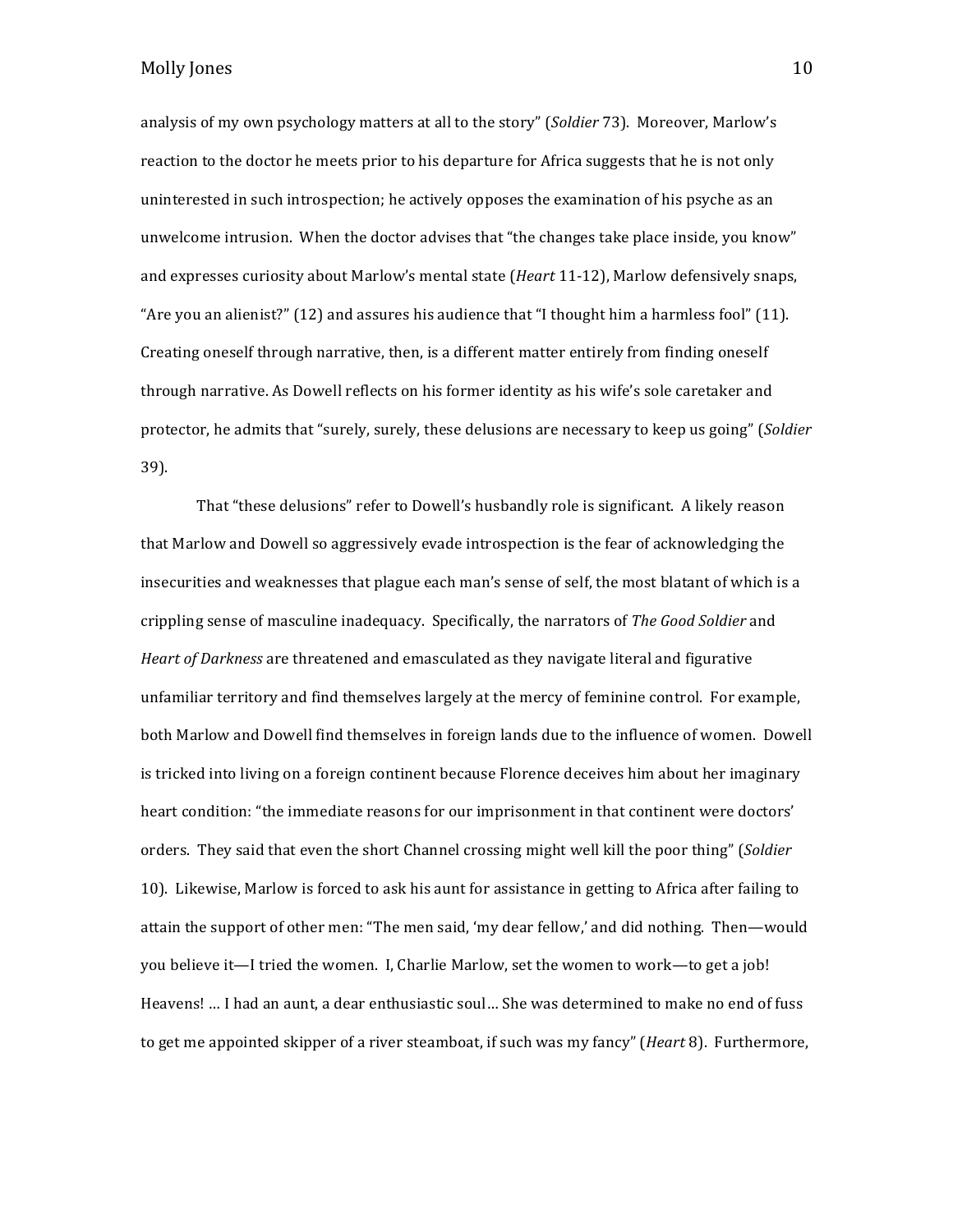analysis of my own psychology matters at all to the story" (*Soldier* 73). Moreover, Marlow's reaction to the doctor he meets prior to his departure for Africa suggests that he is not only uninterested in such introspection; he actively opposes the examination of his psyche as an unwelcome intrusion. When the doctor advises that "the changes take place inside, you know" and expresses curiosity about Marlow's mental state (*Heart* 11-12), Marlow defensively snaps, "Are you an alienist?"  $(12)$  and assures his audience that "I thought him a harmless fool"  $(11)$ . Creating oneself through narrative, then, is a different matter entirely from finding oneself through narrative. As Dowell reflects on his former identity as his wife's sole caretaker and protector, he admits that "surely, surely, these delusions are necessary to keep us going" (*Soldier* 39).

That "these delusions" refer to Dowell's husbandly role is significant. A likely reason that Marlow and Dowell so aggressively evade introspection is the fear of acknowledging the insecurities and weaknesses that plague each man's sense of self, the most blatant of which is a crippling sense of masculine inadequacy. Specifically, the narrators of *The Good Soldier* and *Heart of Darkness* are threatened and emasculated as they navigate literal and figurative unfamiliar territory and find themselves largely at the mercy of feminine control. For example, both Marlow and Dowell find themselves in foreign lands due to the influence of women. Dowell is tricked into living on a foreign continent because Florence deceives him about her imaginary heart condition: "the immediate reasons for our imprisonment in that continent were doctors' orders. They said that even the short Channel crossing might well kill the poor thing" (*Soldier* 10). Likewise, Marlow is forced to ask his aunt for assistance in getting to Africa after failing to attain the support of other men: "The men said, 'my dear fellow,' and did nothing. Then—would you believe it—I tried the women. I, Charlie Marlow, set the women to work—to get a job! Heavens! ... I had an aunt, a dear enthusiastic soul... She was determined to make no end of fuss to get me appointed skipper of a river steamboat, if such was my fancy" (*Heart* 8). Furthermore,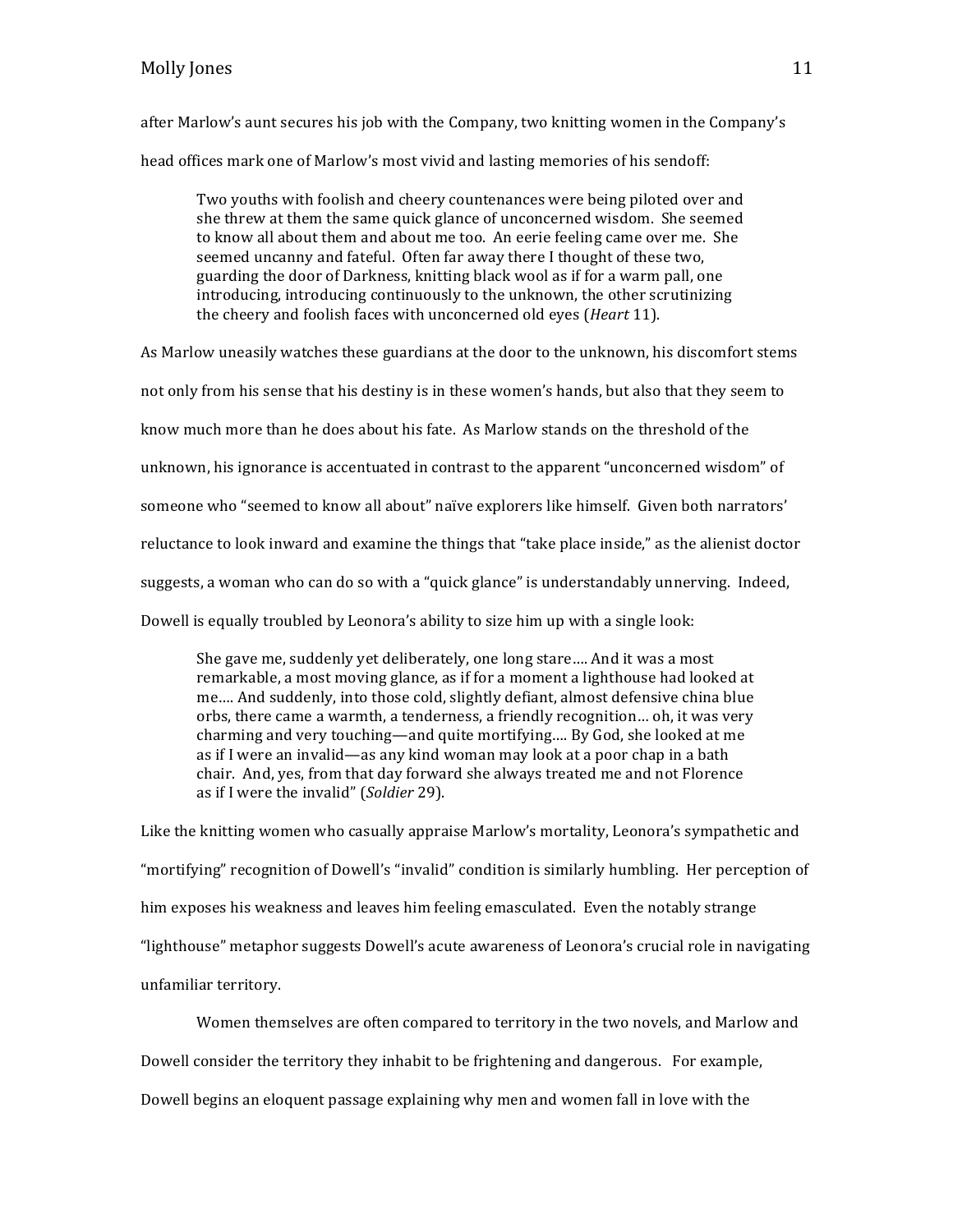after Marlow's aunt secures his job with the Company, two knitting women in the Company's head offices mark one of Marlow's most vivid and lasting memories of his sendoff:

Two youths with foolish and cheery countenances were being piloted over and she threw at them the same quick glance of unconcerned wisdom. She seemed to know all about them and about me too. An eerie feeling came over me. She seemed uncanny and fateful. Often far away there I thought of these two, guarding the door of Darkness, knitting black wool as if for a warm pall, one introducing, introducing continuously to the unknown, the other scrutinizing the cheery and foolish faces with unconcerned old eyes (*Heart* 11).

As Marlow uneasily watches these guardians at the door to the unknown, his discomfort stems

not only from his sense that his destiny is in these women's hands, but also that they seem to

know much more than he does about his fate. As Marlow stands on the threshold of the

unknown, his ignorance is accentuated in contrast to the apparent "unconcerned wisdom" of

someone who "seemed to know all about" naïve explorers like himself. Given both narrators'

reluctance to look inward and examine the things that "take place inside," as the alienist doctor

suggests, a woman who can do so with a "quick glance" is understandably unnerving. Indeed,

Dowell is equally troubled by Leonora's ability to size him up with a single look:

She gave me, suddenly yet deliberately, one long stare.... And it was a most remarkable, a most moving glance, as if for a moment a lighthouse had looked at me.... And suddenly, into those cold, slightly defiant, almost defensive china blue orbs, there came a warmth, a tenderness, a friendly recognition... oh, it was very charming and very touching—and quite mortifying.... By God, she looked at me as if I were an invalid—as any kind woman may look at a poor chap in a bath chair. And, yes, from that day forward she always treated me and not Florence as if I were the invalid" (*Soldier* 29).

Like the knitting women who casually appraise Marlow's mortality, Leonora's sympathetic and "mortifying" recognition of Dowell's "invalid" condition is similarly humbling. Her perception of him exposes his weakness and leaves him feeling emasculated. Even the notably strange "lighthouse" metaphor suggests Dowell's acute awareness of Leonora's crucial role in navigating unfamiliar territory.

Women themselves are often compared to territory in the two novels, and Marlow and Dowell consider the territory they inhabit to be frightening and dangerous. For example, Dowell begins an eloquent passage explaining why men and women fall in love with the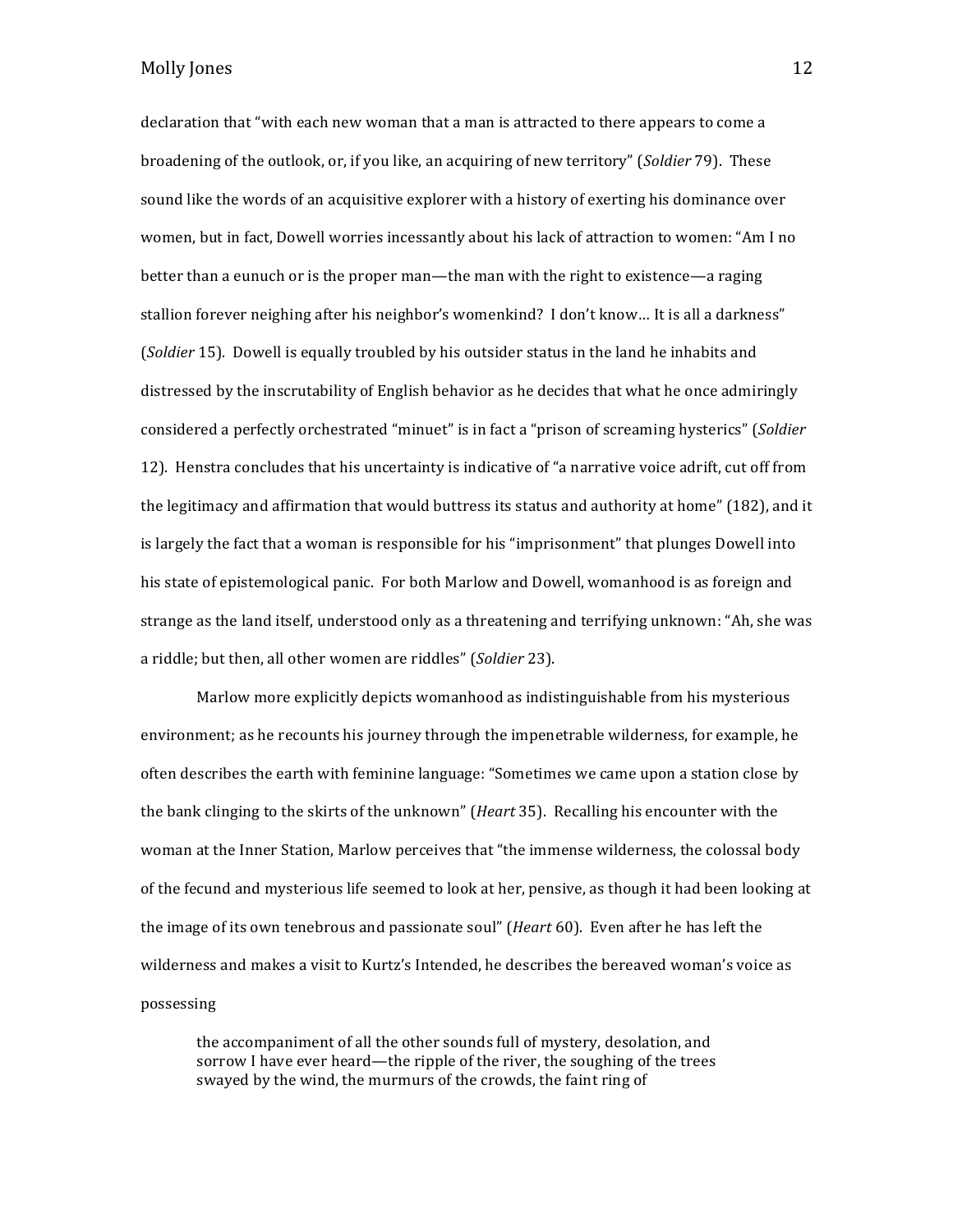# Molly Jones 2012 2013 12: 2014 12: 2014 12: 2014 12: 2014 12: 2014 12: 2014 12: 2014 12: 2014 12: 2014 12: 2014 12: 2014 12: 2014 12: 2014 12: 2014 12: 2014 12: 2014 12: 2014 12: 2014 12: 2014 12: 2014 12: 2014 12: 2014 12

declaration that "with each new woman that a man is attracted to there appears to come a broadening of the outlook, or, if you like, an acquiring of new territory" (*Soldier* 79). These sound like the words of an acquisitive explorer with a history of exerting his dominance over women, but in fact, Dowell worries incessantly about his lack of attraction to women: "Am I no better than a eunuch or is the proper man—the man with the right to existence—a raging stallion forever neighing after his neighbor's womenkind? I don't know... It is all a darkness" (*Soldier* 15). Dowell is equally troubled by his outsider status in the land he inhabits and distressed by the inscrutability of English behavior as he decides that what he once admiringly considered a perfectly orchestrated "minuet" is in fact a "prison of screaming hysterics" (Soldier 12). Henstra concludes that his uncertainty is indicative of "a narrative voice adrift, cut off from the legitimacy and affirmation that would buttress its status and authority at home" (182), and it is largely the fact that a woman is responsible for his "imprisonment" that plunges Dowell into his state of epistemological panic. For both Marlow and Dowell, womanhood is as foreign and strange as the land itself, understood only as a threatening and terrifying unknown: "Ah, she was a riddle; but then, all other women are riddles" (*Soldier* 23).

Marlow more explicitly depicts womanhood as indistinguishable from his mysterious environment; as he recounts his journey through the impenetrable wilderness, for example, he often describes the earth with feminine language: "Sometimes we came upon a station close by the bank clinging to the skirts of the unknown" (*Heart* 35). Recalling his encounter with the woman at the Inner Station, Marlow perceives that "the immense wilderness, the colossal body of the fecund and mysterious life seemed to look at her, pensive, as though it had been looking at the image of its own tenebrous and passionate soul" (*Heart* 60). Even after he has left the wilderness and makes a visit to Kurtz's Intended, he describes the bereaved woman's voice as possessing

the accompaniment of all the other sounds full of mystery, desolation, and sorrow I have ever heard—the ripple of the river, the soughing of the trees swayed by the wind, the murmurs of the crowds, the faint ring of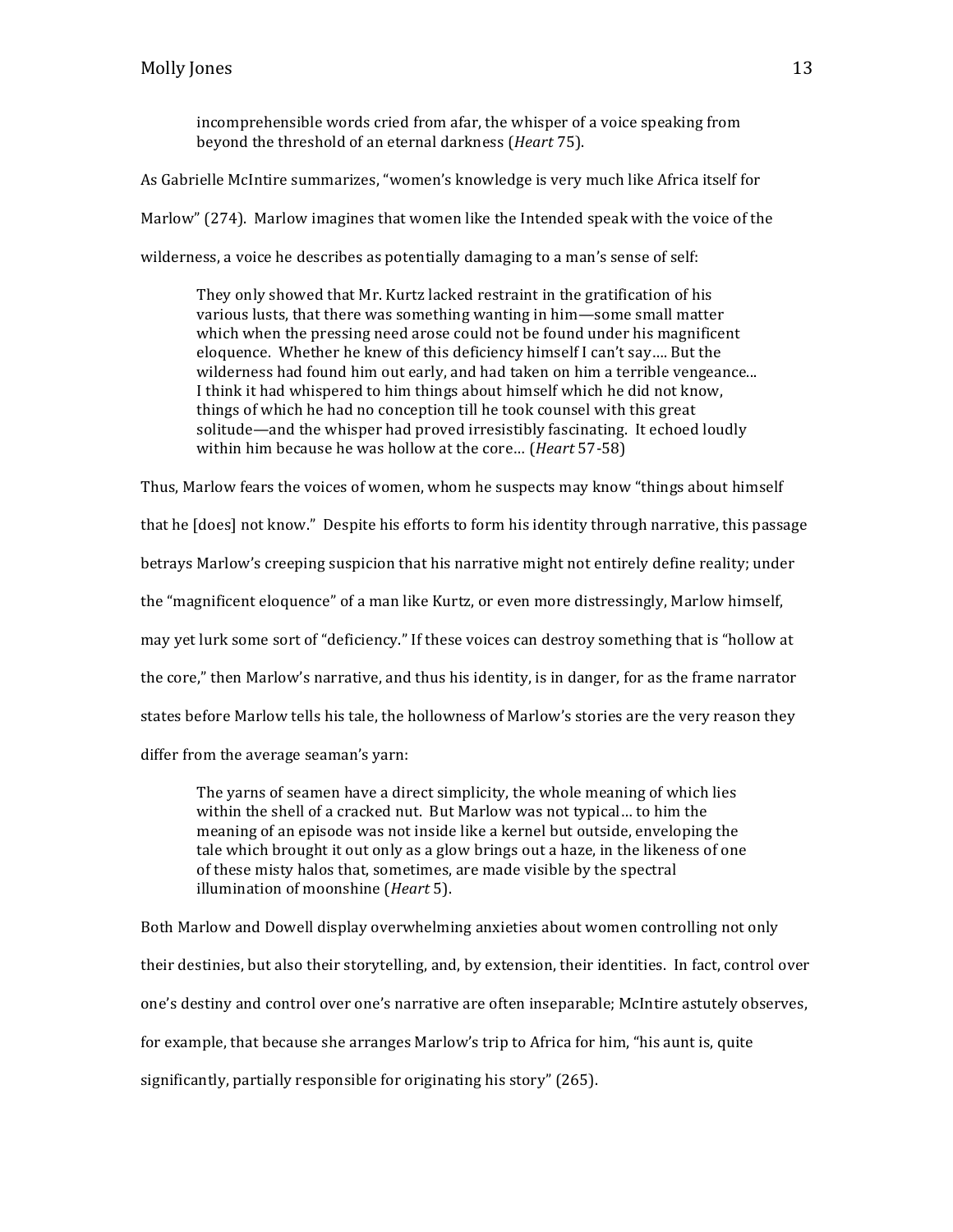incomprehensible words cried from afar, the whisper of a voice speaking from beyond the threshold of an eternal darkness (*Heart* 75).

As Gabrielle McIntire summarizes, "women's knowledge is very much like Africa itself for

Marlow" (274). Marlow imagines that women like the Intended speak with the voice of the

wilderness, a voice he describes as potentially damaging to a man's sense of self:

They only showed that Mr. Kurtz lacked restraint in the gratification of his various lusts, that there was something wanting in him—some small matter which when the pressing need arose could not be found under his magnificent eloquence. Whether he knew of this deficiency himself I can't say.... But the wilderness had found him out early, and had taken on him a terrible vengeance... I think it had whispered to him things about himself which he did not know, things of which he had no conception till he took counsel with this great solitude—and the whisper had proved irresistibly fascinating. It echoed loudly within him because he was hollow at the core... (*Heart* 57-58)

Thus, Marlow fears the voices of women, whom he suspects may know "things about himself that he [does] not know." Despite his efforts to form his identity through narrative, this passage betrays Marlow's creeping suspicion that his narrative might not entirely define reality; under the "magnificent eloquence" of a man like Kurtz, or even more distressingly, Marlow himself, may yet lurk some sort of "deficiency." If these voices can destroy something that is "hollow at the core," then Marlow's narrative, and thus his identity, is in danger, for as the frame narrator states before Marlow tells his tale, the hollowness of Marlow's stories are the very reason they differ from the average seaman's yarn:

The varns of seamen have a direct simplicity, the whole meaning of which lies within the shell of a cracked nut. But Marlow was not typical... to him the meaning of an episode was not inside like a kernel but outside, enveloping the tale which brought it out only as a glow brings out a haze, in the likeness of one of these misty halos that, sometimes, are made visible by the spectral illumination of moonshine (*Heart* 5).

Both Marlow and Dowell display overwhelming anxieties about women controlling not only their destinies, but also their storytelling, and, by extension, their identities. In fact, control over one's destiny and control over one's narrative are often inseparable; McIntire astutely observes, for example, that because she arranges Marlow's trip to Africa for him, "his aunt is, quite significantly, partially responsible for originating his story" (265).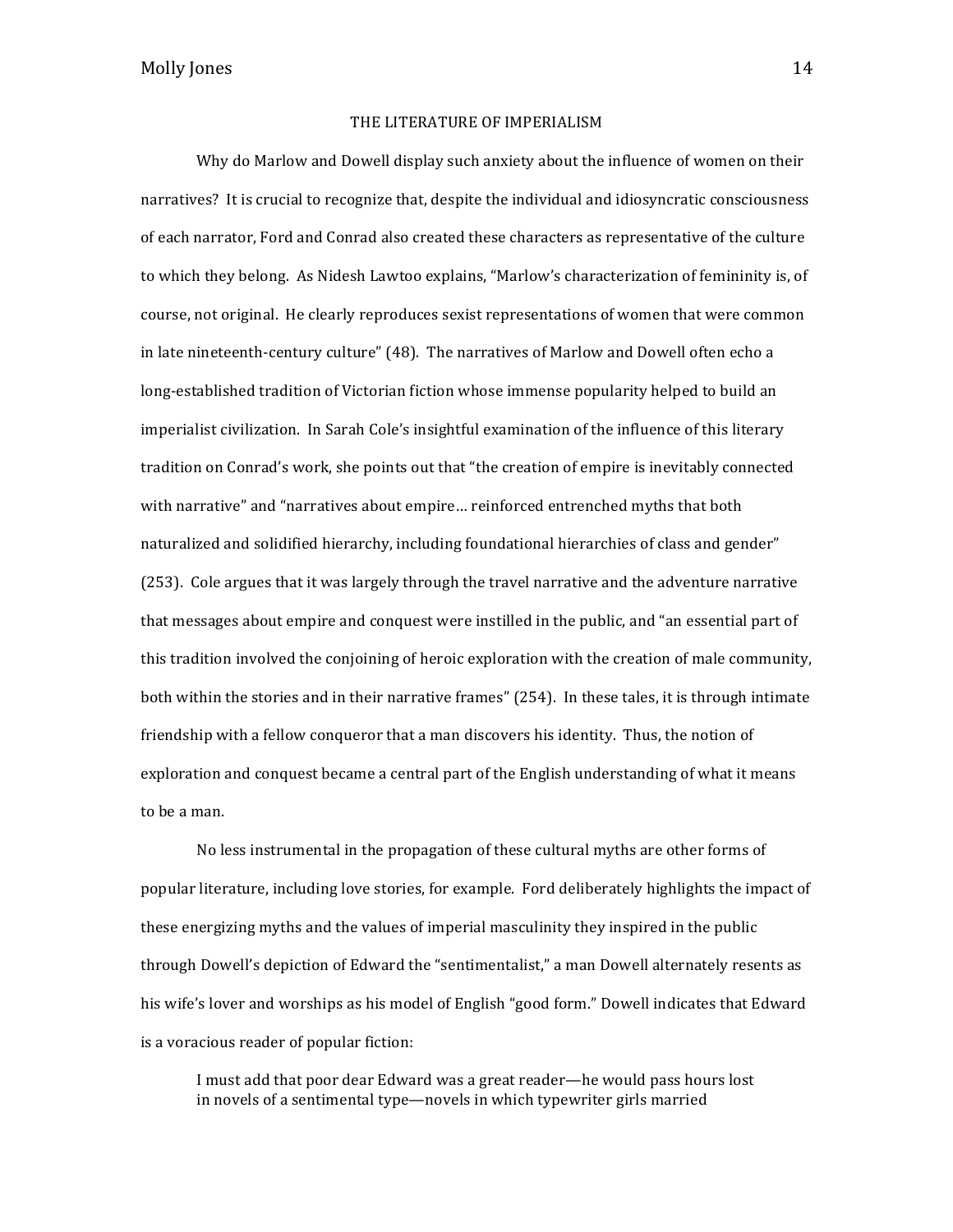#### THE LITERATURE OF IMPERIALISM

Why do Marlow and Dowell display such anxiety about the influence of women on their narratives? It is crucial to recognize that, despite the individual and idiosyncratic consciousness of each narrator, Ford and Conrad also created these characters as representative of the culture to which they belong. As Nidesh Lawtoo explains, "Marlow's characterization of femininity is, of course, not original. He clearly reproduces sexist representations of women that were common in late nineteenth-century culture" (48). The narratives of Marlow and Dowell often echo a long-established tradition of Victorian fiction whose immense popularity helped to build an imperialist civilization. In Sarah Cole's insightful examination of the influence of this literary tradition on Conrad's work, she points out that "the creation of empire is inevitably connected with narrative" and "narratives about empire... reinforced entrenched myths that both naturalized and solidified hierarchy, including foundational hierarchies of class and gender" (253). Cole argues that it was largely through the travel narrative and the adventure narrative that messages about empire and conquest were instilled in the public, and "an essential part of this tradition involved the conjoining of heroic exploration with the creation of male community, both within the stories and in their narrative frames" (254). In these tales, it is through intimate friendship with a fellow conqueror that a man discovers his identity. Thus, the notion of exploration and conquest became a central part of the English understanding of what it means to be a man.

No less instrumental in the propagation of these cultural myths are other forms of popular literature, including love stories, for example. Ford deliberately highlights the impact of these energizing myths and the values of imperial masculinity they inspired in the public through Dowell's depiction of Edward the "sentimentalist," a man Dowell alternately resents as his wife's lover and worships as his model of English "good form." Dowell indicates that Edward is a voracious reader of popular fiction:

I must add that poor dear Edward was a great reader—he would pass hours lost in novels of a sentimental type—novels in which typewriter girls married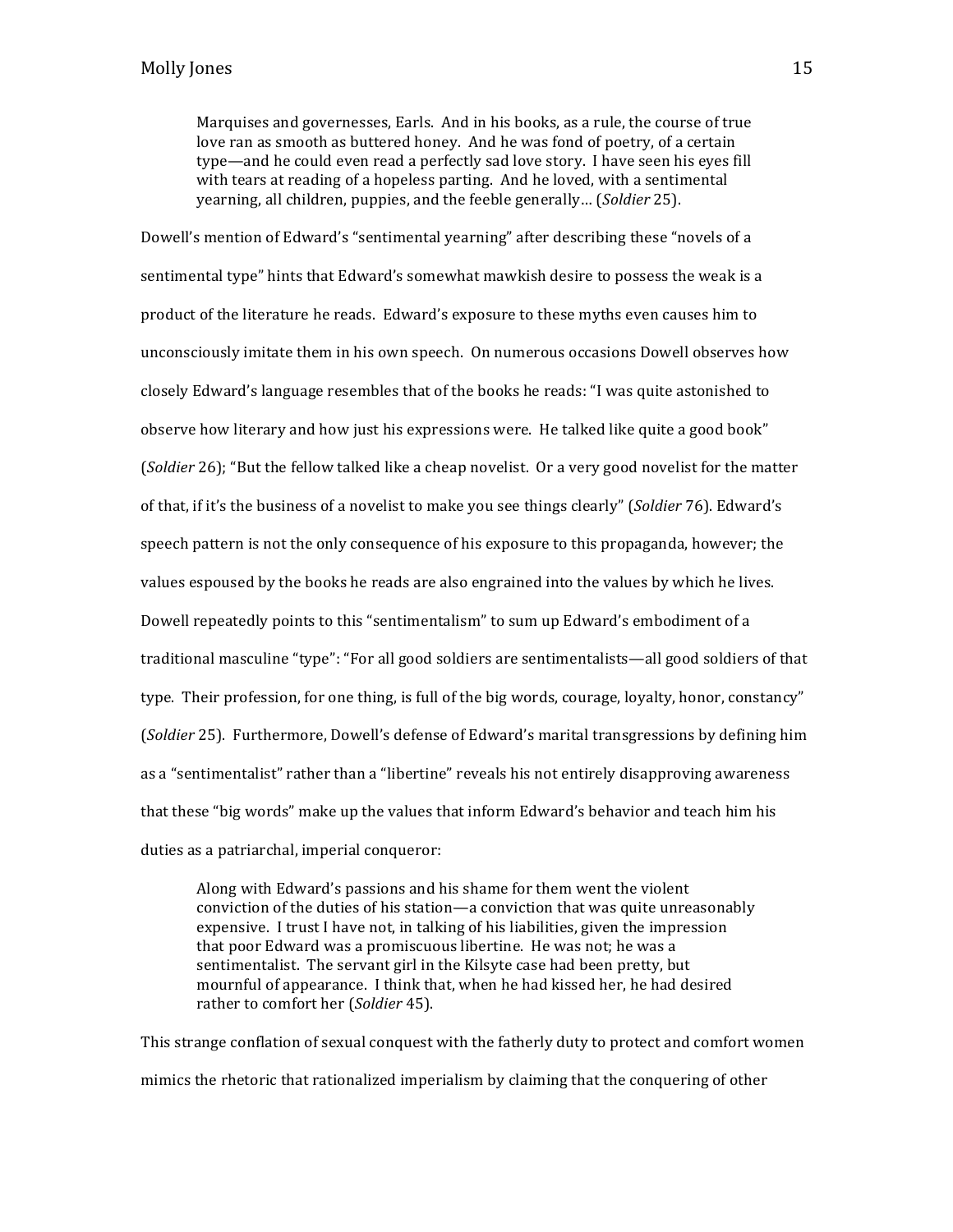Marquises and governesses, Earls. And in his books, as a rule, the course of true love ran as smooth as buttered honey. And he was fond of poetry, of a certain type—and he could even read a perfectly sad love story. I have seen his eyes fill with tears at reading of a hopeless parting. And he loved, with a sentimental yearning, all children, puppies, and the feeble generally... (*Soldier* 25).

Dowell's mention of Edward's "sentimental yearning" after describing these "novels of a sentimental type" hints that Edward's somewhat mawkish desire to possess the weak is a product of the literature he reads. Edward's exposure to these myths even causes him to unconsciously imitate them in his own speech. On numerous occasions Dowell observes how closely Edward's language resembles that of the books he reads: "I was quite astonished to observe how literary and how just his expressions were. He talked like quite a good book" (*Soldier* 26); "But the fellow talked like a cheap novelist. Or a very good novelist for the matter of that, if it's the business of a novelist to make you see things clearly" (*Soldier* 76). Edward's speech pattern is not the only consequence of his exposure to this propaganda, however; the values espoused by the books he reads are also engrained into the values by which he lives. Dowell repeatedly points to this "sentimentalism" to sum up Edward's embodiment of a traditional masculine "type": "For all good soldiers are sentimentalists—all good soldiers of that type. Their profession, for one thing, is full of the big words, courage, loyalty, honor, constancy" (*Soldier* 25). Furthermore, Dowell's defense of Edward's marital transgressions by defining him as a "sentimentalist" rather than a "libertine" reveals his not entirely disapproving awareness that these "big words" make up the values that inform Edward's behavior and teach him his duties as a patriarchal, imperial conqueror:

Along with Edward's passions and his shame for them went the violent conviction of the duties of his station—a conviction that was quite unreasonably expensive. I trust I have not, in talking of his liabilities, given the impression that poor Edward was a promiscuous libertine. He was not; he was a sentimentalist. The servant girl in the Kilsyte case had been pretty, but mournful of appearance. I think that, when he had kissed her, he had desired rather to comfort her (*Soldier* 45).

This strange conflation of sexual conquest with the fatherly duty to protect and comfort women mimics the rhetoric that rationalized imperialism by claiming that the conquering of other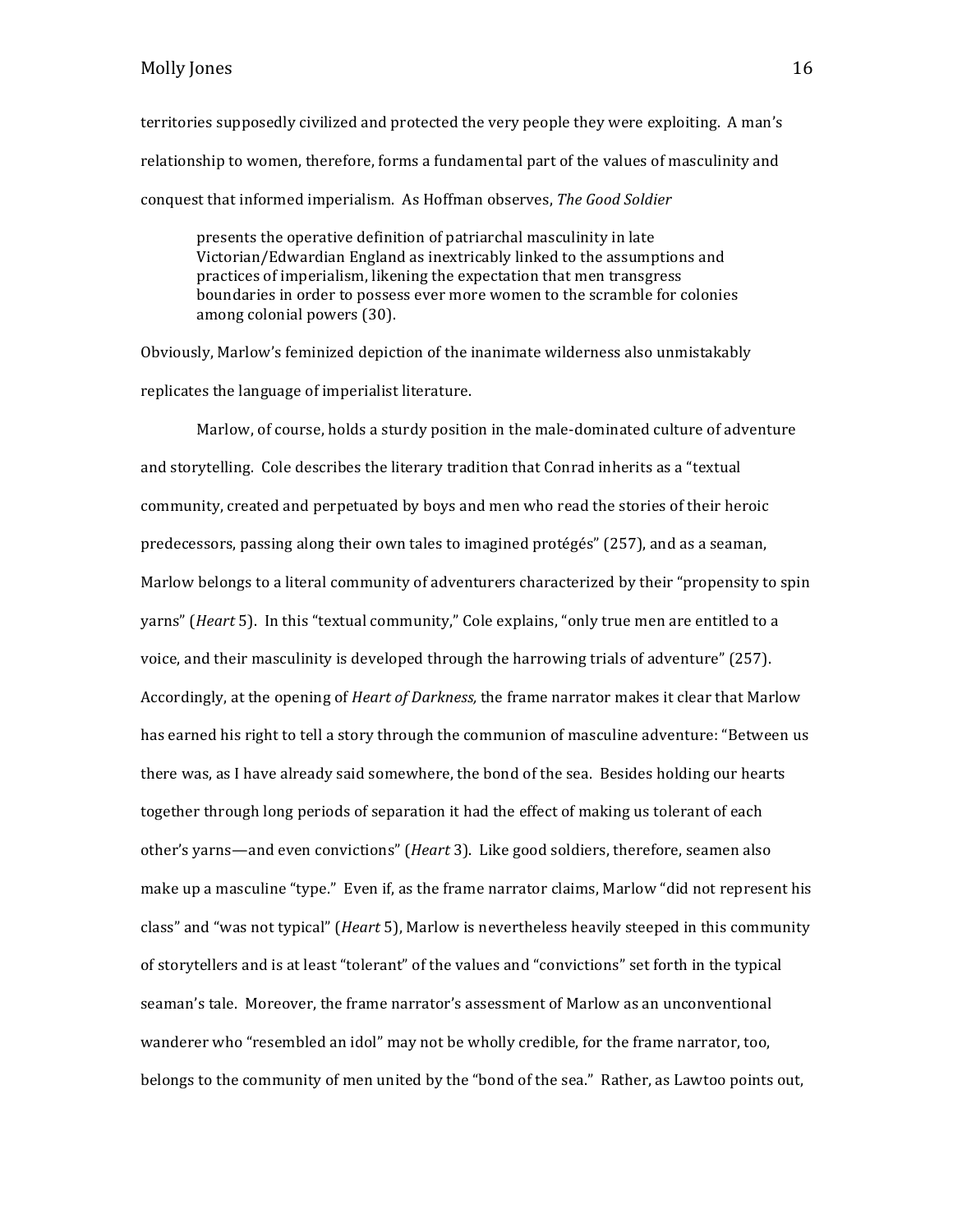territories supposedly civilized and protected the very people they were exploiting. A man's relationship to women, therefore, forms a fundamental part of the values of masculinity and conquest that informed imperialism. As Hoffman observes, *The Good Soldier* 

presents the operative definition of patriarchal masculinity in late Victorian/Edwardian England as inextricably linked to the assumptions and practices of imperialism, likening the expectation that men transgress boundaries in order to possess ever more women to the scramble for colonies among colonial powers (30).

Obviously, Marlow's feminized depiction of the inanimate wilderness also unmistakably replicates the language of imperialist literature.

Marlow, of course, holds a sturdy position in the male-dominated culture of adventure and storytelling. Cole describes the literary tradition that Conrad inherits as a "textual community, created and perpetuated by boys and men who read the stories of their heroic predecessors, passing along their own tales to imagined protégés" (257), and as a seaman, Marlow belongs to a literal community of adventurers characterized by their "propensity to spin yarns" (*Heart* 5). In this "textual community," Cole explains, "only true men are entitled to a voice, and their masculinity is developed through the harrowing trials of adventure" (257). Accordingly, at the opening of *Heart of Darkness*, the frame narrator makes it clear that Marlow has earned his right to tell a story through the communion of masculine adventure: "Between us there was, as I have already said somewhere, the bond of the sea. Besides holding our hearts together through long periods of separation it had the effect of making us tolerant of each other's varns—and even convictions" (*Heart* 3). Like good soldiers, therefore, seamen also make up a masculine "type." Even if, as the frame narrator claims, Marlow "did not represent his class" and "was not typical" (*Heart* 5), Marlow is nevertheless heavily steeped in this community of storytellers and is at least "tolerant" of the values and "convictions" set forth in the typical seaman's tale. Moreover, the frame narrator's assessment of Marlow as an unconventional wanderer who "resembled an idol" may not be wholly credible, for the frame narrator, too, belongs to the community of men united by the "bond of the sea." Rather, as Lawtoo points out,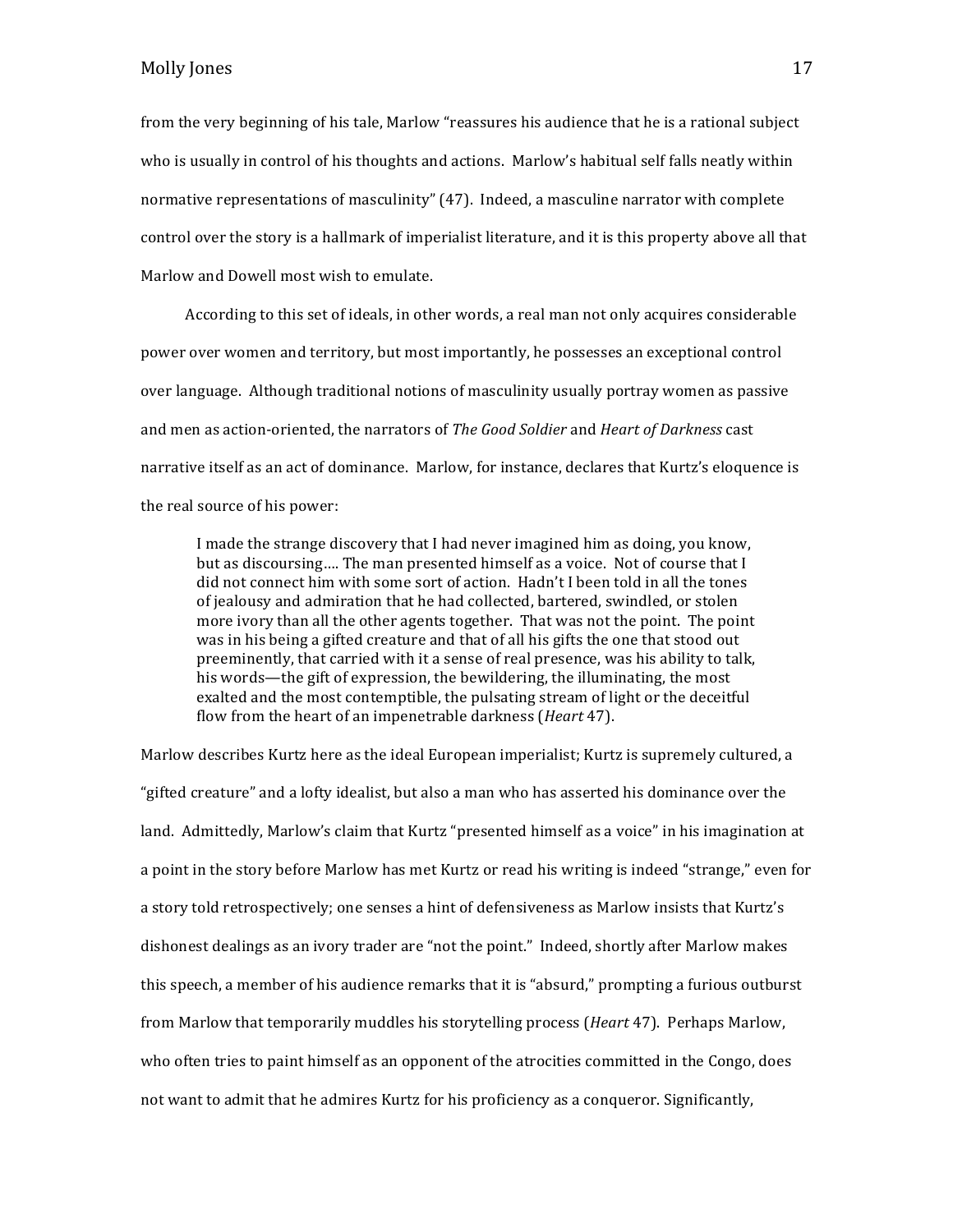from the very beginning of his tale, Marlow "reassures his audience that he is a rational subject who is usually in control of his thoughts and actions. Marlow's habitual self falls neatly within normative representations of masculinity" (47). Indeed, a masculine narrator with complete control over the story is a hallmark of imperialist literature, and it is this property above all that Marlow and Dowell most wish to emulate.

According to this set of ideals, in other words, a real man not only acquires considerable power over women and territory, but most importantly, he possesses an exceptional control over language. Although traditional notions of masculinity usually portray women as passive and men as action-oriented, the narrators of *The Good Soldier* and *Heart of Darkness* cast narrative itself as an act of dominance. Marlow, for instance, declares that Kurtz's eloquence is the real source of his power:

I made the strange discovery that I had never imagined him as doing, you know, but as discoursing.... The man presented himself as a voice. Not of course that I did not connect him with some sort of action. Hadn't I been told in all the tones of jealousy and admiration that he had collected, bartered, swindled, or stolen more ivory than all the other agents together. That was not the point. The point was in his being a gifted creature and that of all his gifts the one that stood out preeminently, that carried with it a sense of real presence, was his ability to talk, his words—the gift of expression, the bewildering, the illuminating, the most exalted and the most contemptible, the pulsating stream of light or the deceitful flow from the heart of an impenetrable darkness (*Heart* 47).

Marlow describes Kurtz here as the ideal European imperialist; Kurtz is supremely cultured, a "gifted creature" and a lofty idealist, but also a man who has asserted his dominance over the land. Admittedly, Marlow's claim that Kurtz "presented himself as a voice" in his imagination at a point in the story before Marlow has met Kurtz or read his writing is indeed "strange," even for a story told retrospectively; one senses a hint of defensiveness as Marlow insists that Kurtz's dishonest dealings as an ivory trader are "not the point." Indeed, shortly after Marlow makes this speech, a member of his audience remarks that it is "absurd," prompting a furious outburst from Marlow that temporarily muddles his storytelling process (*Heart* 47). Perhaps Marlow, who often tries to paint himself as an opponent of the atrocities committed in the Congo, does not want to admit that he admires Kurtz for his proficiency as a conqueror. Significantly,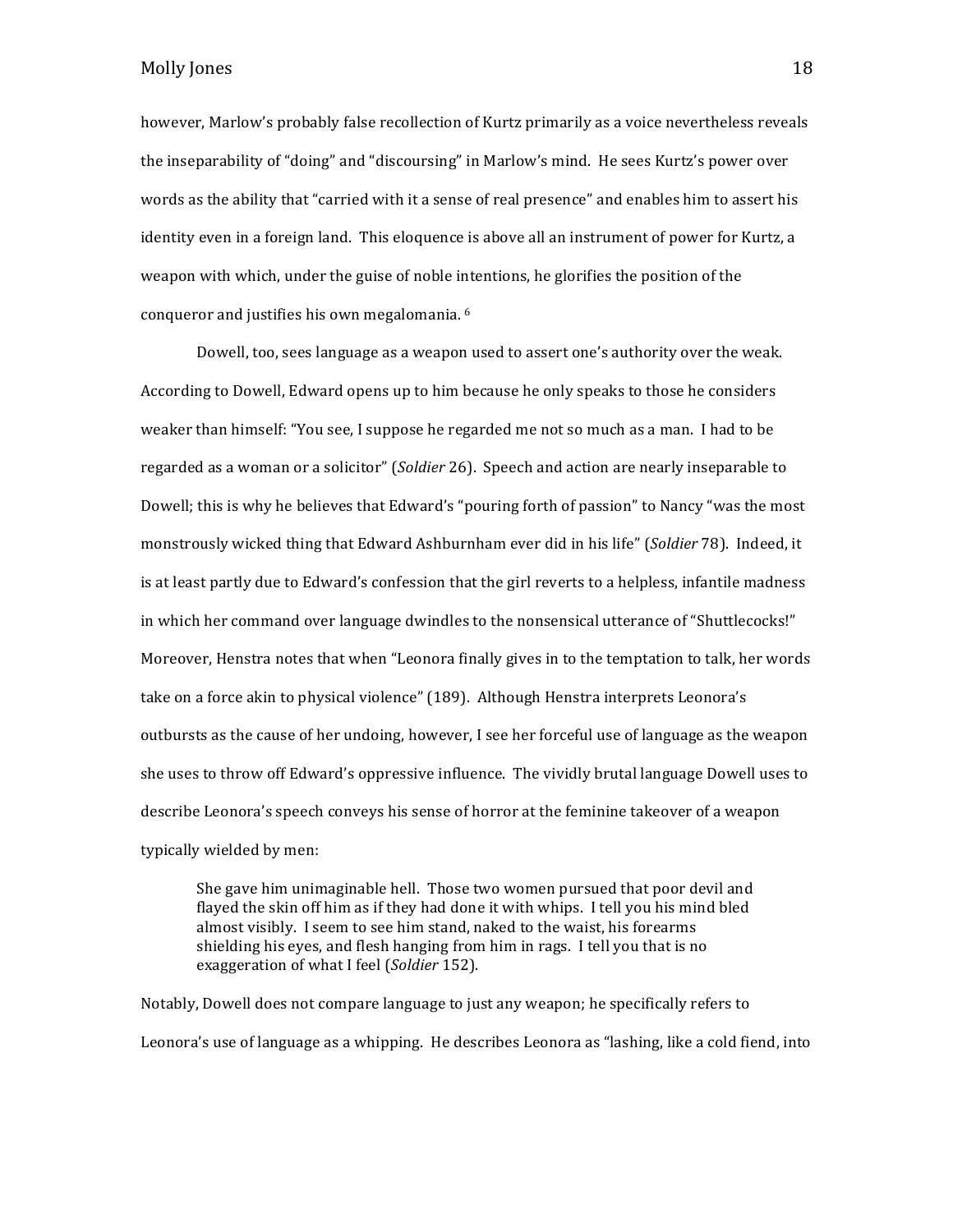however, Marlow's probably false recollection of Kurtz primarily as a voice nevertheless reveals the inseparability of "doing" and "discoursing" in Marlow's mind. He sees Kurtz's power over words as the ability that "carried with it a sense of real presence" and enables him to assert his identity even in a foreign land. This eloquence is above all an instrument of power for Kurtz, a weapon with which, under the guise of noble intentions, he glorifies the position of the conqueror and justifies his own megalomania. <sup>6</sup>

Dowell, too, sees language as a weapon used to assert one's authority over the weak. According to Dowell, Edward opens up to him because he only speaks to those he considers weaker than himself: "You see, I suppose he regarded me not so much as a man. I had to be regarded as a woman or a solicitor" (Soldier 26). Speech and action are nearly inseparable to Dowell; this is why he believes that Edward's "pouring forth of passion" to Nancy "was the most monstrously wicked thing that Edward Ashburnham ever did in his life" (*Soldier* 78). Indeed, it is at least partly due to Edward's confession that the girl reverts to a helpless, infantile madness in which her command over language dwindles to the nonsensical utterance of "Shuttlecocks!" Moreover, Henstra notes that when "Leonora finally gives in to the temptation to talk, her words take on a force akin to physical violence" (189). Although Henstra interprets Leonora's outbursts as the cause of her undoing, however, I see her forceful use of language as the weapon she uses to throw off Edward's oppressive influence. The vividly brutal language Dowell uses to describe Leonora's speech conveys his sense of horror at the feminine takeover of a weapon typically wielded by men:

She gave him unimaginable hell. Those two women pursued that poor devil and flayed the skin off him as if they had done it with whips. I tell you his mind bled almost visibly. I seem to see him stand, naked to the waist, his forearms shielding his eyes, and flesh hanging from him in rags. I tell you that is no exaggeration of what I feel (*Soldier* 152).

Notably, Dowell does not compare language to just any weapon; he specifically refers to Leonora's use of language as a whipping. He describes Leonora as "lashing, like a cold fiend, into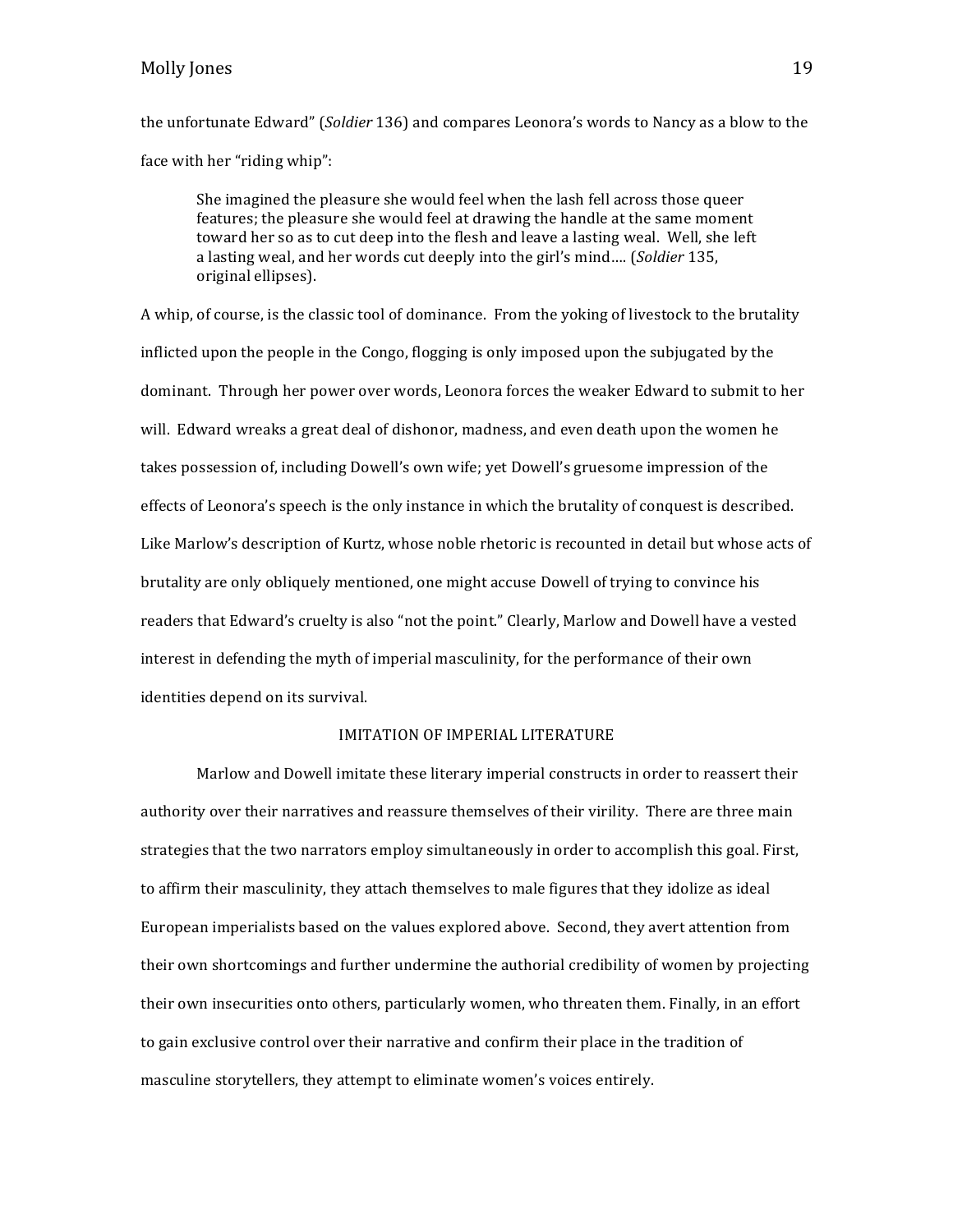# Molly Jones 2018 19

the unfortunate Edward" (*Soldier* 136) and compares Leonora's words to Nancy as a blow to the face with her "riding whip":

She imagined the pleasure she would feel when the lash fell across those queer features; the pleasure she would feel at drawing the handle at the same moment toward her so as to cut deep into the flesh and leave a lasting weal. Well, she left a lasting weal, and her words cut deeply into the girl's mind.... (Soldier 135, original ellipses). 

A whip, of course, is the classic tool of dominance. From the yoking of livestock to the brutality inflicted upon the people in the Congo, flogging is only imposed upon the subjugated by the dominant. Through her power over words, Leonora forces the weaker Edward to submit to her will. Edward wreaks a great deal of dishonor, madness, and even death upon the women he takes possession of, including Dowell's own wife; yet Dowell's gruesome impression of the effects of Leonora's speech is the only instance in which the brutality of conquest is described. Like Marlow's description of Kurtz, whose noble rhetoric is recounted in detail but whose acts of brutality are only obliquely mentioned, one might accuse Dowell of trying to convince his readers that Edward's cruelty is also "not the point." Clearly, Marlow and Dowell have a vested interest in defending the myth of imperial masculinity, for the performance of their own identities depend on its survival.

#### IMITATION OF IMPERIAL LITERATURE

Marlow and Dowell imitate these literary imperial constructs in order to reassert their authority over their narratives and reassure themselves of their virility. There are three main strategies that the two narrators employ simultaneously in order to accomplish this goal. First, to affirm their masculinity, they attach themselves to male figures that they idolize as ideal European imperialists based on the values explored above. Second, they avert attention from their own shortcomings and further undermine the authorial credibility of women by projecting their own insecurities onto others, particularly women, who threaten them. Finally, in an effort to gain exclusive control over their narrative and confirm their place in the tradition of masculine storytellers, they attempt to eliminate women's voices entirely.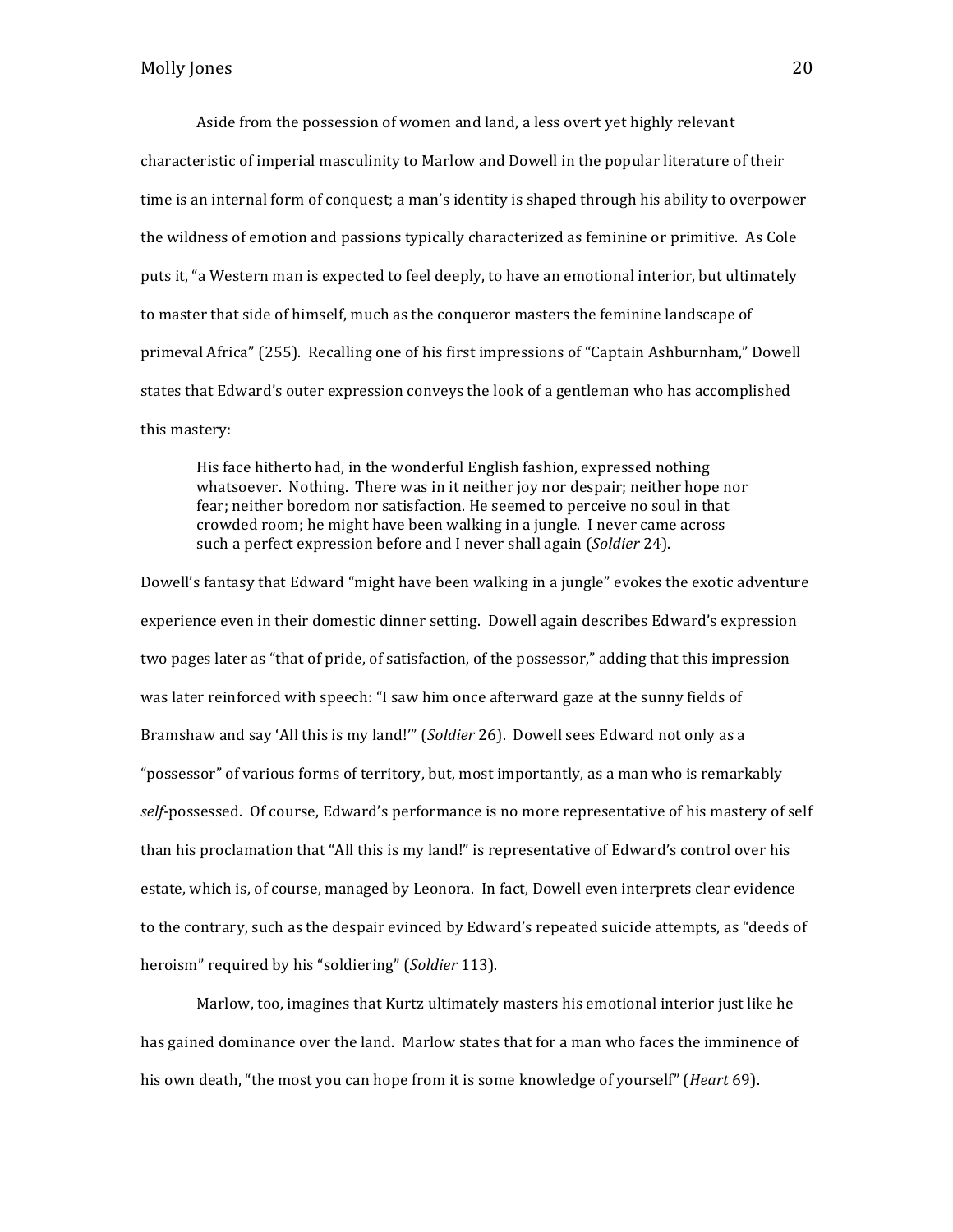Aside from the possession of women and land, a less overt yet highly relevant characteristic of imperial masculinity to Marlow and Dowell in the popular literature of their time is an internal form of conquest; a man's identity is shaped through his ability to overpower the wildness of emotion and passions typically characterized as feminine or primitive. As Cole puts it, "a Western man is expected to feel deeply, to have an emotional interior, but ultimately to master that side of himself, much as the conqueror masters the feminine landscape of primeval Africa" (255). Recalling one of his first impressions of "Captain Ashburnham," Dowell states that Edward's outer expression conveys the look of a gentleman who has accomplished this mastery:

His face hitherto had, in the wonderful English fashion, expressed nothing whatsoever. Nothing. There was in it neither joy nor despair; neither hope nor fear; neither boredom nor satisfaction. He seemed to perceive no soul in that crowded room; he might have been walking in a jungle. I never came across such a perfect expression before and I never shall again (*Soldier* 24).

Dowell's fantasy that Edward "might have been walking in a jungle" evokes the exotic adventure experience even in their domestic dinner setting. Dowell again describes Edward's expression two pages later as "that of pride, of satisfaction, of the possessor," adding that this impression was later reinforced with speech: "I saw him once afterward gaze at the sunny fields of Bramshaw and say 'All this is my land!"' (Soldier 26). Dowell sees Edward not only as a "possessor" of various forms of territory, but, most importantly, as a man who is remarkably self-possessed. Of course, Edward's performance is no more representative of his mastery of self than his proclamation that "All this is my land!" is representative of Edward's control over his estate, which is, of course, managed by Leonora. In fact, Dowell even interprets clear evidence to the contrary, such as the despair evinced by Edward's repeated suicide attempts, as "deeds of heroism" required by his "soldiering" (*Soldier* 113).

Marlow, too, imagines that Kurtz ultimately masters his emotional interior just like he has gained dominance over the land. Marlow states that for a man who faces the imminence of his own death, "the most you can hope from it is some knowledge of yourself" (*Heart* 69).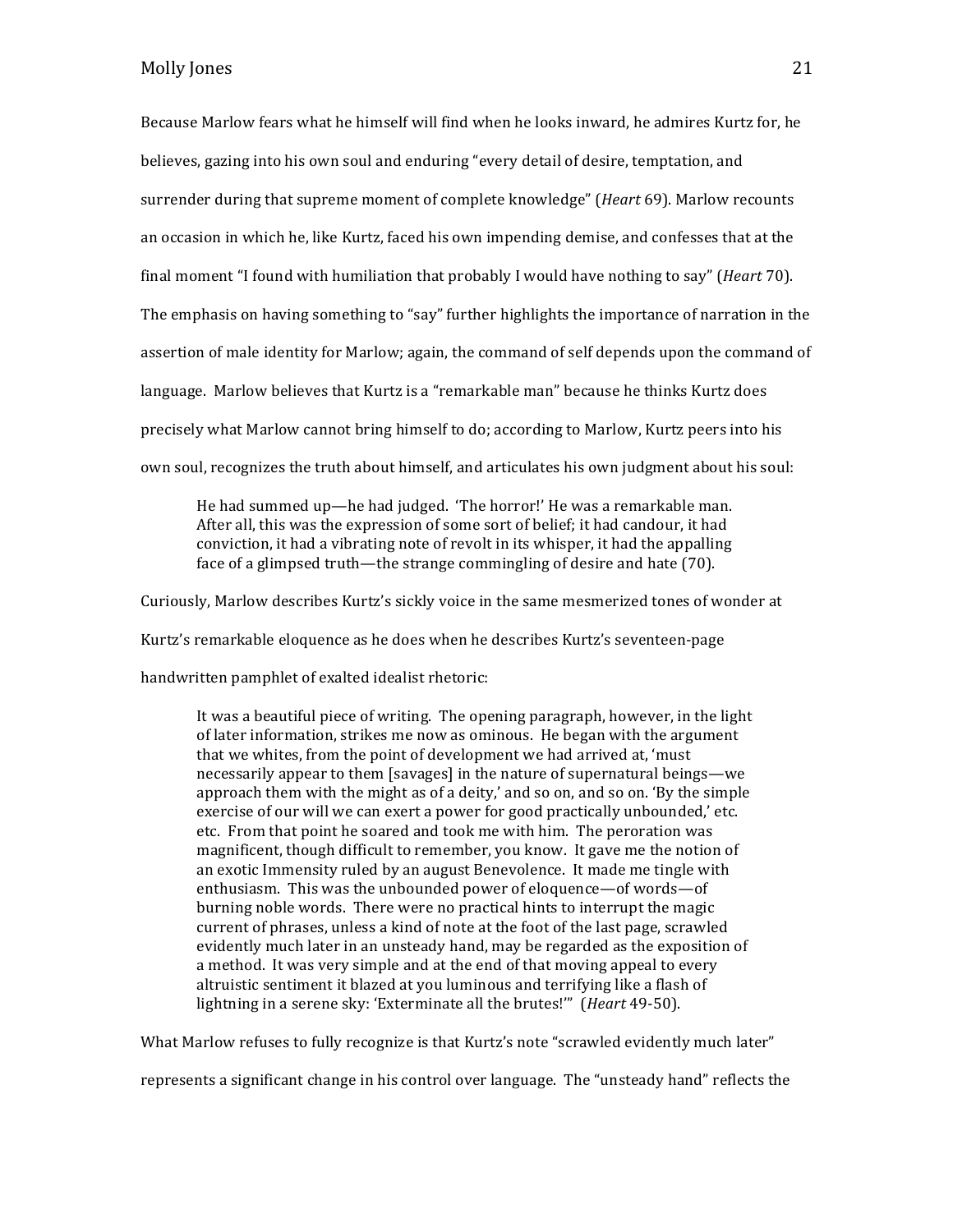Because Marlow fears what he himself will find when he looks inward, he admires Kurtz for, he believes, gazing into his own soul and enduring "every detail of desire, temptation, and surrender during that supreme moment of complete knowledge" (*Heart* 69). Marlow recounts an occasion in which he, like Kurtz, faced his own impending demise, and confesses that at the final moment "I found with humiliation that probably I would have nothing to say" (*Heart* 70). The emphasis on having something to "say" further highlights the importance of narration in the assertion of male identity for Marlow; again, the command of self depends upon the command of language. Marlow believes that Kurtz is a "remarkable man" because he thinks Kurtz does precisely what Marlow cannot bring himself to do; according to Marlow, Kurtz peers into his own soul, recognizes the truth about himself, and articulates his own judgment about his soul:

He had summed up—he had judged. 'The horror!' He was a remarkable man. After all, this was the expression of some sort of belief; it had candour, it had conviction, it had a vibrating note of revolt in its whisper, it had the appalling face of a glimpsed truth—the strange commingling of desire and hate (70).

Curiously, Marlow describes Kurtz's sickly voice in the same mesmerized tones of wonder at

Kurtz's remarkable eloquence as he does when he describes Kurtz's seventeen-page

handwritten pamphlet of exalted idealist rhetoric:

It was a beautiful piece of writing. The opening paragraph, however, in the light of later information, strikes me now as ominous. He began with the argument that we whites, from the point of development we had arrived at, 'must necessarily appear to them [savages] in the nature of supernatural beings—we approach them with the might as of a deity,' and so on, and so on. 'By the simple exercise of our will we can exert a power for good practically unbounded,' etc. etc. From that point he soared and took me with him. The peroration was magnificent, though difficult to remember, you know. It gave me the notion of an exotic Immensity ruled by an august Benevolence. It made me tingle with enthusiasm. This was the unbounded power of eloquence—of words—of burning noble words. There were no practical hints to interrupt the magic current of phrases, unless a kind of note at the foot of the last page, scrawled evidently much later in an unsteady hand, may be regarded as the exposition of a method. It was very simple and at the end of that moving appeal to every altruistic sentiment it blazed at you luminous and terrifying like a flash of lightning in a serene sky: 'Exterminate all the brutes!'" (*Heart* 49-50).

What Marlow refuses to fully recognize is that Kurtz's note "scrawled evidently much later"

represents a significant change in his control over language. The "unsteady hand" reflects the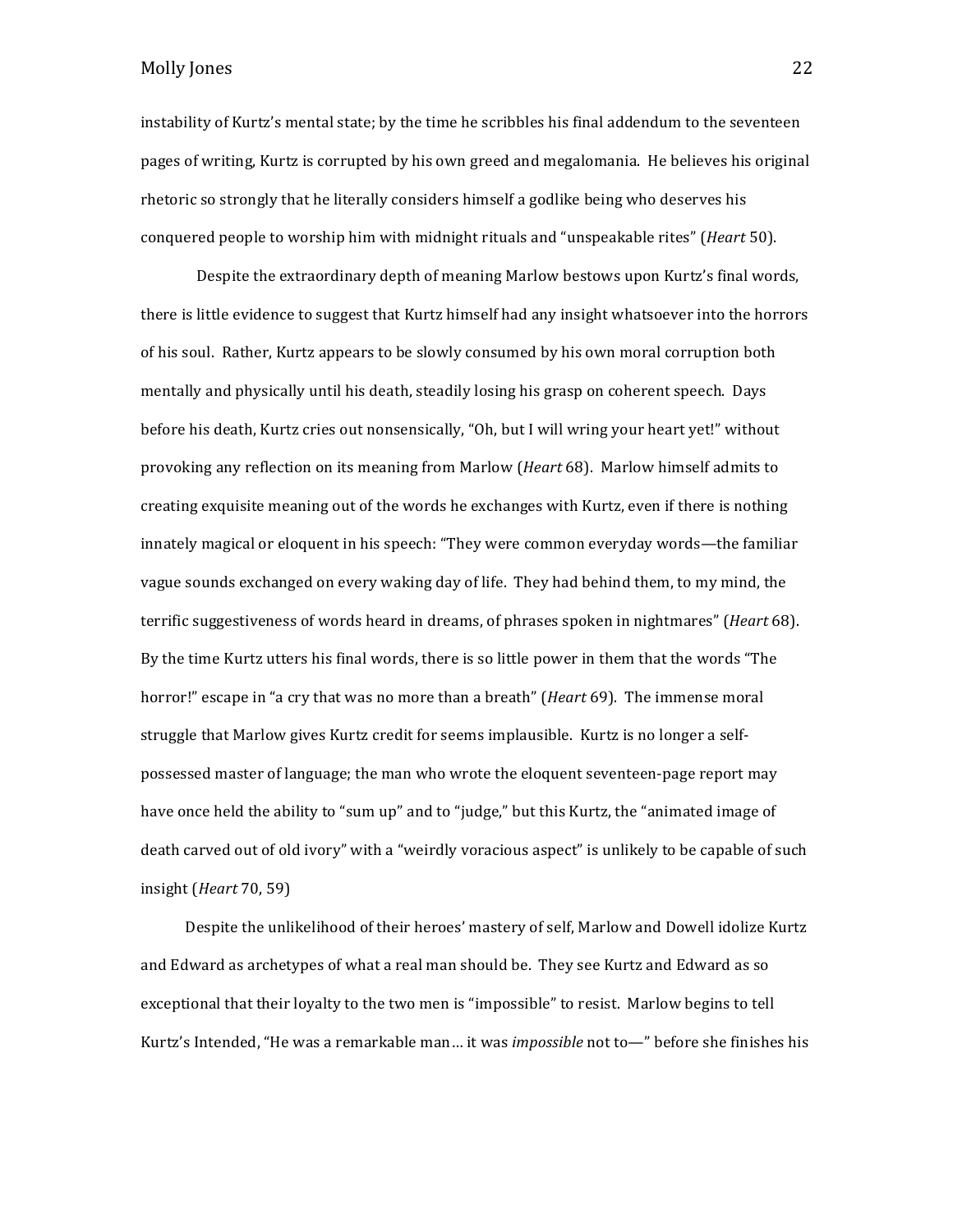instability of Kurtz's mental state; by the time he scribbles his final addendum to the seventeen pages of writing, Kurtz is corrupted by his own greed and megalomania. He believes his original rhetoric so strongly that he literally considers himself a godlike being who deserves his conquered people to worship him with midnight rituals and "unspeakable rites" (*Heart* 50).

Despite the extraordinary depth of meaning Marlow bestows upon Kurtz's final words, there is little evidence to suggest that Kurtz himself had any insight whatsoever into the horrors of his soul. Rather, Kurtz appears to be slowly consumed by his own moral corruption both mentally and physically until his death, steadily losing his grasp on coherent speech. Days before his death, Kurtz cries out nonsensically, "Oh, but I will wring your heart yet!" without provoking any reflection on its meaning from Marlow (*Heart* 68). Marlow himself admits to creating exquisite meaning out of the words he exchanges with Kurtz, even if there is nothing innately magical or eloquent in his speech: "They were common everyday words—the familiar vague sounds exchanged on every waking day of life. They had behind them, to my mind, the terrific suggestiveness of words heard in dreams, of phrases spoken in nightmares" (*Heart* 68). By the time Kurtz utters his final words, there is so little power in them that the words "The horror!" escape in "a cry that was no more than a breath" (*Heart* 69). The immense moral struggle that Marlow gives Kurtz credit for seems implausible. Kurtz is no longer a selfpossessed master of language; the man who wrote the eloquent seventeen-page report may have once held the ability to "sum up" and to "judge," but this Kurtz, the "animated image of death carved out of old ivory" with a "weirdly voracious aspect" is unlikely to be capable of such insight (*Heart* 70, 59)

Despite the unlikelihood of their heroes' mastery of self, Marlow and Dowell idolize Kurtz and Edward as archetypes of what a real man should be. They see Kurtz and Edward as so exceptional that their loyalty to the two men is "impossible" to resist. Marlow begins to tell Kurtz's Intended, "He was a remarkable man... it was *impossible* not to—" before she finishes his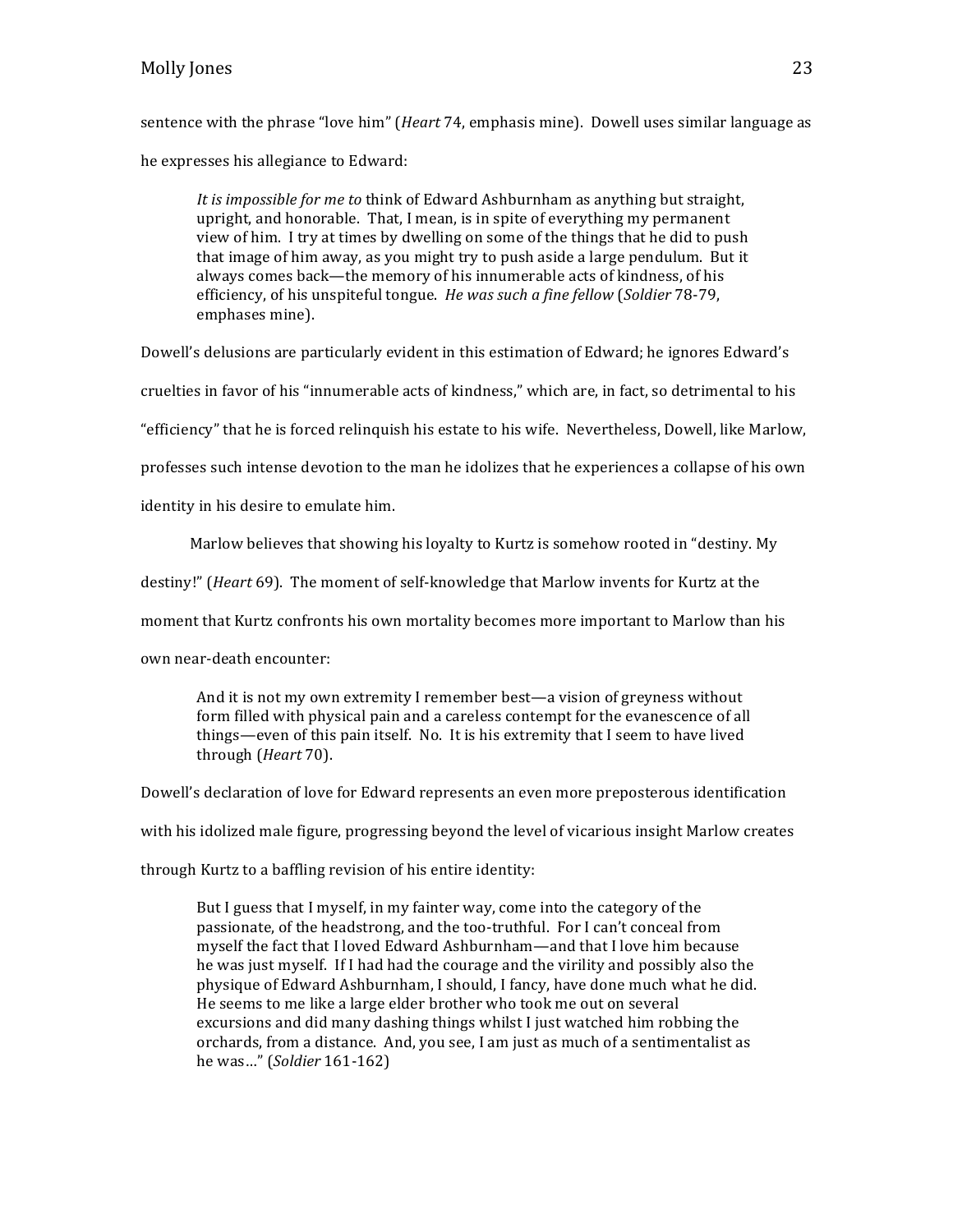sentence with the phrase "love him" *(Heart* 74, emphasis mine). Dowell uses similar language as he expresses his allegiance to Edward:

*It is impossible for me to think of Edward Ashburnham as anything but straight,* upright, and honorable. That, I mean, is in spite of everything my permanent view of him. I try at times by dwelling on some of the things that he did to push that image of him away, as you might try to push aside a large pendulum. But it always comes back—the memory of his innumerable acts of kindness, of his efficiency, of his unspiteful tongue. He was such a fine fellow (*Soldier* 78-79, emphases mine).

Dowell's delusions are particularly evident in this estimation of Edward; he ignores Edward's

cruelties in favor of his "innumerable acts of kindness," which are, in fact, so detrimental to his

"efficiency" that he is forced relinquish his estate to his wife. Nevertheless, Dowell, like Marlow,

professes such intense devotion to the man he idolizes that he experiences a collapse of his own

identity in his desire to emulate him.

Marlow believes that showing his loyalty to Kurtz is somehow rooted in "destiny. My

destiny!" (*Heart* 69). The moment of self-knowledge that Marlow invents for Kurtz at the

moment that Kurtz confronts his own mortality becomes more important to Marlow than his

own near-death encounter:

And it is not my own extremity I remember best—a vision of greyness without form filled with physical pain and a careless contempt for the evanescence of all things—even of this pain itself. No. It is his extremity that I seem to have lived through (*Heart* 70).

Dowell's declaration of love for Edward represents an even more preposterous identification

with his idolized male figure, progressing beyond the level of vicarious insight Marlow creates

through Kurtz to a baffling revision of his entire identity:

But I guess that I myself, in my fainter way, come into the category of the passionate, of the headstrong, and the too-truthful. For I can't conceal from myself the fact that I loved Edward Ashburnham—and that I love him because he was just myself. If I had had the courage and the virility and possibly also the physique of Edward Ashburnham, I should, I fancy, have done much what he did. He seems to me like a large elder brother who took me out on several excursions and did many dashing things whilst I just watched him robbing the orchards, from a distance. And, you see, I am just as much of a sentimentalist as he was…" (*Soldier* 161-162)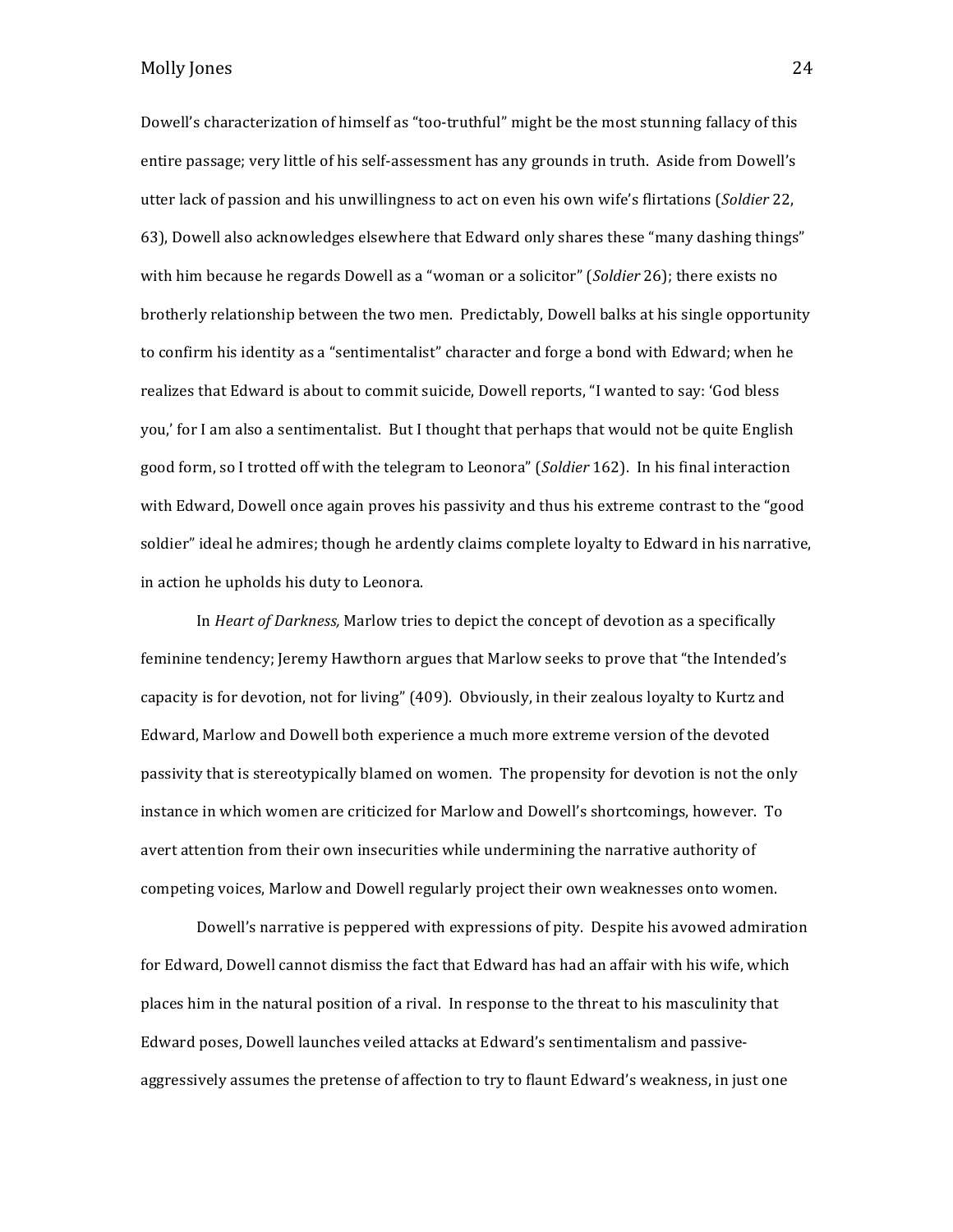Dowell's characterization of himself as "too-truthful" might be the most stunning fallacy of this entire passage; very little of his self-assessment has any grounds in truth. Aside from Dowell's utter lack of passion and his unwillingness to act on even his own wife's flirtations (*Soldier* 22, 63), Dowell also acknowledges elsewhere that Edward only shares these "many dashing things" with him because he regards Dowell as a "woman or a solicitor" (*Soldier* 26); there exists no brotherly relationship between the two men. Predictably, Dowell balks at his single opportunity to confirm his identity as a "sentimentalist" character and forge a bond with Edward; when he realizes that Edward is about to commit suicide, Dowell reports, "I wanted to say: 'God bless you,' for I am also a sentimentalist. But I thought that perhaps that would not be quite English good form, so I trotted off with the telegram to Leonora" (*Soldier* 162). In his final interaction with Edward, Dowell once again proves his passivity and thus his extreme contrast to the "good soldier" ideal he admires; though he ardently claims complete loyalty to Edward in his narrative, in action he upholds his duty to Leonora.

In *Heart of Darkness*, Marlow tries to depict the concept of devotion as a specifically feminine tendency; Jeremy Hawthorn argues that Marlow seeks to prove that "the Intended's capacity is for devotion, not for living" (409). Obviously, in their zealous loyalty to Kurtz and Edward, Marlow and Dowell both experience a much more extreme version of the devoted passivity that is stereotypically blamed on women. The propensity for devotion is not the only instance in which women are criticized for Marlow and Dowell's shortcomings, however. To avert attention from their own insecurities while undermining the narrative authority of competing voices, Marlow and Dowell regularly project their own weaknesses onto women.

Dowell's narrative is peppered with expressions of pity. Despite his avowed admiration for Edward, Dowell cannot dismiss the fact that Edward has had an affair with his wife, which places him in the natural position of a rival. In response to the threat to his masculinity that Edward poses, Dowell launches veiled attacks at Edward's sentimentalism and passiveaggressively assumes the pretense of affection to try to flaunt Edward's weakness, in just one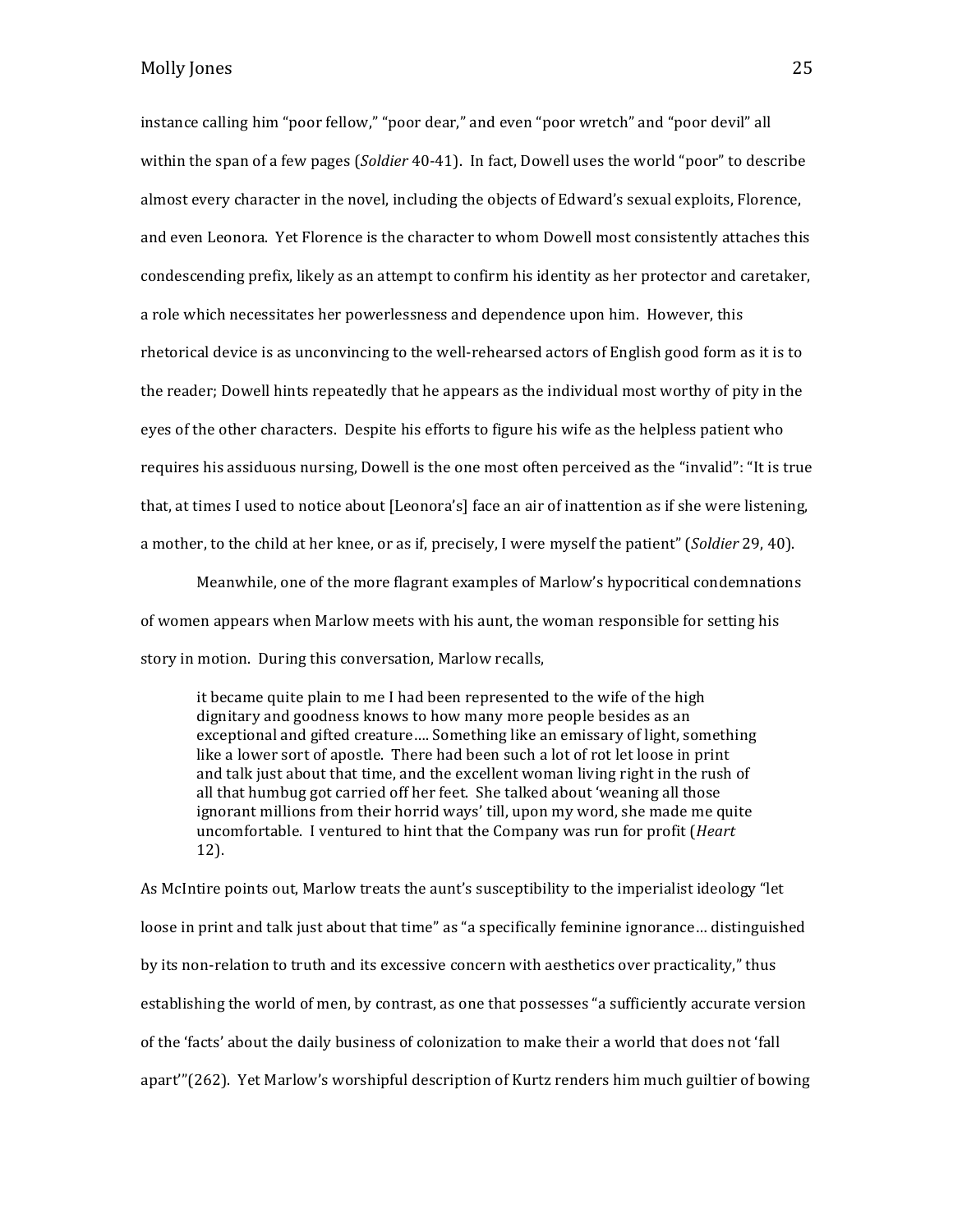instance calling him "poor fellow," "poor dear," and even "poor wretch" and "poor devil" all within the span of a few pages (*Soldier* 40-41). In fact, Dowell uses the world "poor" to describe almost every character in the novel, including the objects of Edward's sexual exploits, Florence, and even Leonora. Yet Florence is the character to whom Dowell most consistently attaches this condescending prefix, likely as an attempt to confirm his identity as her protector and caretaker, a role which necessitates her powerlessness and dependence upon him. However, this rhetorical device is as unconvincing to the well-rehearsed actors of English good form as it is to the reader; Dowell hints repeatedly that he appears as the individual most worthy of pity in the eyes of the other characters. Despite his efforts to figure his wife as the helpless patient who requires his assiduous nursing, Dowell is the one most often perceived as the "invalid": "It is true that, at times I used to notice about [Leonora's] face an air of inattention as if she were listening, a mother, to the child at her knee, or as if, precisely, I were myself the patient" (*Soldier* 29, 40).

Meanwhile, one of the more flagrant examples of Marlow's hypocritical condemnations of women appears when Marlow meets with his aunt, the woman responsible for setting his story in motion. During this conversation, Marlow recalls,

it became quite plain to me I had been represented to the wife of the high dignitary and goodness knows to how many more people besides as an exceptional and gifted creature.... Something like an emissary of light, something like a lower sort of apostle. There had been such a lot of rot let loose in print and talk just about that time, and the excellent woman living right in the rush of all that humbug got carried off her feet. She talked about 'weaning all those ignorant millions from their horrid ways' till, upon my word, she made me quite uncomfortable. I ventured to hint that the Company was run for profit (*Heart* 12). 

As McIntire points out, Marlow treats the aunt's susceptibility to the imperialist ideology "let loose in print and talk just about that time" as "a specifically feminine ignorance... distinguished by its non-relation to truth and its excessive concern with aesthetics over practicality," thus establishing the world of men, by contrast, as one that possesses "a sufficiently accurate version of the 'facts' about the daily business of colonization to make their a world that does not 'fall apart" (262). Yet Marlow's worshipful description of Kurtz renders him much guiltier of bowing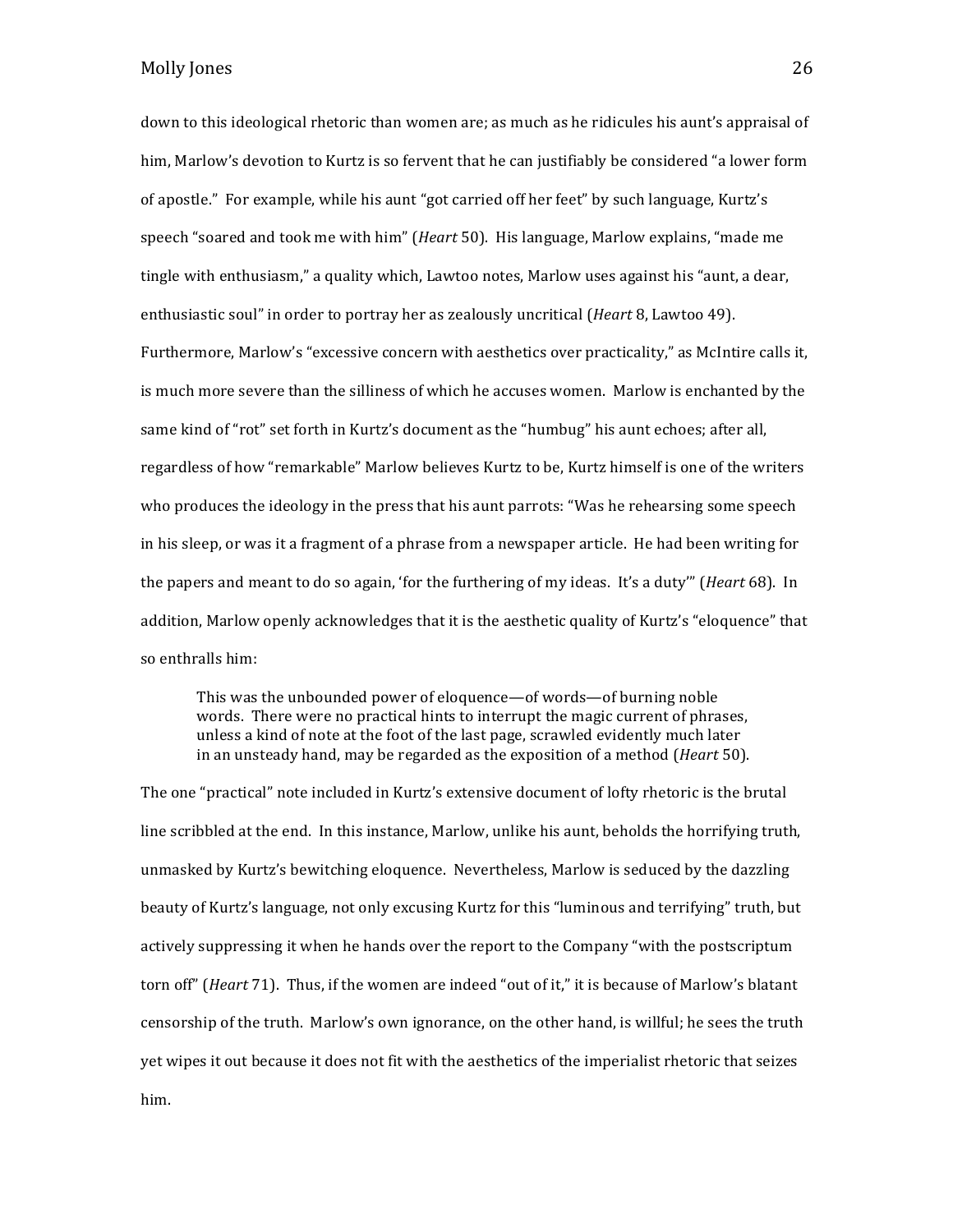down to this ideological rhetoric than women are; as much as he ridicules his aunt's appraisal of him, Marlow's devotion to Kurtz is so fervent that he can justifiably be considered "a lower form of apostle." For example, while his aunt "got carried off her feet" by such language, Kurtz's speech "soared and took me with him" (*Heart* 50). His language, Marlow explains, "made me tingle with enthusiasm," a quality which, Lawtoo notes, Marlow uses against his "aunt, a dear, enthusiastic soul" in order to portray her as zealously uncritical (*Heart* 8, Lawtoo 49). Furthermore, Marlow's "excessive concern with aesthetics over practicality," as McIntire calls it, is much more severe than the silliness of which he accuses women. Marlow is enchanted by the same kind of "rot" set forth in Kurtz's document as the "humbug" his aunt echoes; after all, regardless of how "remarkable" Marlow believes Kurtz to be, Kurtz himself is one of the writers who produces the ideology in the press that his aunt parrots: "Was he rehearsing some speech in his sleep, or was it a fragment of a phrase from a newspaper article. He had been writing for the papers and meant to do so again, 'for the furthering of my ideas. It's a duty'" (*Heart* 68). In addition, Marlow openly acknowledges that it is the aesthetic quality of Kurtz's "eloquence" that so enthralls him:

This was the unbounded power of eloquence—of words—of burning noble words. There were no practical hints to interrupt the magic current of phrases, unless a kind of note at the foot of the last page, scrawled evidently much later in an unsteady hand, may be regarded as the exposition of a method (*Heart* 50).

The one "practical" note included in Kurtz's extensive document of lofty rhetoric is the brutal line scribbled at the end. In this instance, Marlow, unlike his aunt, beholds the horrifying truth, unmasked by Kurtz's bewitching eloquence. Nevertheless, Marlow is seduced by the dazzling beauty of Kurtz's language, not only excusing Kurtz for this "luminous and terrifying" truth, but actively suppressing it when he hands over the report to the Company "with the postscriptum torn off" (*Heart* 71). Thus, if the women are indeed "out of it," it is because of Marlow's blatant censorship of the truth. Marlow's own ignorance, on the other hand, is willful; he sees the truth yet wipes it out because it does not fit with the aesthetics of the imperialist rhetoric that seizes him.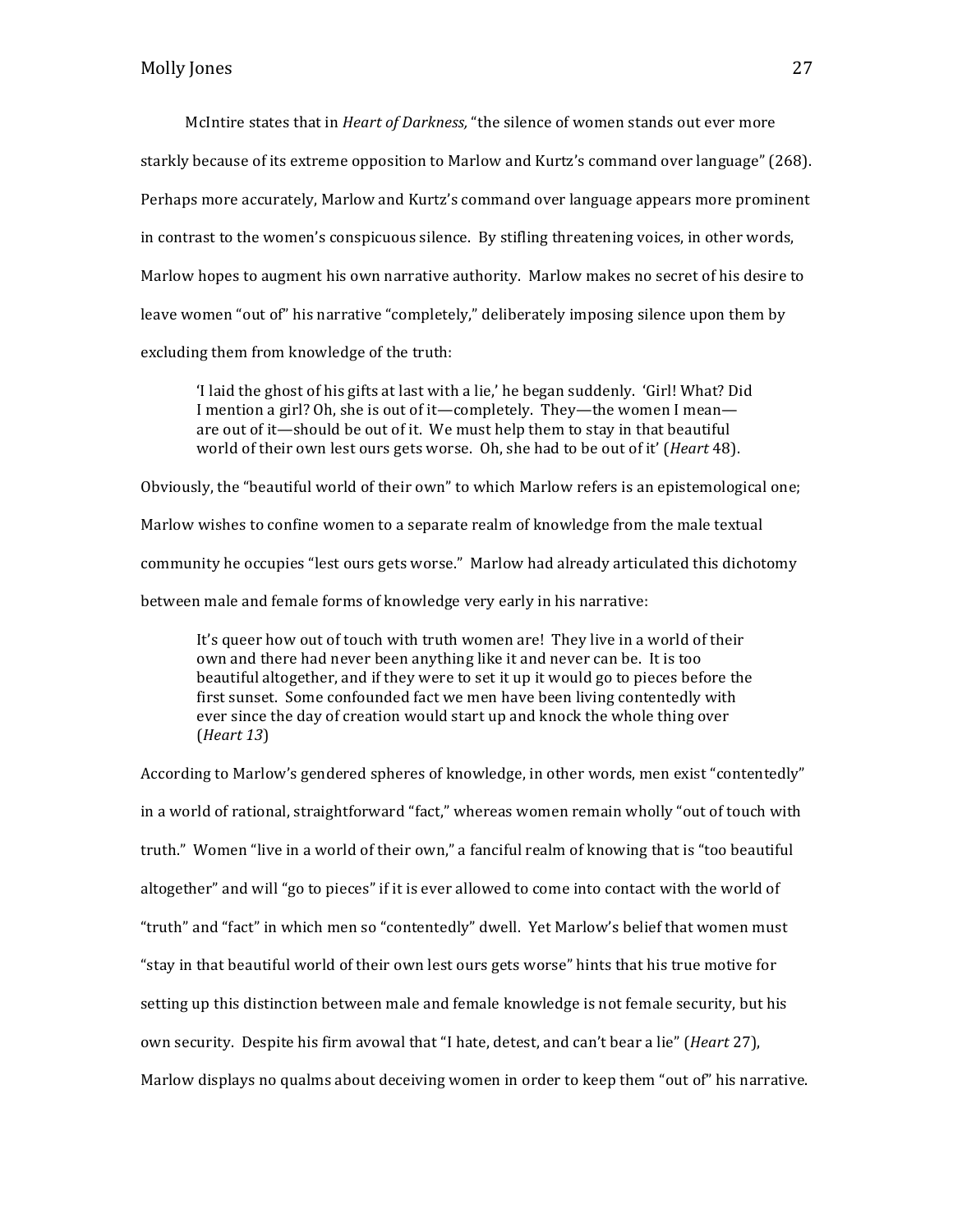McIntire states that in *Heart of Darkness*, "the silence of women stands out ever more starkly because of its extreme opposition to Marlow and Kurtz's command over language" (268). Perhaps more accurately, Marlow and Kurtz's command over language appears more prominent in contrast to the women's conspicuous silence. By stifling threatening voices, in other words, Marlow hopes to augment his own narrative authority. Marlow makes no secret of his desire to leave women "out of" his narrative "completely," deliberately imposing silence upon them by excluding them from knowledge of the truth:

I laid the ghost of his gifts at last with a lie,' he began suddenly. 'Girl! What? Did I mention a girl? Oh, she is out of it—completely. They—the women I mean are out of it—should be out of it. We must help them to stay in that beautiful world of their own lest ours gets worse. Oh, she had to be out of it' (*Heart* 48).

Obviously, the "beautiful world of their own" to which Marlow refers is an epistemological one; Marlow wishes to confine women to a separate realm of knowledge from the male textual community he occupies "lest ours gets worse." Marlow had already articulated this dichotomy between male and female forms of knowledge very early in his narrative:

It's queer how out of touch with truth women are! They live in a world of their own and there had never been anything like it and never can be. It is too beautiful altogether, and if they were to set it up it would go to pieces before the first sunset. Some confounded fact we men have been living contentedly with ever since the day of creation would start up and knock the whole thing over (*Heart 13*)

According to Marlow's gendered spheres of knowledge, in other words, men exist "contentedly" in a world of rational, straightforward "fact," whereas women remain wholly "out of touch with truth." Women "live in a world of their own," a fanciful realm of knowing that is "too beautiful altogether" and will "go to pieces" if it is ever allowed to come into contact with the world of "truth" and "fact" in which men so "contentedly" dwell. Yet Marlow's belief that women must "stay in that beautiful world of their own lest ours gets worse" hints that his true motive for setting up this distinction between male and female knowledge is not female security, but his own security. Despite his firm avowal that "I hate, detest, and can't bear a lie" (*Heart* 27), Marlow displays no qualms about deceiving women in order to keep them "out of" his narrative.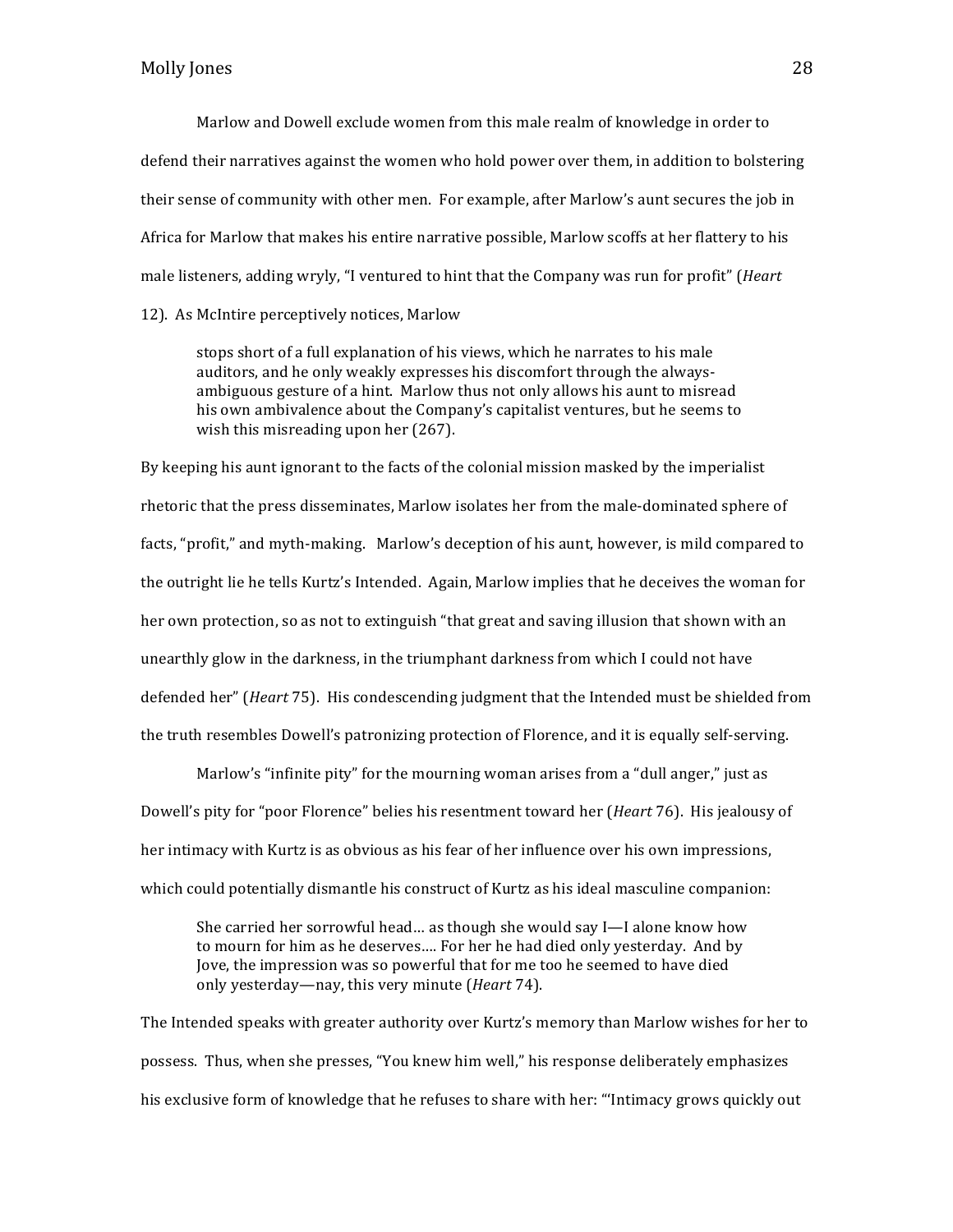Marlow and Dowell exclude women from this male realm of knowledge in order to defend their narratives against the women who hold power over them, in addition to bolstering their sense of community with other men. For example, after Marlow's aunt secures the job in Africa for Marlow that makes his entire narrative possible, Marlow scoffs at her flattery to his male listeners, adding wryly, "I ventured to hint that the Company was run for profit" (*Heart* 12). As McIntire perceptively notices, Marlow

stops short of a full explanation of his views, which he narrates to his male auditors, and he only weakly expresses his discomfort through the alwaysambiguous gesture of a hint. Marlow thus not only allows his aunt to misread his own ambivalence about the Company's capitalist ventures, but he seems to wish this misreading upon her  $(267)$ .

By keeping his aunt ignorant to the facts of the colonial mission masked by the imperialist rhetoric that the press disseminates, Marlow isolates her from the male-dominated sphere of facts, "profit," and myth-making. Marlow's deception of his aunt, however, is mild compared to the outright lie he tells Kurtz's Intended. Again, Marlow implies that he deceives the woman for her own protection, so as not to extinguish "that great and saving illusion that shown with an unearthly glow in the darkness, in the triumphant darkness from which I could not have defended her" (*Heart* 75). His condescending judgment that the Intended must be shielded from the truth resembles Dowell's patronizing protection of Florence, and it is equally self-serving.

Marlow's "infinite pity" for the mourning woman arises from a "dull anger," just as Dowell's pity for "poor Florence" belies his resentment toward her (*Heart* 76). His jealousy of her intimacy with Kurtz is as obvious as his fear of her influence over his own impressions, which could potentially dismantle his construct of Kurtz as his ideal masculine companion:

She carried her sorrowful head... as though she would say  $I - I$  alone know how to mourn for him as he deserves.... For her he had died only yesterday. And by Jove, the impression was so powerful that for me too he seemed to have died only yesterday—nay, this very minute (*Heart* 74).

The Intended speaks with greater authority over Kurtz's memory than Marlow wishes for her to possess. Thus, when she presses, "You knew him well," his response deliberately emphasizes his exclusive form of knowledge that he refuses to share with her: "Intimacy grows quickly out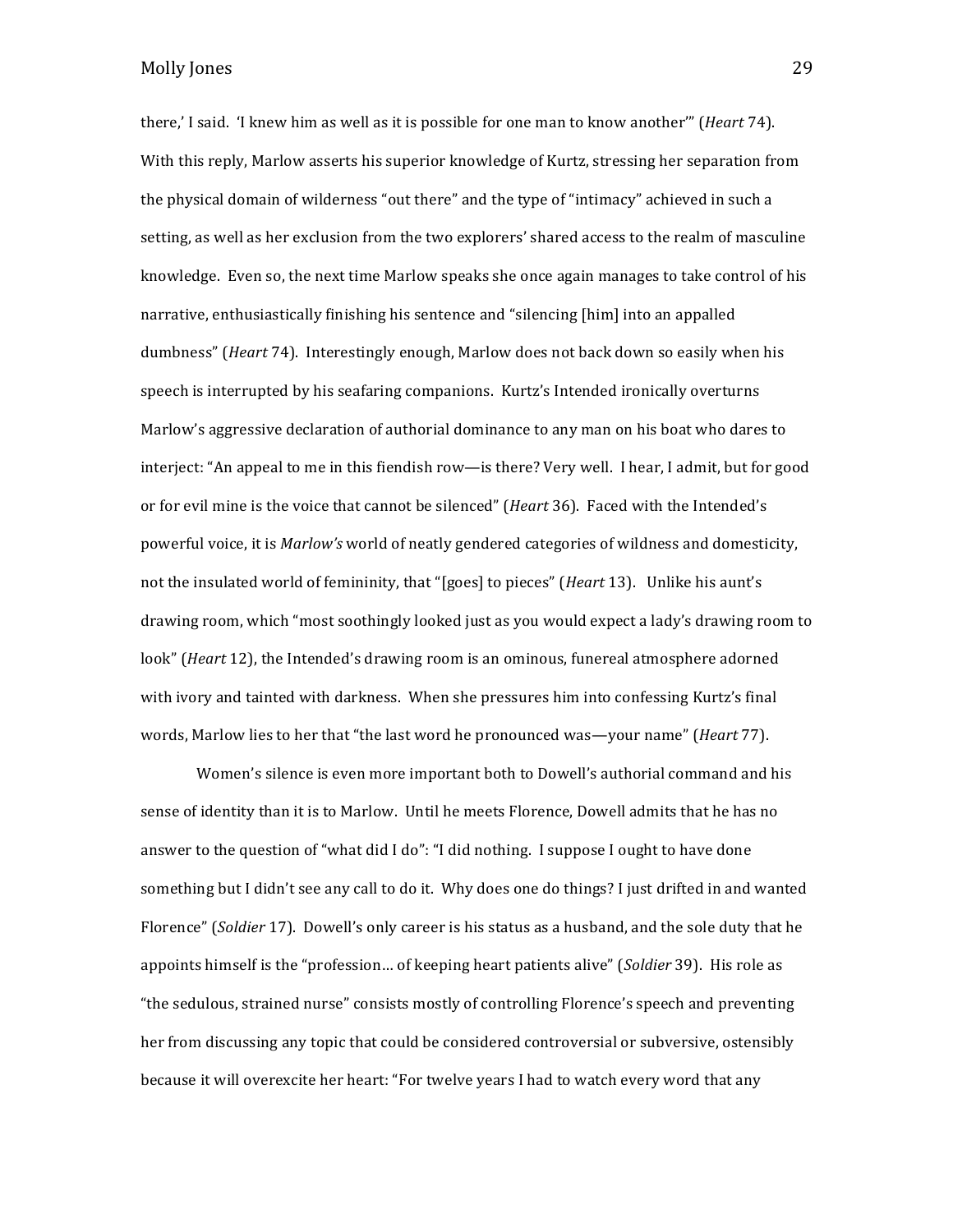there,' I said. 'I knew him as well as it is possible for one man to know another'" (*Heart* 74). With this reply, Marlow asserts his superior knowledge of Kurtz, stressing her separation from the physical domain of wilderness "out there" and the type of "intimacy" achieved in such a setting, as well as her exclusion from the two explorers' shared access to the realm of masculine knowledge. Even so, the next time Marlow speaks she once again manages to take control of his narrative, enthusiastically finishing his sentence and "silencing [him] into an appalled dumbness" (*Heart* 74). Interestingly enough, Marlow does not back down so easily when his speech is interrupted by his seafaring companions. Kurtz's Intended ironically overturns Marlow's aggressive declaration of authorial dominance to any man on his boat who dares to interject: "An appeal to me in this fiendish row—is there? Very well. I hear, I admit, but for good or for evil mine is the voice that cannot be silenced" (*Heart* 36). Faced with the Intended's powerful voice, it is *Marlow's* world of neatly gendered categories of wildness and domesticity, not the insulated world of femininity, that "[goes] to pieces" (*Heart* 13). Unlike his aunt's drawing room, which "most soothingly looked just as you would expect a lady's drawing room to look" (*Heart* 12), the Intended's drawing room is an ominous, funereal atmosphere adorned with ivory and tainted with darkness. When she pressures him into confessing Kurtz's final words, Marlow lies to her that "the last word he pronounced was—your name" (*Heart* 77).

Women's silence is even more important both to Dowell's authorial command and his sense of identity than it is to Marlow. Until he meets Florence, Dowell admits that he has no answer to the question of "what did I do": "I did nothing. I suppose I ought to have done something but I didn't see any call to do it. Why does one do things? I just drifted in and wanted Florence" (*Soldier* 17). Dowell's only career is his status as a husband, and the sole duty that he appoints himself is the "profession... of keeping heart patients alive" (*Soldier* 39). His role as "the sedulous, strained nurse" consists mostly of controlling Florence's speech and preventing her from discussing any topic that could be considered controversial or subversive, ostensibly because it will overexcite her heart: "For twelve years I had to watch every word that any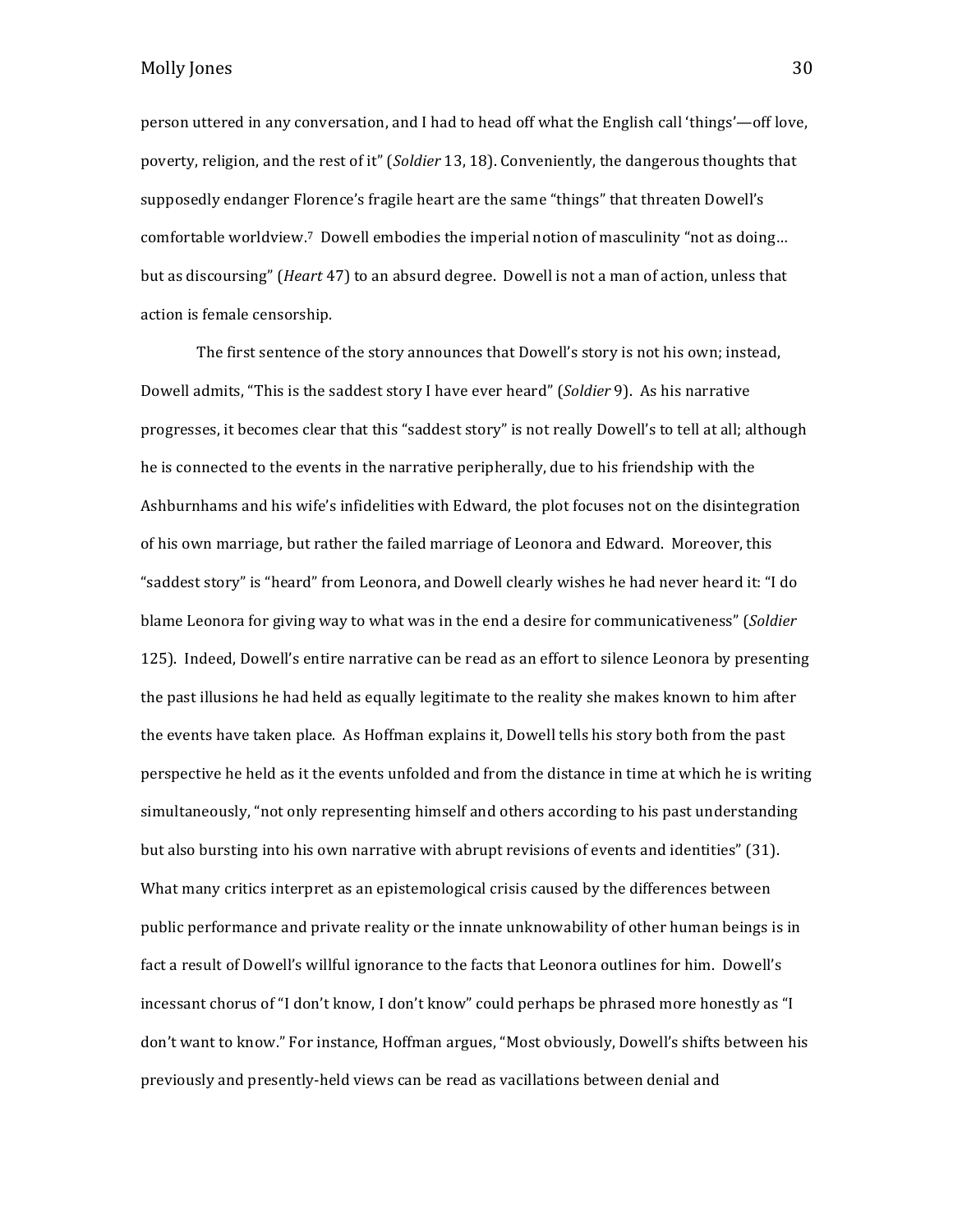person uttered in any conversation, and I had to head off what the English call 'things'—off love, poverty, religion, and the rest of it" (*Soldier* 13, 18). Conveniently, the dangerous thoughts that supposedly endanger Florence's fragile heart are the same "things" that threaten Dowell's comfortable worldview.<sup>7</sup> Dowell embodies the imperial notion of masculinity "not as doing... but as discoursing" (*Heart* 47) to an absurd degree. Dowell is not a man of action, unless that action is female censorship.

The first sentence of the story announces that Dowell's story is not his own; instead, Dowell admits, "This is the saddest story I have ever heard" (*Soldier* 9). As his narrative progresses, it becomes clear that this "saddest story" is not really Dowell's to tell at all; although he is connected to the events in the narrative peripherally, due to his friendship with the Ashburnhams and his wife's infidelities with Edward, the plot focuses not on the disintegration of his own marriage, but rather the failed marriage of Leonora and Edward. Moreover, this "saddest story" is "heard" from Leonora, and Dowell clearly wishes he had never heard it: "I do blame Leonora for giving way to what was in the end a desire for communicativeness" (*Soldier* 125). Indeed, Dowell's entire narrative can be read as an effort to silence Leonora by presenting the past illusions he had held as equally legitimate to the reality she makes known to him after the events have taken place. As Hoffman explains it, Dowell tells his story both from the past perspective he held as it the events unfolded and from the distance in time at which he is writing simultaneously, "not only representing himself and others according to his past understanding but also bursting into his own narrative with abrupt revisions of events and identities" (31). What many critics interpret as an epistemological crisis caused by the differences between public performance and private reality or the innate unknowability of other human beings is in fact a result of Dowell's willful ignorance to the facts that Leonora outlines for him. Dowell's incessant chorus of "I don't know, I don't know" could perhaps be phrased more honestly as "I don't want to know." For instance, Hoffman argues, "Most obviously, Dowell's shifts between his previously and presently-held views can be read as vacillations between denial and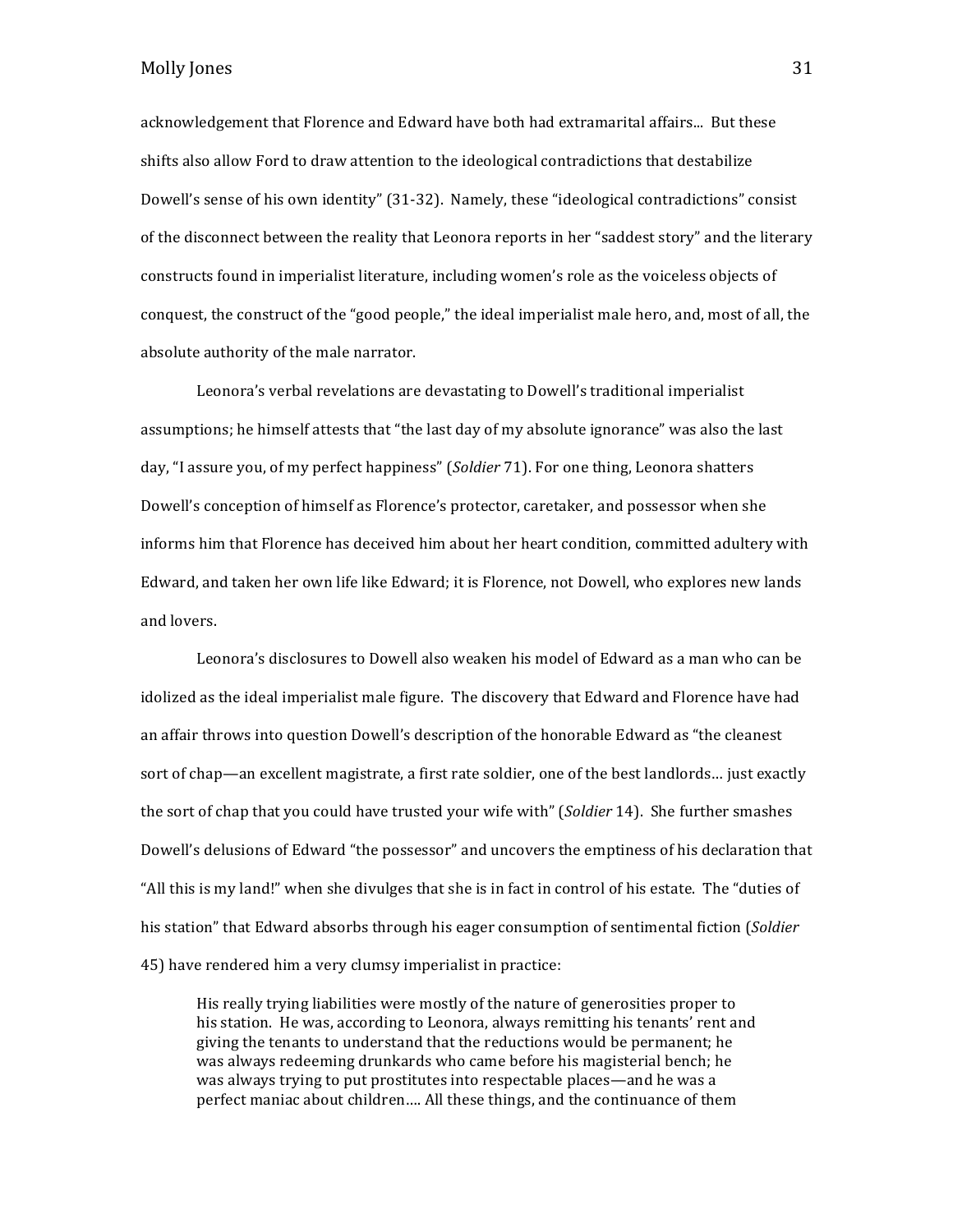acknowledgement that Florence and Edward have both had extramarital affairs... But these shifts also allow Ford to draw attention to the ideological contradictions that destabilize Dowell's sense of his own identity" (31-32). Namely, these "ideological contradictions" consist of the disconnect between the reality that Leonora reports in her "saddest story" and the literary constructs found in imperialist literature, including women's role as the voiceless objects of conquest, the construct of the "good people," the ideal imperialist male hero, and, most of all, the absolute authority of the male narrator.

Leonora's verbal revelations are devastating to Dowell's traditional imperialist assumptions; he himself attests that "the last day of my absolute ignorance" was also the last day, "I assure you, of my perfect happiness" (*Soldier* 71). For one thing, Leonora shatters Dowell's conception of himself as Florence's protector, caretaker, and possessor when she informs him that Florence has deceived him about her heart condition, committed adultery with Edward, and taken her own life like Edward; it is Florence, not Dowell, who explores new lands and lovers.

Leonora's disclosures to Dowell also weaken his model of Edward as a man who can be idolized as the ideal imperialist male figure. The discovery that Edward and Florence have had an affair throws into question Dowell's description of the honorable Edward as "the cleanest" sort of chap—an excellent magistrate, a first rate soldier, one of the best landlords... just exactly the sort of chap that you could have trusted your wife with" (*Soldier* 14). She further smashes Dowell's delusions of Edward "the possessor" and uncovers the emptiness of his declaration that "All this is my land!" when she divulges that she is in fact in control of his estate. The "duties of his station" that Edward absorbs through his eager consumption of sentimental fiction (*Soldier* 45) have rendered him a very clumsy imperialist in practice:

His really trying liabilities were mostly of the nature of generosities proper to his station. He was, according to Leonora, always remitting his tenants' rent and giving the tenants to understand that the reductions would be permanent; he was always redeeming drunkards who came before his magisterial bench; he was always trying to put prostitutes into respectable places—and he was a perfect maniac about children.... All these things, and the continuance of them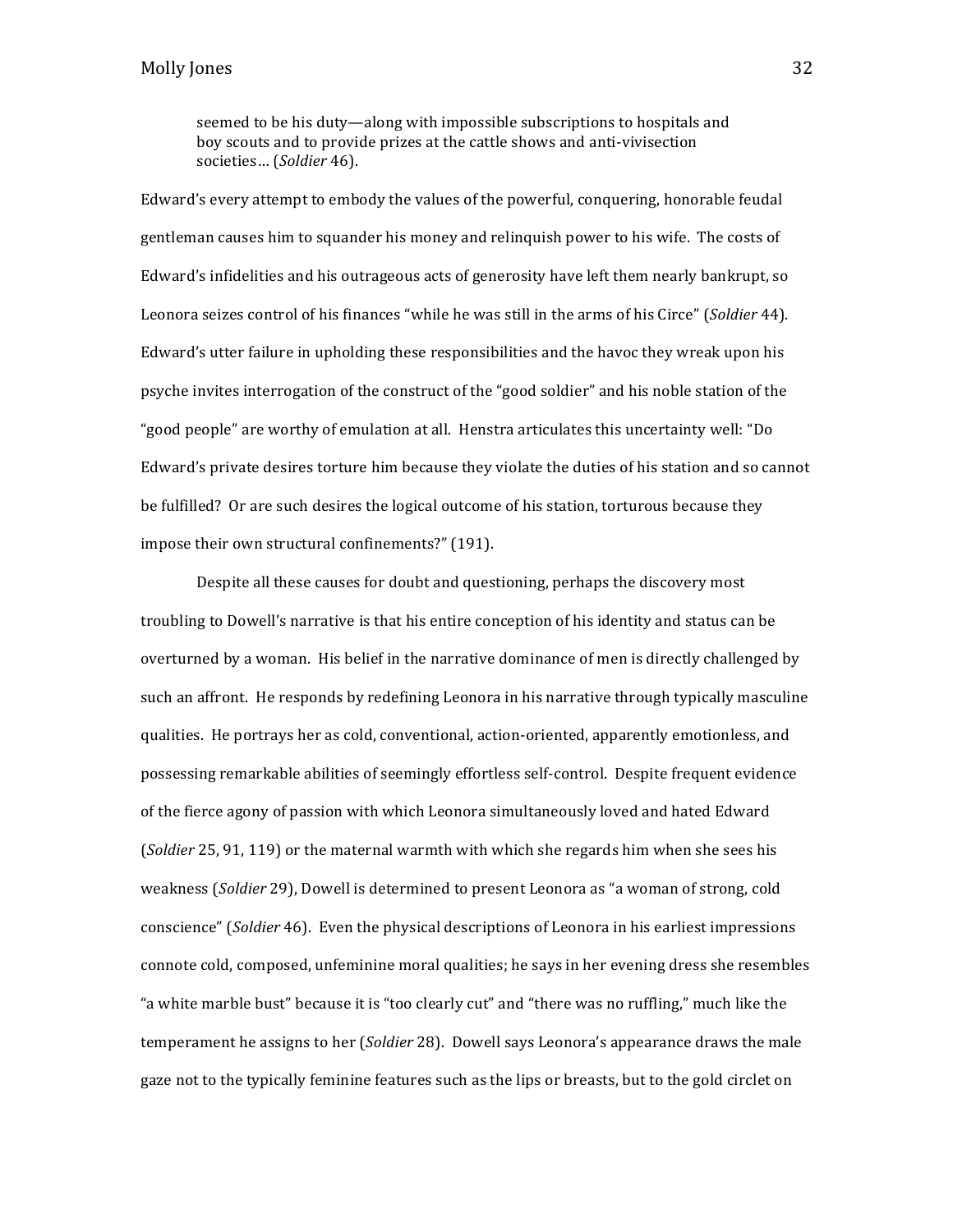seemed to be his duty—along with impossible subscriptions to hospitals and boy scouts and to provide prizes at the cattle shows and anti-vivisection societies... (*Soldier* 46).

Edward's every attempt to embody the values of the powerful, conquering, honorable feudal gentleman causes him to squander his money and relinquish power to his wife. The costs of Edward's infidelities and his outrageous acts of generosity have left them nearly bankrupt, so Leonora seizes control of his finances "while he was still in the arms of his Circe" (*Soldier* 44). Edward's utter failure in upholding these responsibilities and the havoc they wreak upon his psyche invites interrogation of the construct of the "good soldier" and his noble station of the "good people" are worthy of emulation at all. Henstra articulates this uncertainty well: "Do Edward's private desires torture him because they violate the duties of his station and so cannot be fulfilled? Or are such desires the logical outcome of his station, torturous because they impose their own structural confinements?" (191).

Despite all these causes for doubt and questioning, perhaps the discovery most troubling to Dowell's narrative is that his entire conception of his identity and status can be overturned by a woman. His belief in the narrative dominance of men is directly challenged by such an affront. He responds by redefining Leonora in his narrative through typically masculine qualities. He portrays her as cold, conventional, action-oriented, apparently emotionless, and possessing remarkable abilities of seemingly effortless self-control. Despite frequent evidence of the fierce agony of passion with which Leonora simultaneously loved and hated Edward (*Soldier* 25, 91, 119) or the maternal warmth with which she regards him when she sees his weakness (*Soldier* 29), Dowell is determined to present Leonora as "a woman of strong, cold conscience" (*Soldier* 46). Even the physical descriptions of Leonora in his earliest impressions connote cold, composed, unfeminine moral qualities; he says in her evening dress she resembles "a white marble bust" because it is "too clearly cut" and "there was no ruffling," much like the temperament he assigns to her (*Soldier* 28). Dowell says Leonora's appearance draws the male gaze not to the typically feminine features such as the lips or breasts, but to the gold circlet on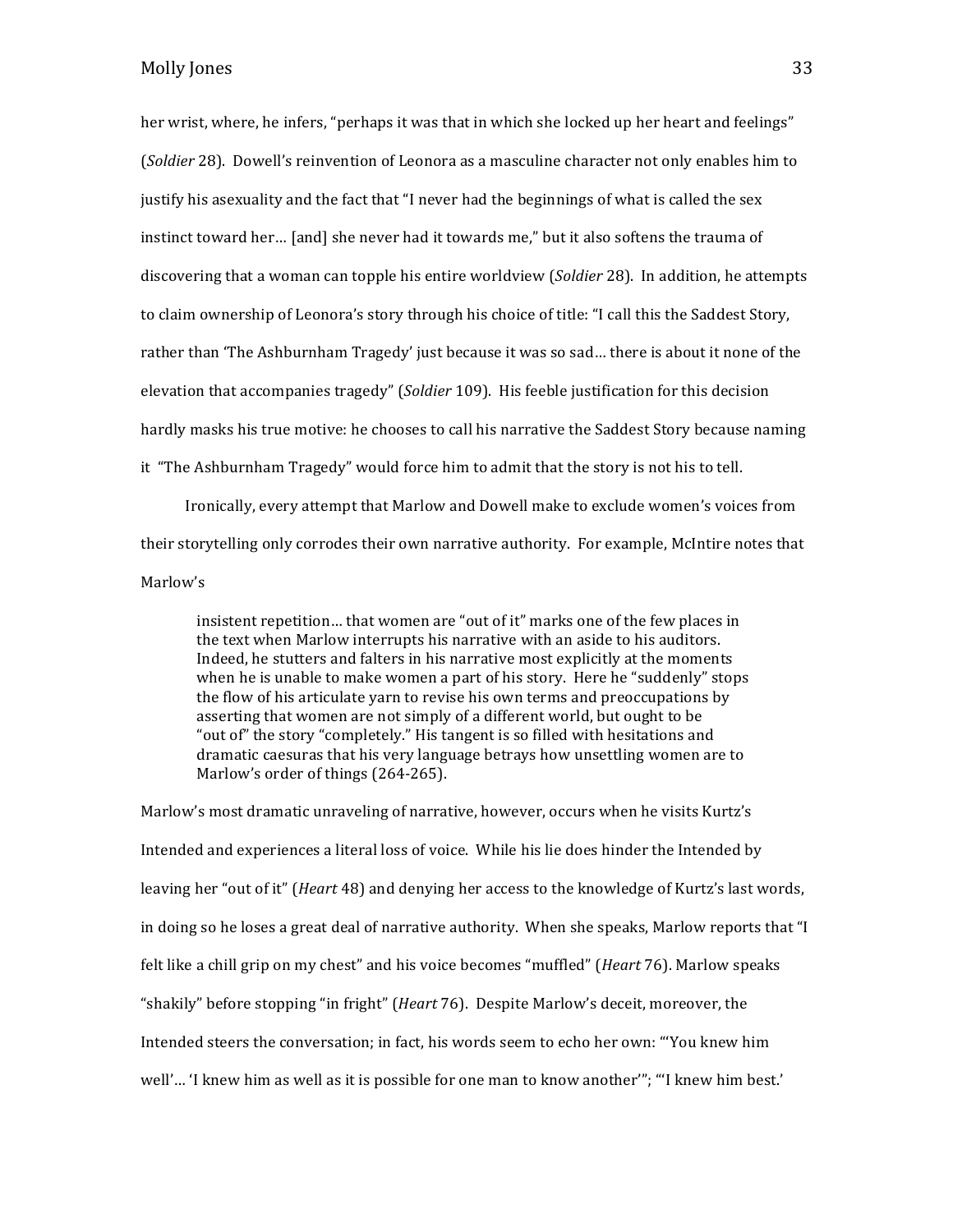her wrist, where, he infers, "perhaps it was that in which she locked up her heart and feelings" (*Soldier* 28). Dowell's reinvention of Leonora as a masculine character not only enables him to justify his asexuality and the fact that "I never had the beginnings of what is called the sex instinct toward her... [and] she never had it towards me," but it also softens the trauma of discovering that a woman can topple his entire worldview (*Soldier* 28). In addition, he attempts to claim ownership of Leonora's story through his choice of title: "I call this the Saddest Story, rather than 'The Ashburnham Tragedy' just because it was so sad... there is about it none of the elevation that accompanies tragedy" (*Soldier* 109). His feeble justification for this decision hardly masks his true motive: he chooses to call his narrative the Saddest Story because naming it "The Ashburnham Tragedy" would force him to admit that the story is not his to tell.

Ironically, every attempt that Marlow and Dowell make to exclude women's voices from their storytelling only corrodes their own narrative authority. For example, McIntire notes that Marlow's 

insistent repetition... that women are "out of it" marks one of the few places in the text when Marlow interrupts his narrative with an aside to his auditors. Indeed, he stutters and falters in his narrative most explicitly at the moments when he is unable to make women a part of his story. Here he "suddenly" stops the flow of his articulate yarn to revise his own terms and preoccupations by asserting that women are not simply of a different world, but ought to be "out of" the story "completely." His tangent is so filled with hesitations and dramatic caesuras that his very language betrays how unsettling women are to Marlow's order of things (264-265).

Marlow's most dramatic unraveling of narrative, however, occurs when he visits Kurtz's Intended and experiences a literal loss of voice. While his lie does hinder the Intended by leaving her "out of it" (*Heart* 48) and denying her access to the knowledge of Kurtz's last words, in doing so he loses a great deal of narrative authority. When she speaks, Marlow reports that "I felt like a chill grip on my chest" and his voice becomes "muffled" (*Heart* 76). Marlow speaks "shakily" before stopping "in fright" (*Heart* 76). Despite Marlow's deceit, moreover, the Intended steers the conversation; in fact, his words seem to echo her own: "You knew him well'... 'I knew him as well as it is possible for one man to know another'"; "'I knew him best.'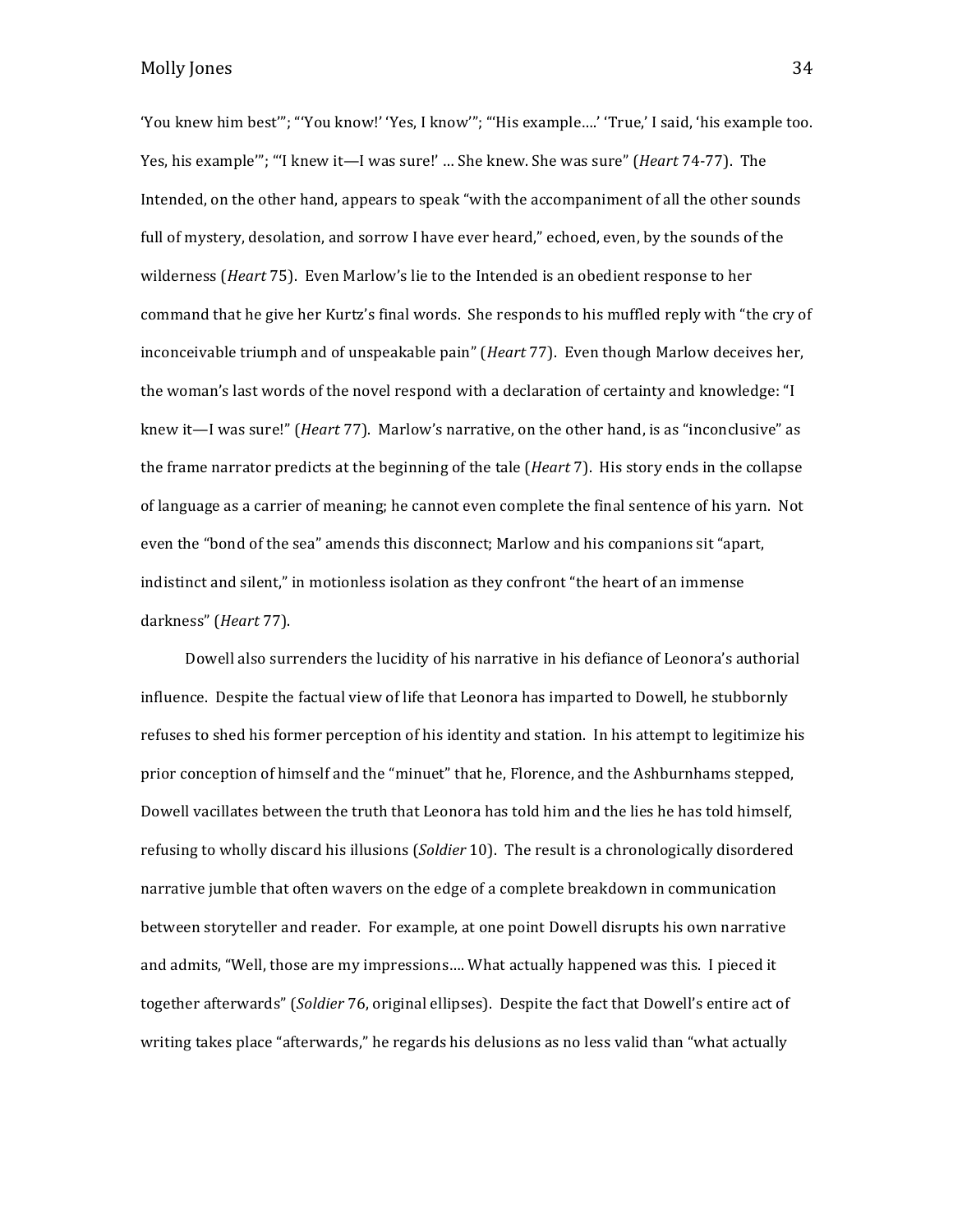'You knew him best'"; "'You know!' 'Yes, I know'"; "'His example....' 'True,' I said, 'his example too. Yes, his example<sup>'"</sup>; "'I knew it—I was sure!' ... She knew. She was sure" (*Heart* 74-77). The Intended, on the other hand, appears to speak "with the accompaniment of all the other sounds full of mystery, desolation, and sorrow I have ever heard," echoed, even, by the sounds of the wilderness (*Heart* 75). Even Marlow's lie to the Intended is an obedient response to her command that he give her Kurtz's final words. She responds to his muffled reply with "the cry of inconceivable triumph and of unspeakable pain" (*Heart* 77). Even though Marlow deceives her, the woman's last words of the novel respond with a declaration of certainty and knowledge: "I knew it—I was sure!" (*Heart 77*). Marlow's narrative, on the other hand, is as "inconclusive" as the frame narrator predicts at the beginning of the tale (*Heart* 7). His story ends in the collapse of language as a carrier of meaning; he cannot even complete the final sentence of his yarn. Not even the "bond of the sea" amends this disconnect; Marlow and his companions sit "apart, indistinct and silent," in motionless isolation as they confront "the heart of an immense darkness" (*Heart* 77).

Dowell also surrenders the lucidity of his narrative in his defiance of Leonora's authorial influence. Despite the factual view of life that Leonora has imparted to Dowell, he stubbornly refuses to shed his former perception of his identity and station. In his attempt to legitimize his prior conception of himself and the "minuet" that he, Florence, and the Ashburnhams stepped, Dowell vacillates between the truth that Leonora has told him and the lies he has told himself, refusing to wholly discard his illusions (*Soldier* 10). The result is a chronologically disordered narrative jumble that often wavers on the edge of a complete breakdown in communication between storyteller and reader. For example, at one point Dowell disrupts his own narrative and admits, "Well, those are my impressions.... What actually happened was this. I pieced it together afterwards" (*Soldier* 76, original ellipses). Despite the fact that Dowell's entire act of writing takes place "afterwards," he regards his delusions as no less valid than "what actually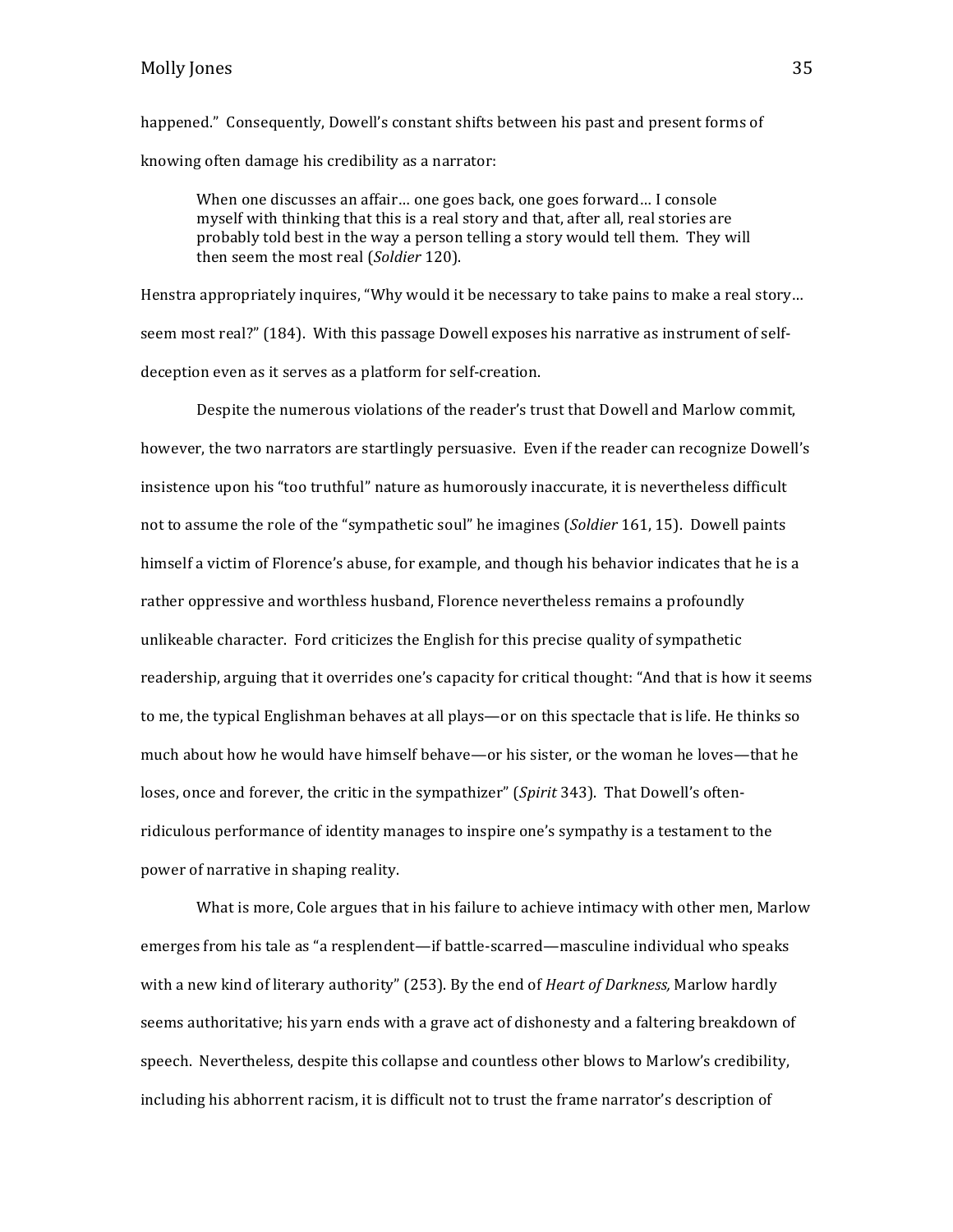happened." Consequently, Dowell's constant shifts between his past and present forms of knowing often damage his credibility as a narrator:

When one discusses an affair... one goes back, one goes forward... I console myself with thinking that this is a real story and that, after all, real stories are probably told best in the way a person telling a story would tell them. They will then seem the most real (*Soldier* 120).

Henstra appropriately inquires, "Why would it be necessary to take pains to make a real story... seem most real?" (184). With this passage Dowell exposes his narrative as instrument of selfdeception even as it serves as a platform for self-creation.

Despite the numerous violations of the reader's trust that Dowell and Marlow commit, however, the two narrators are startlingly persuasive. Even if the reader can recognize Dowell's insistence upon his "too truthful" nature as humorously inaccurate, it is nevertheless difficult not to assume the role of the "sympathetic soul" he imagines (*Soldier* 161, 15). Dowell paints himself a victim of Florence's abuse, for example, and though his behavior indicates that he is a rather oppressive and worthless husband, Florence nevertheless remains a profoundly unlikeable character. Ford criticizes the English for this precise quality of sympathetic readership, arguing that it overrides one's capacity for critical thought: "And that is how it seems to me, the typical Englishman behaves at all plays—or on this spectacle that is life. He thinks so much about how he would have himself behave—or his sister, or the woman he loves—that he loses, once and forever, the critic in the sympathizer" (*Spirit* 343). That Dowell's oftenridiculous performance of identity manages to inspire one's sympathy is a testament to the power of narrative in shaping reality.

What is more, Cole argues that in his failure to achieve intimacy with other men, Marlow emerges from his tale as "a resplendent—if battle-scarred—masculine individual who speaks with a new kind of literary authority" (253). By the end of *Heart of Darkness*, Marlow hardly seems authoritative; his varn ends with a grave act of dishonesty and a faltering breakdown of speech. Nevertheless, despite this collapse and countless other blows to Marlow's credibility, including his abhorrent racism, it is difficult not to trust the frame narrator's description of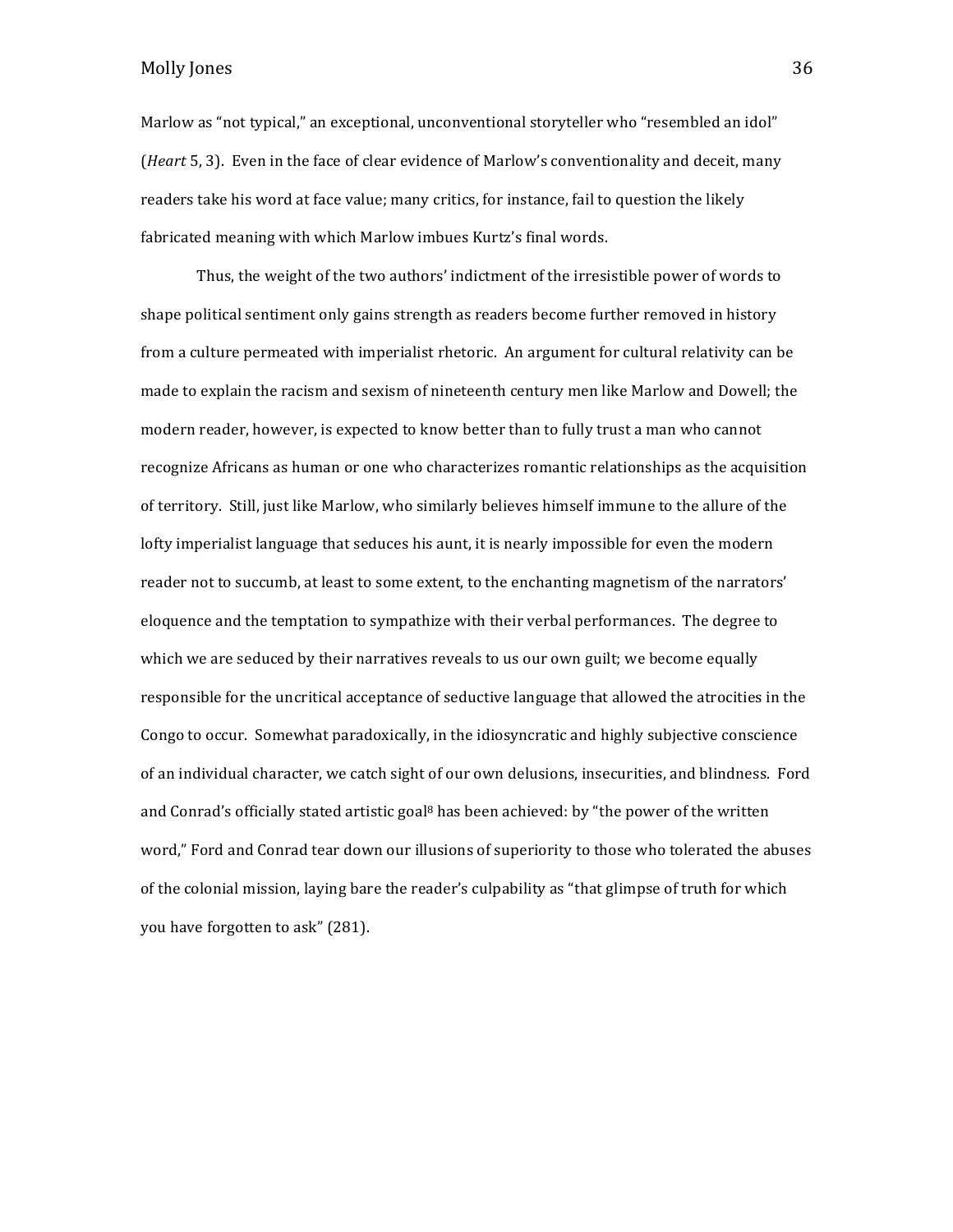Marlow as "not typical," an exceptional, unconventional storyteller who "resembled an idol" (*Heart* 5, 3). Even in the face of clear evidence of Marlow's conventionality and deceit, many readers take his word at face value; many critics, for instance, fail to question the likely fabricated meaning with which Marlow imbues Kurtz's final words.

Thus, the weight of the two authors' indictment of the irresistible power of words to shape political sentiment only gains strength as readers become further removed in history from a culture permeated with imperialist rhetoric. An argument for cultural relativity can be made to explain the racism and sexism of nineteenth century men like Marlow and Dowell; the modern reader, however, is expected to know better than to fully trust a man who cannot recognize Africans as human or one who characterizes romantic relationships as the acquisition of territory. Still, just like Marlow, who similarly believes himself immune to the allure of the lofty imperialist language that seduces his aunt, it is nearly impossible for even the modern reader not to succumb, at least to some extent, to the enchanting magnetism of the narrators' eloquence and the temptation to sympathize with their verbal performances. The degree to which we are seduced by their narratives reveals to us our own guilt; we become equally responsible for the uncritical acceptance of seductive language that allowed the atrocities in the Congo to occur. Somewhat paradoxically, in the idiosyncratic and highly subjective conscience of an individual character, we catch sight of our own delusions, insecurities, and blindness. Ford and Conrad's officially stated artistic goal<sup>8</sup> has been achieved: by "the power of the written word," Ford and Conrad tear down our illusions of superiority to those who tolerated the abuses of the colonial mission, laying bare the reader's culpability as "that glimpse of truth for which you have forgotten to ask" (281).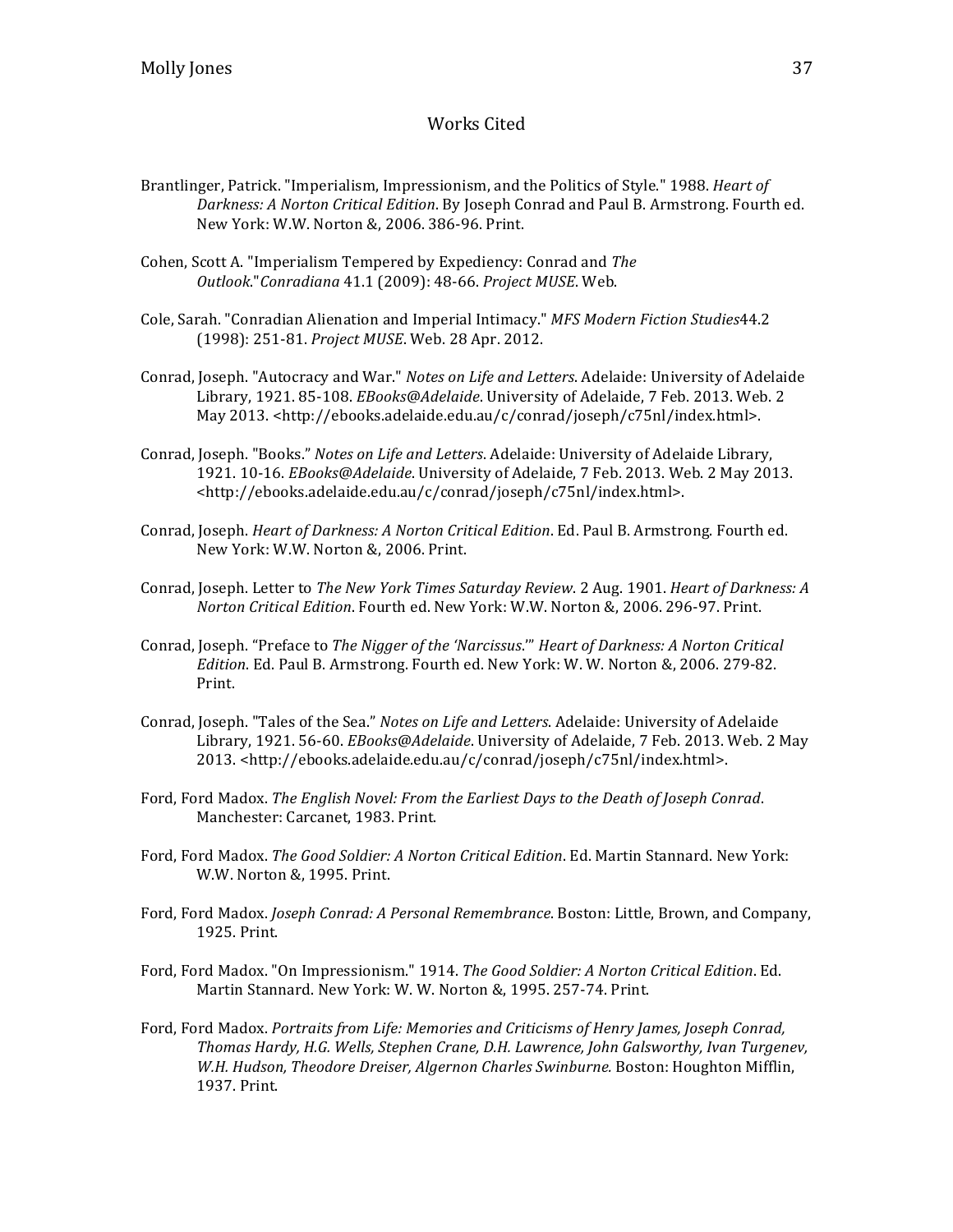# Works Cited

- Brantlinger, Patrick. "Imperialism, Impressionism, and the Politics of Style." 1988. *Heart of Darkness: A Norton Critical Edition*. By Joseph Conrad and Paul B. Armstrong. Fourth ed. New York: W.W. Norton &, 2006. 386-96. Print.
- Cohen, Scott A. "Imperialism Tempered by Expediency: Conrad and *The Outlook*."*Conradiana* 41.1 (2009): 48-66. *Project MUSE*. Web.
- Cole, Sarah. "Conradian Alienation and Imperial Intimacy." *MFS Modern Fiction Studies*44.2 (1998): 251-81. *Project MUSE*. Web. 28 Apr. 2012.
- Conrad, Joseph. "Autocracy and War." *Notes on Life and Letters*. Adelaide: University of Adelaide Library, 1921. 85-108. *EBooks@Adelaide*. University of Adelaide, 7 Feb. 2013. Web. 2 May 2013. <http://ebooks.adelaide.edu.au/c/conrad/joseph/c75nl/index.html>.
- Conrad, Joseph. "Books." *Notes on Life and Letters*. Adelaide: University of Adelaide Library, 1921. 10-16. *EBooks@Adelaide*. University of Adelaide, 7 Feb. 2013. Web. 2 May 2013. <http://ebooks.adelaide.edu.au/c/conrad/joseph/c75nl/index.html>.
- Conrad, Joseph. *Heart of Darkness: A Norton Critical Edition*. Ed. Paul B. Armstrong. Fourth ed. New York: W.W. Norton &, 2006. Print.
- Conrad, Joseph. Letter to *The New York Times Saturday Review.* 2 Aug. 1901. *Heart of Darkness: A Norton Critical Edition*. Fourth ed. New York: W.W. Norton &, 2006. 296-97. Print.
- Conrad, Joseph. "Preface to *The Nigger of the 'Narcissus." Heart of Darkness: A Norton Critical Edition*. Ed. Paul B. Armstrong. Fourth ed. New York: W. W. Norton &, 2006. 279-82. Print.
- Conrad, Joseph. "Tales of the Sea." *Notes on Life and Letters*. Adelaide: University of Adelaide Library, 1921. 56-60. *EBooks@Adelaide*. University of Adelaide, 7 Feb. 2013. Web. 2 May 2013. <http://ebooks.adelaide.edu.au/c/conrad/joseph/c75nl/index.html>.
- Ford, Ford Madox. The English Novel: From the Earliest Days to the Death of Joseph Conrad. Manchester: Carcanet, 1983. Print.
- Ford, Ford Madox. The Good Soldier: A Norton Critical Edition. Ed. Martin Stannard. New York: W.W. Norton &, 1995. Print.
- Ford, Ford Madox. *Joseph Conrad: A Personal Remembrance*. Boston: Little, Brown, and Company, 1925. Print.
- Ford, Ford Madox. "On Impressionism." 1914. *The Good Soldier: A Norton Critical Edition*. Ed. Martin Stannard. New York: W. W. Norton &, 1995. 257-74. Print.
- Ford, Ford Madox. *Portraits from Life: Memories and Criticisms of Henry James, Joseph Conrad,* Thomas Hardy, H.G. Wells, Stephen Crane, D.H. Lawrence, *John Galsworthy, Ivan Turgenev*, W.H. Hudson, Theodore Dreiser, Algernon Charles Swinburne. Boston: Houghton Mifflin, 1937. Print.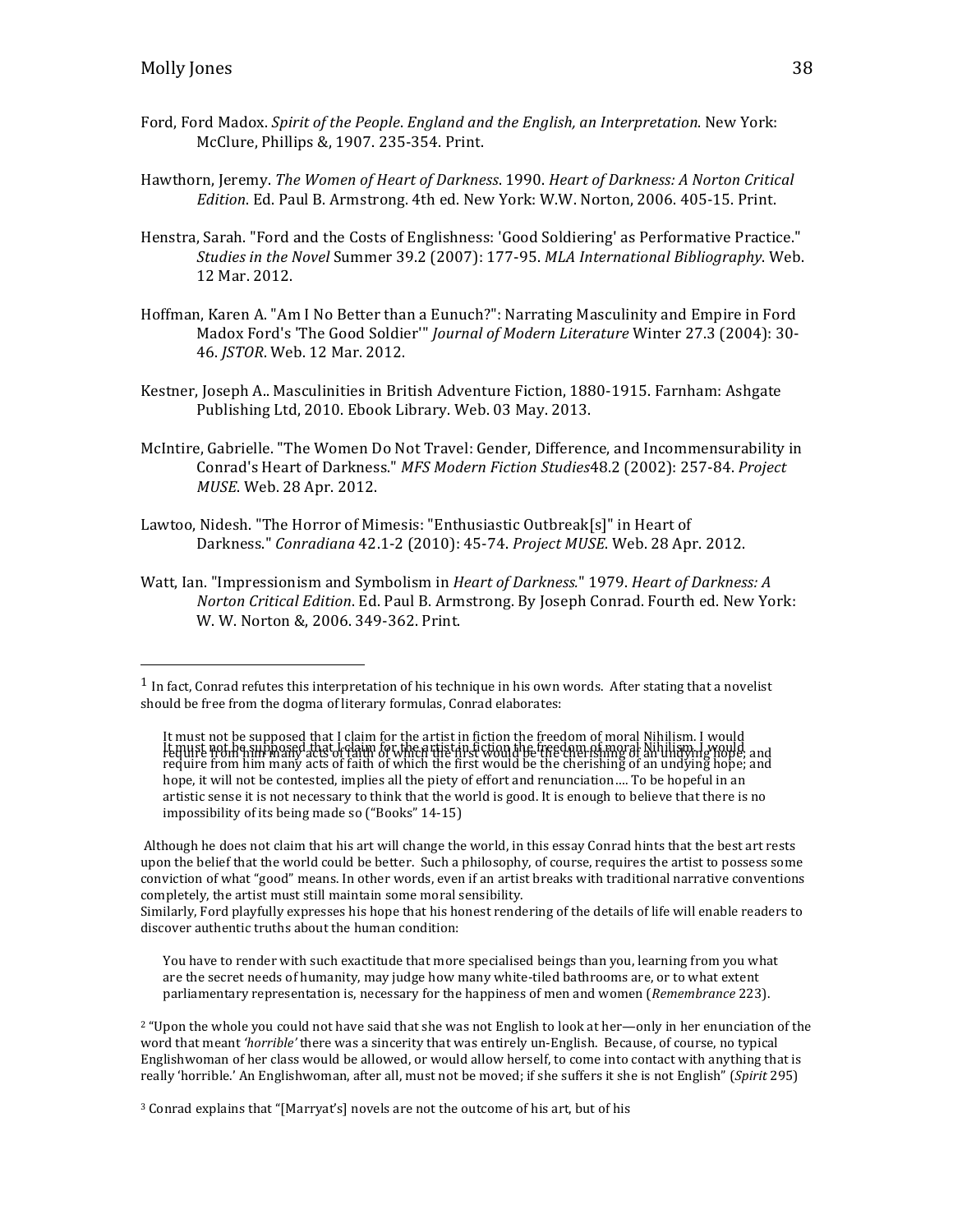- Ford, Ford Madox. *Spirit of the People. England and the English, an Interpretation*. New York: McClure, Phillips &, 1907. 235-354. Print.
- Hawthorn, Jeremy. *The Women of Heart of Darkness*. 1990. *Heart of Darkness: A Norton Critical Edition*. Ed. Paul B. Armstrong. 4th ed. New York: W.W. Norton, 2006. 405-15. Print.
- Henstra, Sarah. "Ford and the Costs of Englishness: 'Good Soldiering' as Performative Practice." *Studies in the Novel Summer 39.2 (2007): 177-95. MLA International Bibliography.* Web. 12 Mar. 2012.
- Hoffman, Karen A. "Am I No Better than a Eunuch?": Narrating Masculinity and Empire in Ford Madox Ford's 'The Good Soldier'" *Journal of Modern Literature* Winter 27.3 (2004): 30-46. *JSTOR*. Web. 12 Mar. 2012.
- Kestner, Joseph A.. Masculinities in British Adventure Fiction, 1880-1915. Farnham: Ashgate Publishing Ltd, 2010. Ebook Library. Web. 03 May. 2013.
- McIntire, Gabrielle. "The Women Do Not Travel: Gender, Difference, and Incommensurability in Conrad's Heart of Darkness." *MFS Modern Fiction Studies*48.2 (2002): 257-84. *Project MUSE*. Web. 28 Apr. 2012.
- Lawtoo, Nidesh. "The Horror of Mimesis: "Enthusiastic Outbreak[s]" in Heart of Darkness." *Conradiana* 42.1-2 (2010): 45-74. *Project MUSE*. Web. 28 Apr. 2012.
- Watt, Ian. "Impressionism and Symbolism in *Heart of Darkness.*" 1979. *Heart of Darkness: A Norton Critical Edition*. Ed. Paul B. Armstrong. By Joseph Conrad. Fourth ed. New York: W. W. Norton &, 2006. 349-362. Print.

Although he does not claim that his art will change the world, in this essay Conrad hints that the best art rests upon the belief that the world could be better. Such a philosophy, of course, requires the artist to possess some conviction of what "good" means. In other words, even if an artist breaks with traditional narrative conventions completely, the artist must still maintain some moral sensibility.

Similarly, Ford playfully expresses his hope that his honest rendering of the details of life will enable readers to discover authentic truths about the human condition:

You have to render with such exactitude that more specialised beings than you, learning from you what are the secret needs of humanity, may judge how many white-tiled bathrooms are, or to what extent parliamentary representation is, necessary for the happiness of men and women (*Remembrance* 223).

<sup>2</sup> "Upon the whole you could not have said that she was not English to look at her—only in her enunciation of the word that meant 'horrible' there was a sincerity that was entirely un-English. Because, of course, no typical Englishwoman of her class would be allowed, or would allow herself, to come into contact with anything that is really 'horrible.' An Englishwoman, after all, must not be moved; if she suffers it she is not English" (*Spirit* 295)

 $1$  In fact, Conrad refutes this interpretation of his technique in his own words. After stating that a novelist should be free from the dogma of literary formulas, Conrad elaborates:

It must not be supposed that I claim for the artist in fiction the freedom of moral Nihilism. I would<br>It quist not he supposed that I claim of which the direction if be the cherefing of an ulian in YiOHe, and hope, it will not be contested, implies all the piety of effort and renunciation.... To be hopeful in an artistic sense it is not necessary to think that the world is good. It is enough to believe that there is no impossibility of its being made so ("Books" 14-15)

<sup>&</sup>lt;sup>3</sup> Conrad explains that "[Marryat's] novels are not the outcome of his art, but of his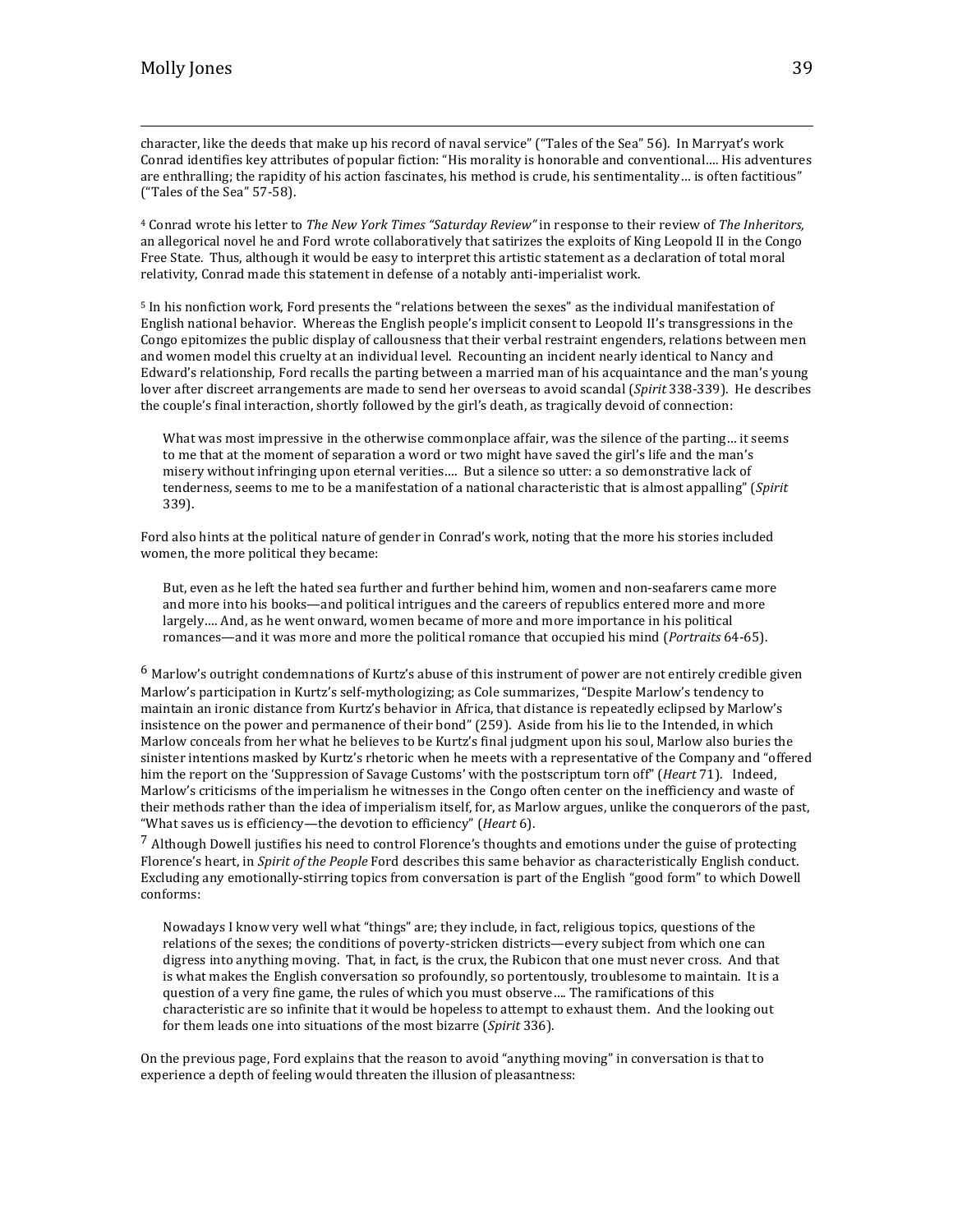character, like the deeds that make up his record of naval service" ("Tales of the Sea" 56). In Marryat's work Conrad identifies key attributes of popular fiction: "His morality is honorable and conventional.... His adventures are enthralling; the rapidity of his action fascinates, his method is crude, his sentimentality... is often factitious" ("Tales of the Sea"  $57-58$ ).

<u> 1989 - Andrea San Andrea San Andrea San Andrea San Andrea San Andrea San Andrea San Andrea San Andrea San An</u>

<sup>4</sup> Conrad wrote his letter to *The New York Times "Saturday Review"* in response to their review of *The Inheritors*, an allegorical novel he and Ford wrote collaboratively that satirizes the exploits of King Leopold II in the Congo Free State. Thus, although it would be easy to interpret this artistic statement as a declaration of total moral relativity, Conrad made this statement in defense of a notably anti-imperialist work.

<sup>5</sup> In his nonfiction work, Ford presents the "relations between the sexes" as the individual manifestation of English national behavior. Whereas the English people's implicit consent to Leopold II's transgressions in the Congo epitomizes the public display of callousness that their verbal restraint engenders, relations between men and women model this cruelty at an individual level. Recounting an incident nearly identical to Nancy and Edward's relationship, Ford recalls the parting between a married man of his acquaintance and the man's young lover after discreet arrangements are made to send her overseas to avoid scandal (*Spirit* 338-339). He describes the couple's final interaction, shortly followed by the girl's death, as tragically devoid of connection:

What was most impressive in the otherwise commonplace affair, was the silence of the parting... it seems to me that at the moment of separation a word or two might have saved the girl's life and the man's misery without infringing upon eternal verities.... But a silence so utter: a so demonstrative lack of tenderness, seems to me to be a manifestation of a national characteristic that is almost appalling" (Spirit 339).

Ford also hints at the political nature of gender in Conrad's work, noting that the more his stories included women, the more political they became:

But, even as he left the hated sea further and further behind him, women and non-seafarers came more and more into his books—and political intrigues and the careers of republics entered more and more largely.... And, as he went onward, women became of more and more importance in his political romances—and it was more and more the political romance that occupied his mind (*Portraits* 64-65).

 $6$  Marlow's outright condemnations of Kurtz's abuse of this instrument of power are not entirely credible given Marlow's participation in Kurtz's self-mythologizing; as Cole summarizes, "Despite Marlow's tendency to maintain an ironic distance from Kurtz's behavior in Africa, that distance is repeatedly eclipsed by Marlow's insistence on the power and permanence of their bond" (259). Aside from his lie to the Intended, in which Marlow conceals from her what he believes to be Kurtz's final judgment upon his soul, Marlow also buries the sinister intentions masked by Kurtz's rhetoric when he meets with a representative of the Company and "offered him the report on the 'Suppression of Savage Customs' with the postscriptum torn off" (*Heart* 71). Indeed, Marlow's criticisms of the imperialism he witnesses in the Congo often center on the inefficiency and waste of their methods rather than the idea of imperialism itself, for, as Marlow argues, unlike the conquerors of the past, "What saves us is efficiency—the devotion to efficiency" (*Heart* 6).

 $^7$  Although Dowell justifies his need to control Florence's thoughts and emotions under the guise of protecting Florence's heart, in *Spirit of the People* Ford describes this same behavior as characteristically English conduct. Excluding any emotionally-stirring topics from conversation is part of the English "good form" to which Dowell conforms: 

Nowadays I know very well what "things" are; they include, in fact, religious topics, questions of the relations of the sexes; the conditions of poverty-stricken districts—every subject from which one can digress into anything moving. That, in fact, is the crux, the Rubicon that one must never cross. And that is what makes the English conversation so profoundly, so portentously, troublesome to maintain. It is a question of a very fine game, the rules of which you must observe.... The ramifications of this characteristic are so infinite that it would be hopeless to attempt to exhaust them. And the looking out for them leads one into situations of the most bizarre (*Spirit* 336).

On the previous page, Ford explains that the reason to avoid "anything moving" in conversation is that to experience a depth of feeling would threaten the illusion of pleasantness: